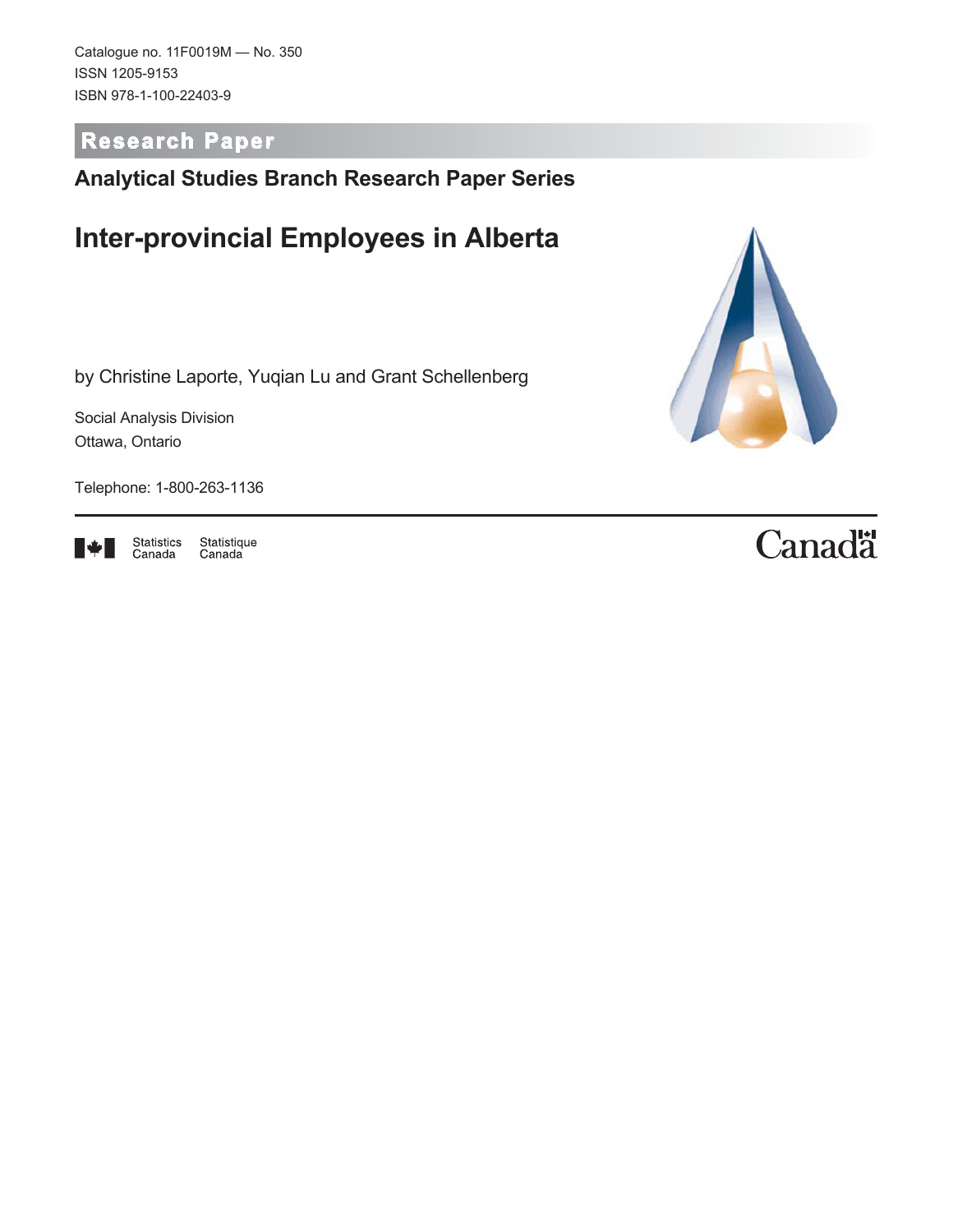Catalogue no. 11F0019M — No. 350 ISSN 1205-9153 ISBN 978-1-100-22403-9

**Research Paper**

### **Analytical Studies Branch Research Paper Series**

## **Inter-provincial Employees in Alberta**

by Christine Laporte, Yuqian Lu and Grant Schellenberg

Social Analysis Division Ottawa, Ontario

Telephone: 1-800-263-1136



Statistics<br>Canada Statistique<br>Canada



# Canadä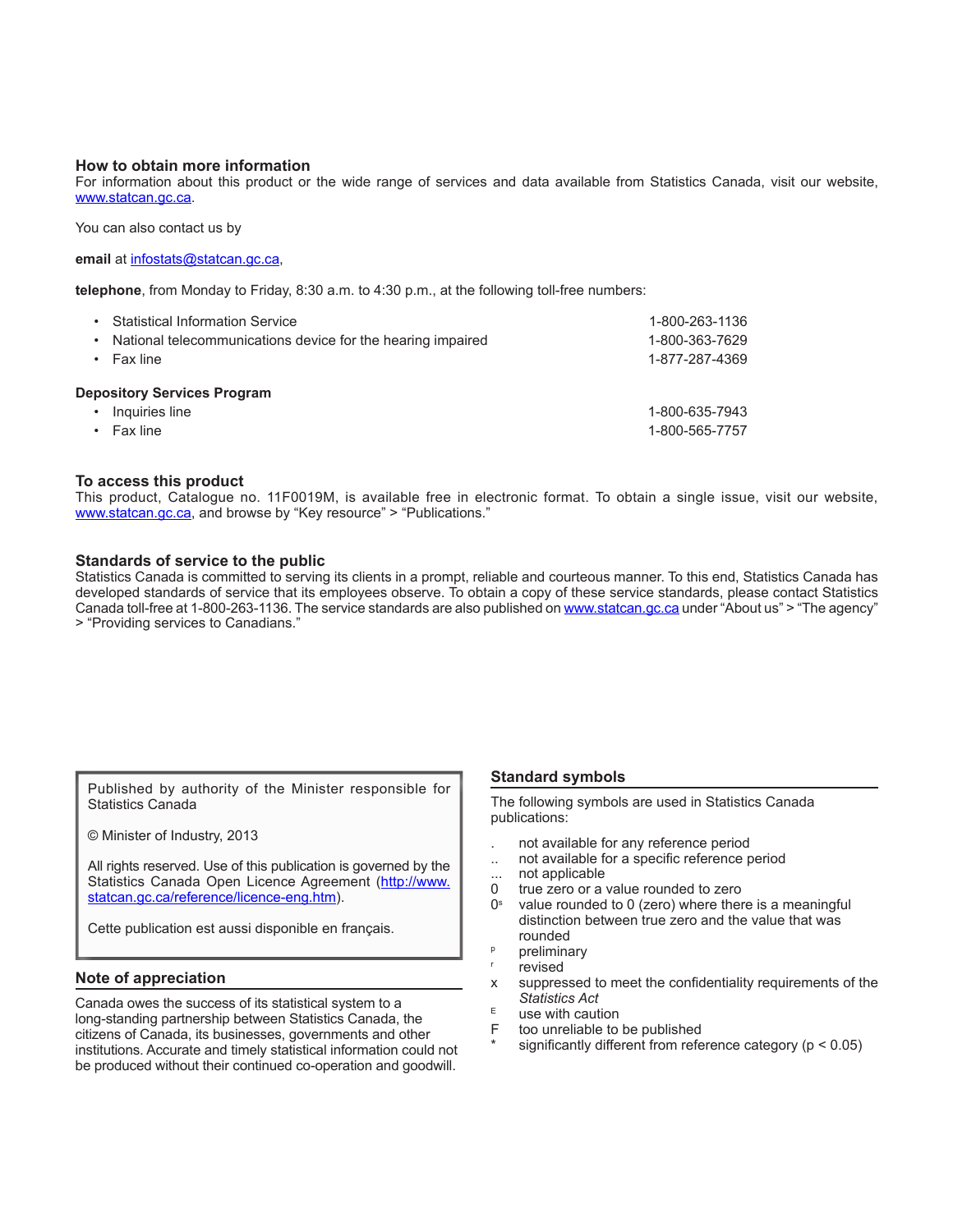#### **How to obtain more information**

For information about this product or the wide range of services and data available from Statistics Canada, visit our website, [www.statcan.gc.ca.](http://www.statcan.gc.ca/)

You can also contact us by

#### **email** at [infostats@statcan.gc.ca,](mailto:infostats%40statcan.gc.ca?subject=)

**telephone**, from Monday to Friday, 8:30 a.m. to 4:30 p.m., at the following toll-free numbers:

| <b>Statistical Information Service</b><br>National telecommunications device for the hearing impaired<br>٠<br>Fax line | 1-800-263-1136<br>1-800-363-7629<br>1-877-287-4369 |
|------------------------------------------------------------------------------------------------------------------------|----------------------------------------------------|
| <b>Depository Services Program</b><br>Inquiries line<br>Fax line                                                       | 1-800-635-7943<br>1-800-565-7757                   |

#### **To access this product**

This product, Catalogue no. 11F0019M, is available free in electronic format. To obtain a single issue, visit our website, www.statcan.gc.ca, and browse by "Key resource" > "Publications."

#### **Standards of service to the public**

Statistics Canada is committed to serving its clients in a prompt, reliable and courteous manner. To this end, Statistics Canada has developed standards of service that its employees observe. To obtain a copy of these service standards, please contact Statistics Canada toll-free at 1-800-263-1136. The service standards are also published on [www.statcan.gc.ca](http://www.statcan.gc.ca/) under "About us" > "The agency" > "Providing services to Canadians."

|                   |  |  | Published by authority of the Minister responsible for |  |
|-------------------|--|--|--------------------------------------------------------|--|
| Statistics Canada |  |  |                                                        |  |

© Minister of Industry, 2013

All rights reserved. Use of this publication is governed by the Statistics Canada Open Licence Agreement ([http://www.](http://www.statcan.gc.ca/reference/licence-eng.htm) [statcan.gc.ca/reference/licence-eng.htm](http://www.statcan.gc.ca/reference/licence-eng.htm)).

Cette publication est aussi disponible en français.

#### **Note of appreciation**

Canada owes the success of its statistical system to a long-standing partnership between Statistics Canada, the citizens of Canada, its businesses, governments and other institutions. Accurate and timely statistical information could not be produced without their continued co-operation and goodwill.

#### **Standard symbols**

The following symbols are used in Statistics Canada publications:

- . not available for any reference period
- .. not available for a specific reference period
- ... not applicable
- 0 true zero or a value rounded to zero<br> $0^{\circ}$  value rounded to 0 (zero) where then
- value rounded to 0 (zero) where there is a meaningful distinction between true zero and the value that was rounded
- **p** preliminary
- revised
- x suppressed to meet the confidentiality requirements of the *Statistics Act*
- $E$  use with caution<br>F too unreliable to
- too unreliable to be published
- significantly different from reference category ( $p < 0.05$ )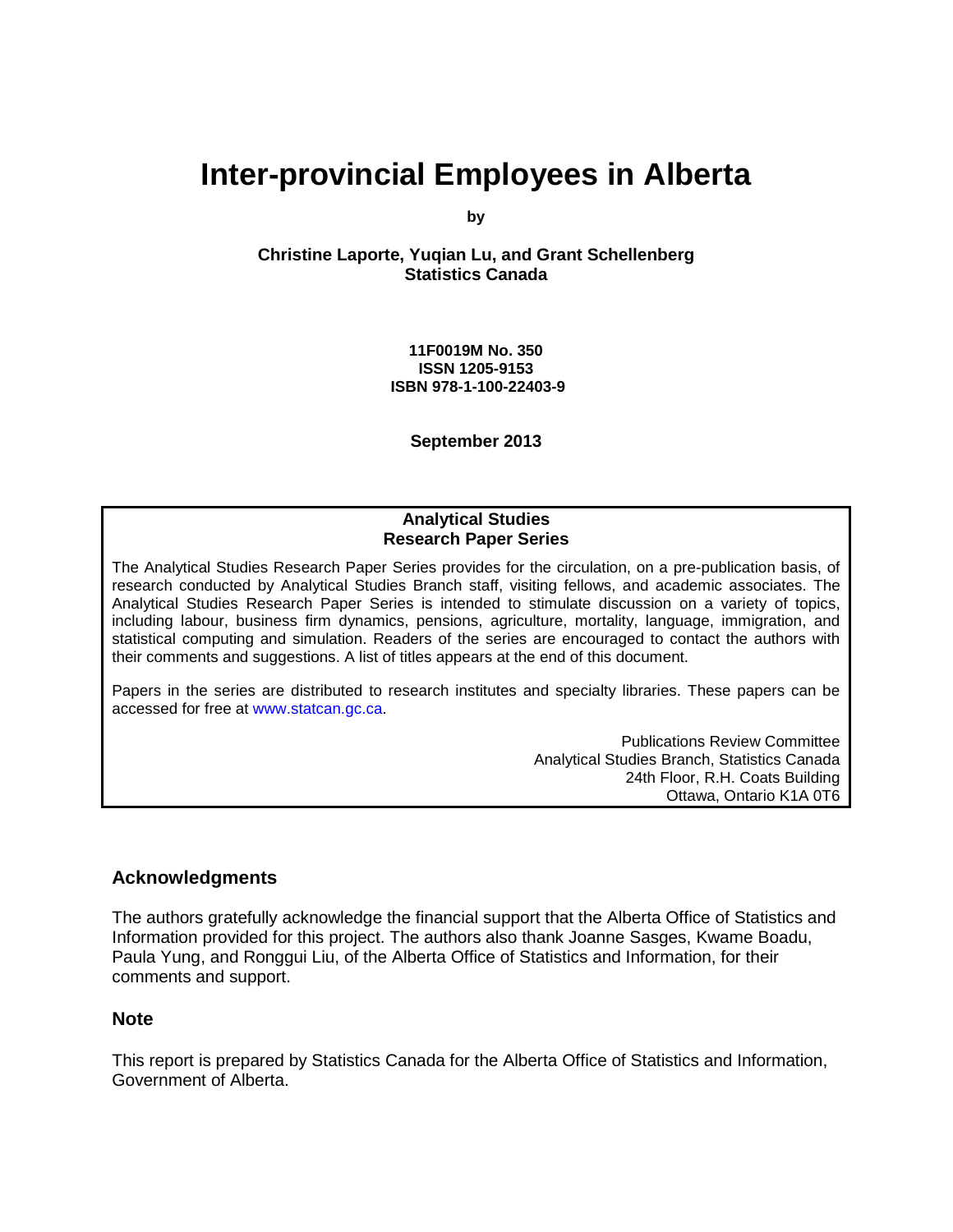## **Inter-provincial Employees in Alberta**

**by**

**Christine Laporte, Yuqian Lu, and Grant Schellenberg Statistics Canada**

> **11F0019M No. 350 ISSN 1205-9153 ISBN 978-1-100-22403-9**

> > **September 2013**

#### **Analytical Studies Research Paper Series**

The Analytical Studies Research Paper Series provides for the circulation, on a pre-publication basis, of research conducted by Analytical Studies Branch staff, visiting fellows, and academic associates. The Analytical Studies Research Paper Series is intended to stimulate discussion on a variety of topics, including labour, business firm dynamics, pensions, agriculture, mortality, language, immigration, and statistical computing and simulation. Readers of the series are encouraged to contact the authors with their comments and suggestions. A list of titles appears at the end of this document.

Papers in the series are distributed to research institutes and specialty libraries. These papers can be accessed for free at [www.statcan.gc.ca.](http://www.statcan.gc.ca/)

> Publications Review Committee Analytical Studies Branch, Statistics Canada 24th Floor, R.H. Coats Building Ottawa, Ontario K1A 0T6

#### **Acknowledgments**

The authors gratefully acknowledge the financial support that the Alberta Office of Statistics and Information provided for this project. The authors also thank Joanne Sasges, Kwame Boadu, Paula Yung, and Ronggui Liu, of the Alberta Office of Statistics and Information, for their comments and support.

#### **Note**

This report is prepared by Statistics Canada for the Alberta Office of Statistics and Information, Government of Alberta.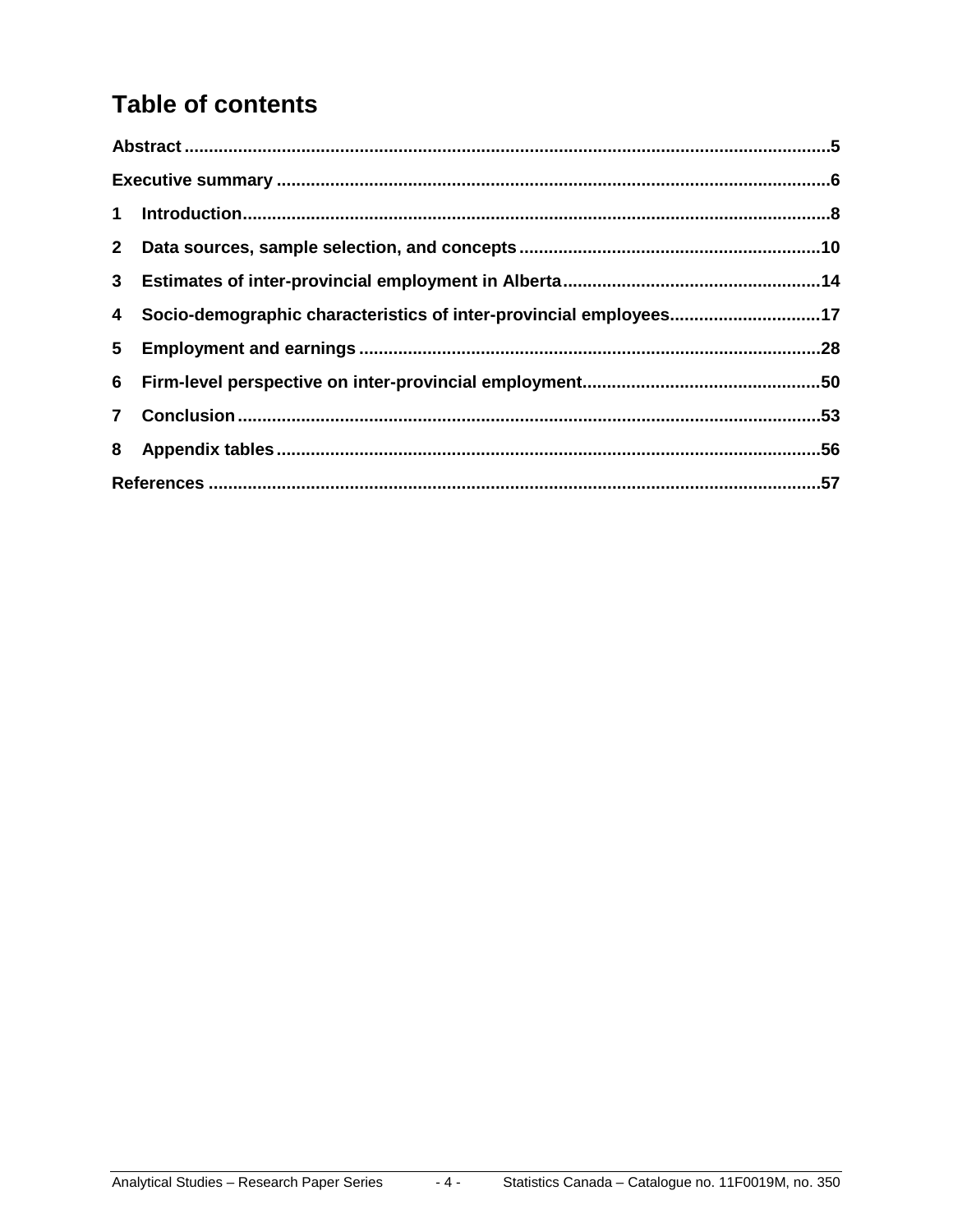## **Table of contents**

| 2 <sup>1</sup> |                                                                   |  |
|----------------|-------------------------------------------------------------------|--|
|                |                                                                   |  |
| 4              | Socio-demographic characteristics of inter-provincial employees17 |  |
|                |                                                                   |  |
|                |                                                                   |  |
| $\mathbf{7}$   |                                                                   |  |
|                |                                                                   |  |
|                |                                                                   |  |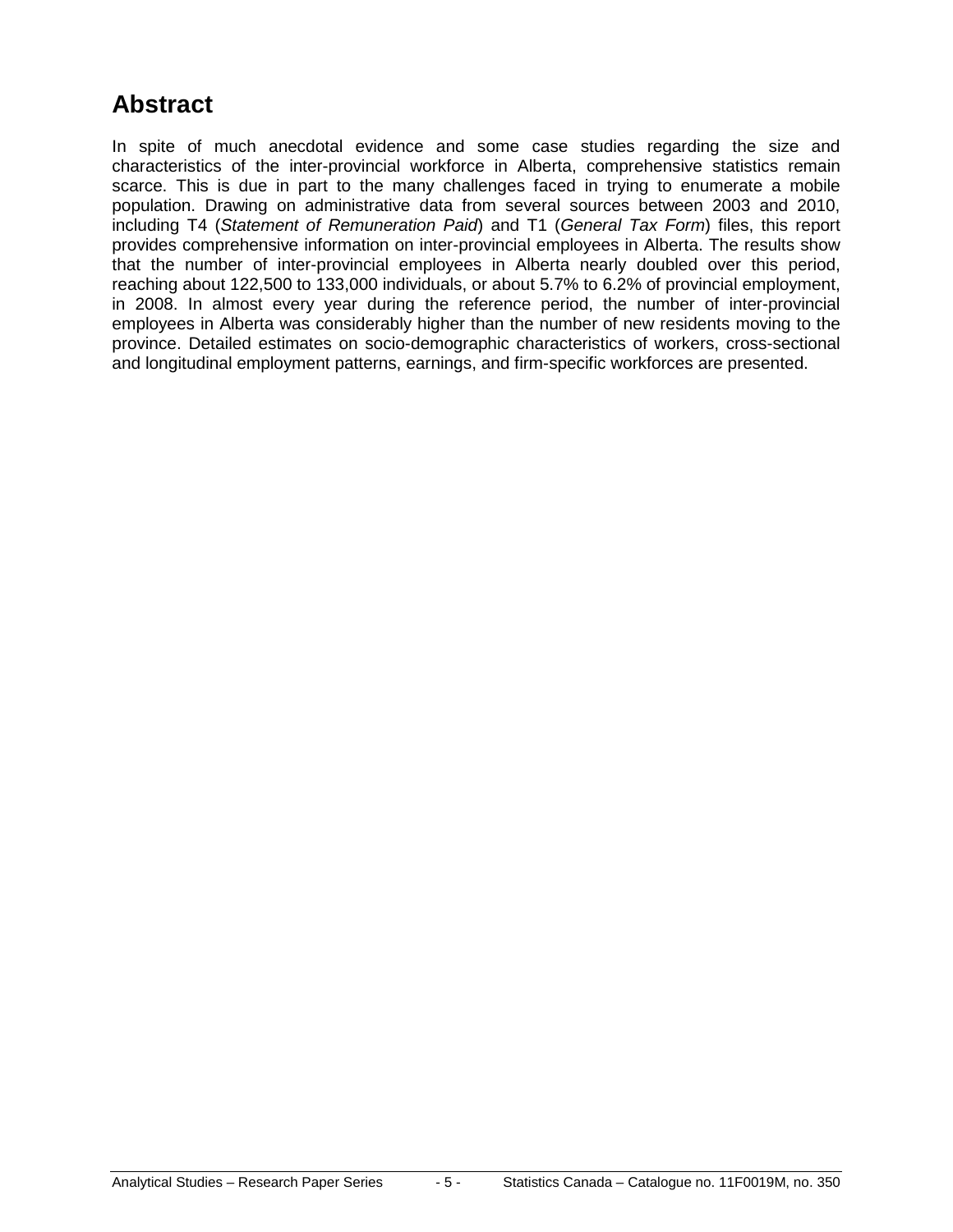### <span id="page-4-0"></span>**Abstract**

In spite of much anecdotal evidence and some case studies regarding the size and characteristics of the inter-provincial workforce in Alberta, comprehensive statistics remain scarce. This is due in part to the many challenges faced in trying to enumerate a mobile population. Drawing on administrative data from several sources between 2003 and 2010, including T4 (*Statement of Remuneration Paid*) and T1 (*General Tax Form*) files, this report provides comprehensive information on inter-provincial employees in Alberta. The results show that the number of inter-provincial employees in Alberta nearly doubled over this period, reaching about 122,500 to 133,000 individuals, or about 5.7% to 6.2% of provincial employment, in 2008. In almost every year during the reference period, the number of inter-provincial employees in Alberta was considerably higher than the number of new residents moving to the province. Detailed estimates on socio-demographic characteristics of workers, cross-sectional and longitudinal employment patterns, earnings, and firm-specific workforces are presented.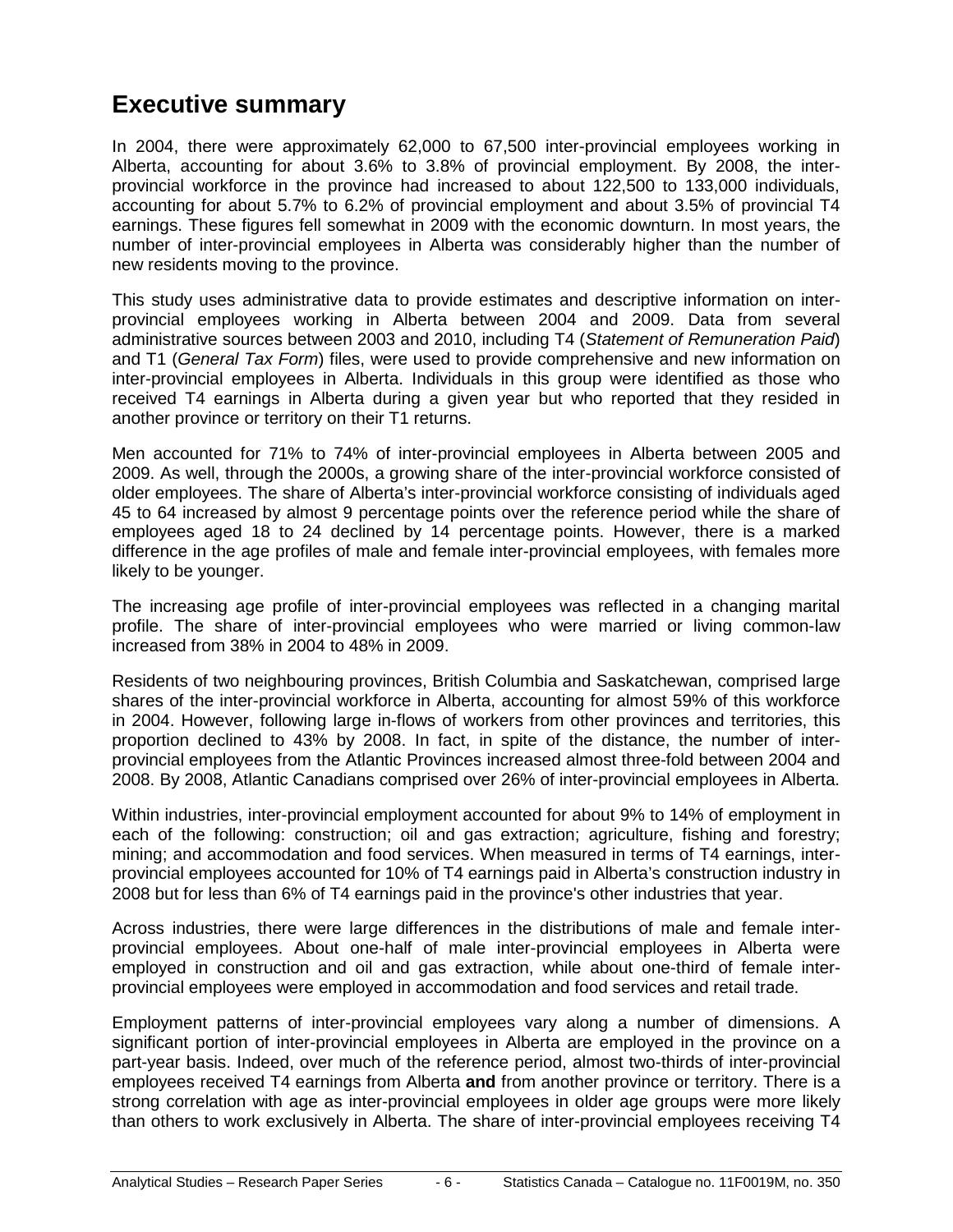### <span id="page-5-0"></span>**Executive summary**

In 2004, there were approximately 62,000 to 67,500 inter-provincial employees working in Alberta, accounting for about 3.6% to 3.8% of provincial employment. By 2008, the interprovincial workforce in the province had increased to about 122,500 to 133,000 individuals, accounting for about 5.7% to 6.2% of provincial employment and about 3.5% of provincial T4 earnings. These figures fell somewhat in 2009 with the economic downturn. In most years, the number of inter-provincial employees in Alberta was considerably higher than the number of new residents moving to the province.

This study uses administrative data to provide estimates and descriptive information on interprovincial employees working in Alberta between 2004 and 2009. Data from several administrative sources between 2003 and 2010, including T4 (*Statement of Remuneration Paid*) and T1 (*General Tax Form*) files, were used to provide comprehensive and new information on inter-provincial employees in Alberta. Individuals in this group were identified as those who received T4 earnings in Alberta during a given year but who reported that they resided in another province or territory on their T1 returns.

Men accounted for 71% to 74% of inter-provincial employees in Alberta between 2005 and 2009. As well, through the 2000s, a growing share of the inter-provincial workforce consisted of older employees. The share of Alberta's inter-provincial workforce consisting of individuals aged 45 to 64 increased by almost 9 percentage points over the reference period while the share of employees aged 18 to 24 declined by 14 percentage points. However, there is a marked difference in the age profiles of male and female inter-provincial employees, with females more likely to be younger.

The increasing age profile of inter-provincial employees was reflected in a changing marital profile. The share of inter-provincial employees who were married or living common-law increased from 38% in 2004 to 48% in 2009.

Residents of two neighbouring provinces, British Columbia and Saskatchewan, comprised large shares of the inter-provincial workforce in Alberta, accounting for almost 59% of this workforce in 2004. However, following large in-flows of workers from other provinces and territories, this proportion declined to 43% by 2008. In fact, in spite of the distance, the number of interprovincial employees from the Atlantic Provinces increased almost three-fold between 2004 and 2008. By 2008, Atlantic Canadians comprised over 26% of inter-provincial employees in Alberta.

Within industries, inter-provincial employment accounted for about 9% to 14% of employment in each of the following: construction; oil and gas extraction; agriculture, fishing and forestry; mining; and accommodation and food services. When measured in terms of T4 earnings, interprovincial employees accounted for 10% of T4 earnings paid in Alberta's construction industry in 2008 but for less than 6% of T4 earnings paid in the province's other industries that year.

Across industries, there were large differences in the distributions of male and female interprovincial employees. About one-half of male inter-provincial employees in Alberta were employed in construction and oil and gas extraction, while about one-third of female interprovincial employees were employed in accommodation and food services and retail trade.

Employment patterns of inter-provincial employees vary along a number of dimensions. A significant portion of inter-provincial employees in Alberta are employed in the province on a part-year basis. Indeed, over much of the reference period, almost two-thirds of inter-provincial employees received T4 earnings from Alberta **and** from another province or territory. There is a strong correlation with age as inter-provincial employees in older age groups were more likely than others to work exclusively in Alberta. The share of inter-provincial employees receiving T4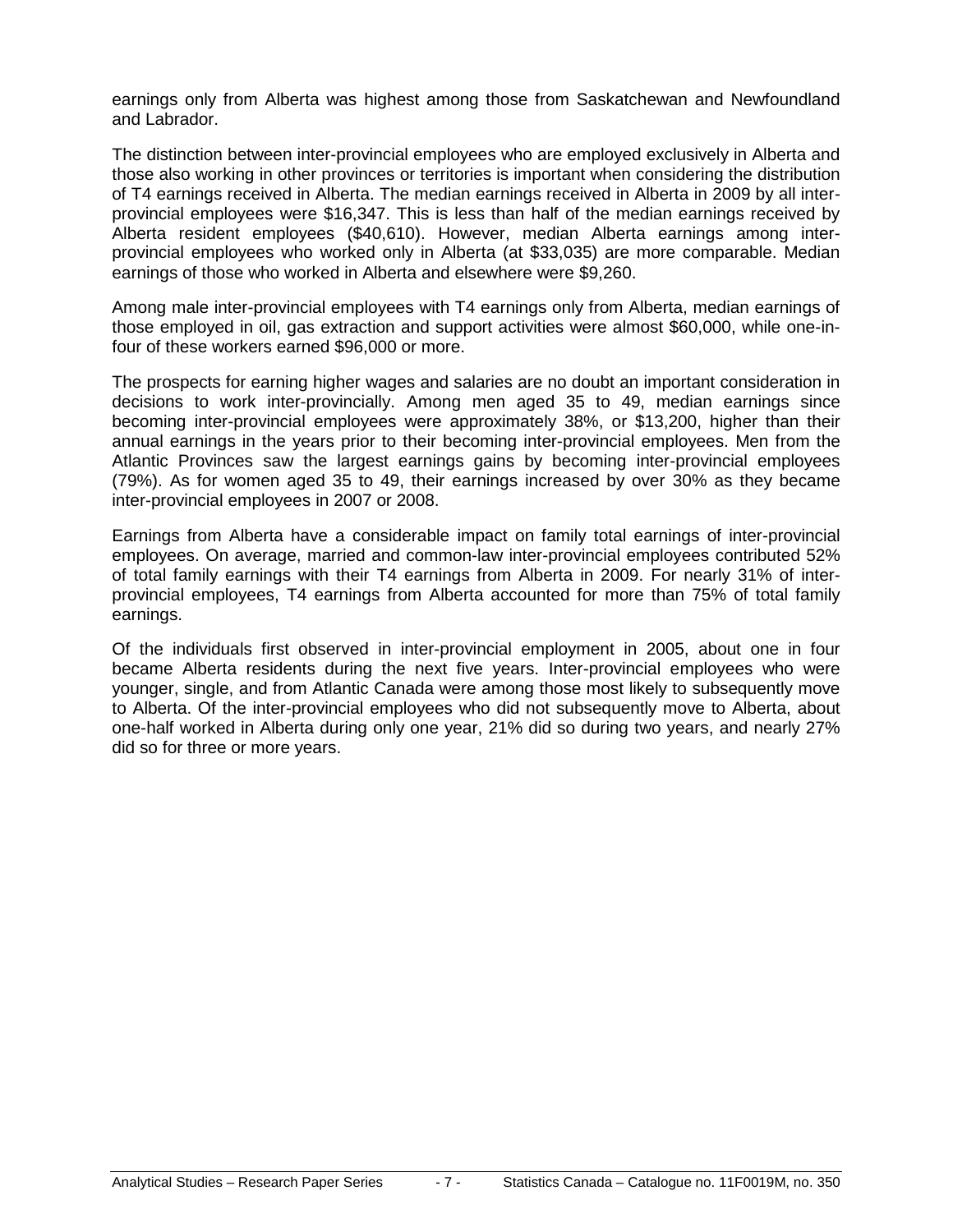earnings only from Alberta was highest among those from Saskatchewan and Newfoundland and Labrador.

The distinction between inter-provincial employees who are employed exclusively in Alberta and those also working in other provinces or territories is important when considering the distribution of T4 earnings received in Alberta. The median earnings received in Alberta in 2009 by all interprovincial employees were \$16,347. This is less than half of the median earnings received by Alberta resident employees (\$40,610). However, median Alberta earnings among interprovincial employees who worked only in Alberta (at \$33,035) are more comparable. Median earnings of those who worked in Alberta and elsewhere were \$9,260.

Among male inter-provincial employees with T4 earnings only from Alberta, median earnings of those employed in oil, gas extraction and support activities were almost \$60,000, while one-infour of these workers earned \$96,000 or more.

The prospects for earning higher wages and salaries are no doubt an important consideration in decisions to work inter-provincially. Among men aged 35 to 49, median earnings since becoming inter-provincial employees were approximately 38%, or \$13,200, higher than their annual earnings in the years prior to their becoming inter-provincial employees. Men from the Atlantic Provinces saw the largest earnings gains by becoming inter-provincial employees (79%). As for women aged 35 to 49, their earnings increased by over 30% as they became inter-provincial employees in 2007 or 2008.

Earnings from Alberta have a considerable impact on family total earnings of inter-provincial employees. On average, married and common-law inter-provincial employees contributed 52% of total family earnings with their T4 earnings from Alberta in 2009. For nearly 31% of interprovincial employees, T4 earnings from Alberta accounted for more than 75% of total family earnings.

Of the individuals first observed in inter-provincial employment in 2005, about one in four became Alberta residents during the next five years. Inter-provincial employees who were younger, single, and from Atlantic Canada were among those most likely to subsequently move to Alberta. Of the inter-provincial employees who did not subsequently move to Alberta, about one-half worked in Alberta during only one year, 21% did so during two years, and nearly 27% did so for three or more years.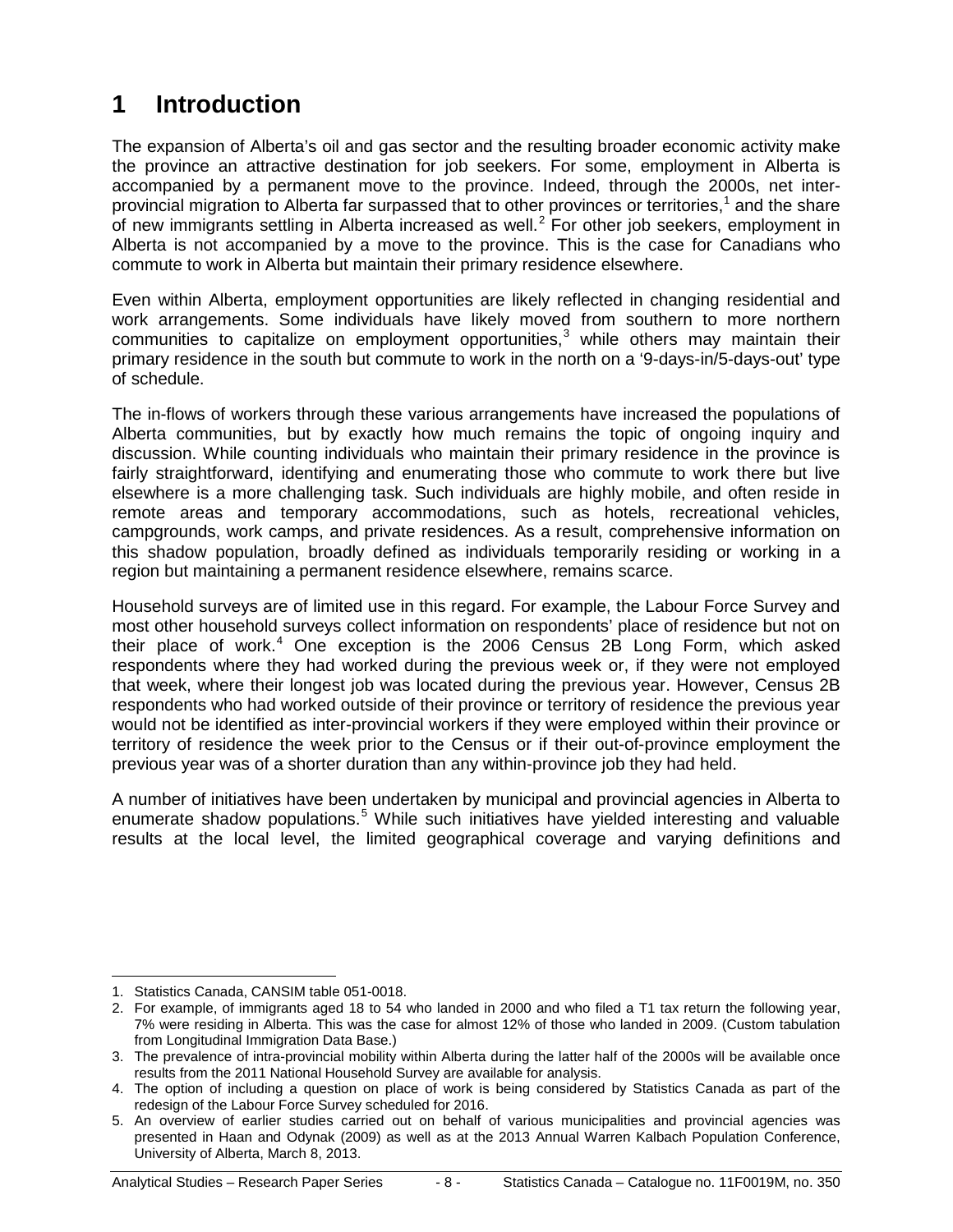## <span id="page-7-0"></span>**1 Introduction**

The expansion of Alberta's oil and gas sector and the resulting broader economic activity make the province an attractive destination for job seekers. For some, employment in Alberta is accompanied by a permanent move to the province. Indeed, through the 2000s, net interprovincial migration to Alberta far surpassed that to other provinces or territories, [1](#page-7-1) and the share of new immigrants settling in Alberta increased as well.<sup>[2](#page-7-2)</sup> For other job seekers, employment in Alberta is not accompanied by a move to the province. This is the case for Canadians who commute to work in Alberta but maintain their primary residence elsewhere.

Even within Alberta, employment opportunities are likely reflected in changing residential and work arrangements. Some individuals have likely moved from southern to more northern communities to capitalize on employment opportunities, [3](#page-7-3) while others may maintain their primary residence in the south but commute to work in the north on a '9-days-in/5-days-out' type of schedule.

The in-flows of workers through these various arrangements have increased the populations of Alberta communities, but by exactly how much remains the topic of ongoing inquiry and discussion. While counting individuals who maintain their primary residence in the province is fairly straightforward, identifying and enumerating those who commute to work there but live elsewhere is a more challenging task. Such individuals are highly mobile, and often reside in remote areas and temporary accommodations, such as hotels, recreational vehicles, campgrounds, work camps, and private residences. As a result, comprehensive information on this shadow population, broadly defined as individuals temporarily residing or working in a region but maintaining a permanent residence elsewhere, remains scarce.

Household surveys are of limited use in this regard. For example, the Labour Force Survey and most other household surveys collect information on respondents' place of residence but not on their place of work. $4$  One exception is the 2006 Census 2B Long Form, which asked respondents where they had worked during the previous week or, if they were not employed that week, where their longest job was located during the previous year. However, Census 2B respondents who had worked outside of their province or territory of residence the previous year would not be identified as inter-provincial workers if they were employed within their province or territory of residence the week prior to the Census or if their out-of-province employment the previous year was of a shorter duration than any within-province job they had held.

A number of initiatives have been undertaken by municipal and provincial agencies in Alberta to enumerate shadow populations.<sup>[5](#page-7-5)</sup> While such initiatives have yielded interesting and valuable results at the local level, the limited geographical coverage and varying definitions and

 <sup>1.</sup> Statistics Canada, CANSIM table 051-0018.

<span id="page-7-2"></span><span id="page-7-1"></span><sup>2.</sup> For example, of immigrants aged 18 to 54 who landed in 2000 and who filed a T1 tax return the following year, 7% were residing in Alberta. This was the case for almost 12% of those who landed in 2009. (Custom tabulation from Longitudinal Immigration Data Base.)

<span id="page-7-3"></span><sup>3.</sup> The prevalence of intra-provincial mobility within Alberta during the latter half of the 2000s will be available once results from the 2011 National Household Survey are available for analysis.

<span id="page-7-4"></span><sup>4.</sup> The option of including a question on place of work is being considered by Statistics Canada as part of the redesign of the Labour Force Survey scheduled for 2016.

<span id="page-7-5"></span><sup>5.</sup> An overview of earlier studies carried out on behalf of various municipalities and provincial agencies was presented in Haan and Odynak (2009) as well as at the 2013 Annual Warren Kalbach Population Conference, University of Alberta, March 8, 2013.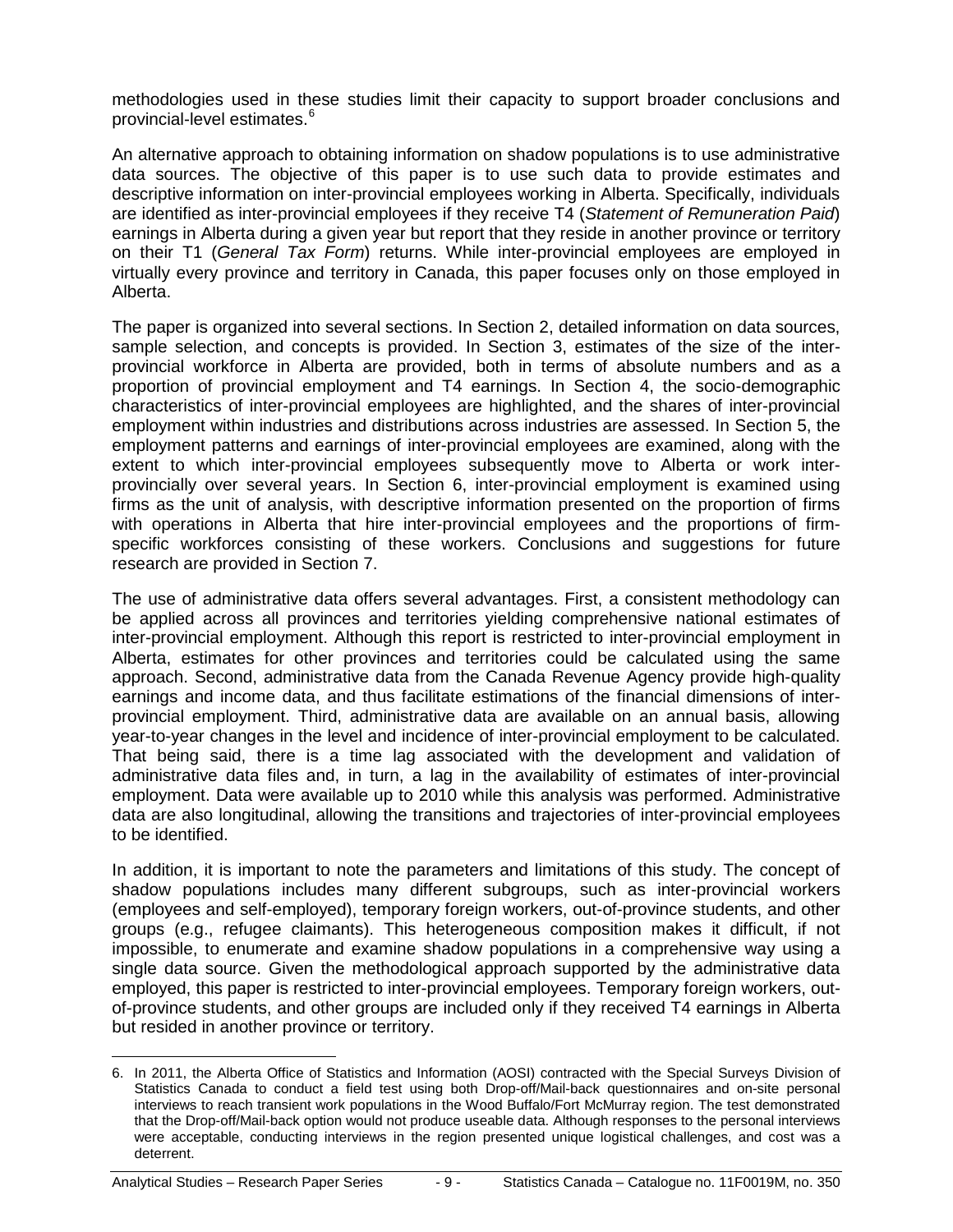methodologies used in these studies limit their capacity to support broader conclusions and provincial-level estimates. [6](#page-8-0)

An alternative approach to obtaining information on shadow populations is to use administrative data sources. The objective of this paper is to use such data to provide estimates and descriptive information on inter-provincial employees working in Alberta. Specifically, individuals are identified as inter-provincial employees if they receive T4 (*Statement of Remuneration Paid*) earnings in Alberta during a given year but report that they reside in another province or territory on their T1 (*General Tax Form*) returns. While inter-provincial employees are employed in virtually every province and territory in Canada, this paper focuses only on those employed in Alberta.

The paper is organized into several sections. In Section 2, detailed information on data sources, sample selection, and concepts is provided. In Section 3, estimates of the size of the interprovincial workforce in Alberta are provided, both in terms of absolute numbers and as a proportion of provincial employment and T4 earnings. In Section 4, the socio-demographic characteristics of inter-provincial employees are highlighted, and the shares of inter-provincial employment within industries and distributions across industries are assessed. In Section 5, the employment patterns and earnings of inter-provincial employees are examined, along with the extent to which inter-provincial employees subsequently move to Alberta or work interprovincially over several years. In Section 6, inter-provincial employment is examined using firms as the unit of analysis, with descriptive information presented on the proportion of firms with operations in Alberta that hire inter-provincial employees and the proportions of firmspecific workforces consisting of these workers. Conclusions and suggestions for future research are provided in Section 7.

The use of administrative data offers several advantages. First, a consistent methodology can be applied across all provinces and territories yielding comprehensive national estimates of inter-provincial employment. Although this report is restricted to inter-provincial employment in Alberta, estimates for other provinces and territories could be calculated using the same approach. Second, administrative data from the Canada Revenue Agency provide high-quality earnings and income data, and thus facilitate estimations of the financial dimensions of interprovincial employment. Third, administrative data are available on an annual basis, allowing year-to-year changes in the level and incidence of inter-provincial employment to be calculated. That being said, there is a time lag associated with the development and validation of administrative data files and, in turn, a lag in the availability of estimates of inter-provincial employment. Data were available up to 2010 while this analysis was performed. Administrative data are also longitudinal, allowing the transitions and trajectories of inter-provincial employees to be identified.

In addition, it is important to note the parameters and limitations of this study. The concept of shadow populations includes many different subgroups, such as inter-provincial workers (employees and self-employed), temporary foreign workers, out-of-province students, and other groups (e.g., refugee claimants). This heterogeneous composition makes it difficult, if not impossible, to enumerate and examine shadow populations in a comprehensive way using a single data source. Given the methodological approach supported by the administrative data employed, this paper is restricted to inter-provincial employees. Temporary foreign workers, outof-province students, and other groups are included only if they received T4 earnings in Alberta but resided in another province or territory.

<span id="page-8-0"></span> <sup>6.</sup> In 2011, the Alberta Office of Statistics and Information (AOSI) contracted with the Special Surveys Division of Statistics Canada to conduct a field test using both Drop-off/Mail-back questionnaires and on-site personal interviews to reach transient work populations in the Wood Buffalo/Fort McMurray region. The test demonstrated that the Drop-off/Mail-back option would not produce useable data. Although responses to the personal interviews were acceptable, conducting interviews in the region presented unique logistical challenges, and cost was a deterrent.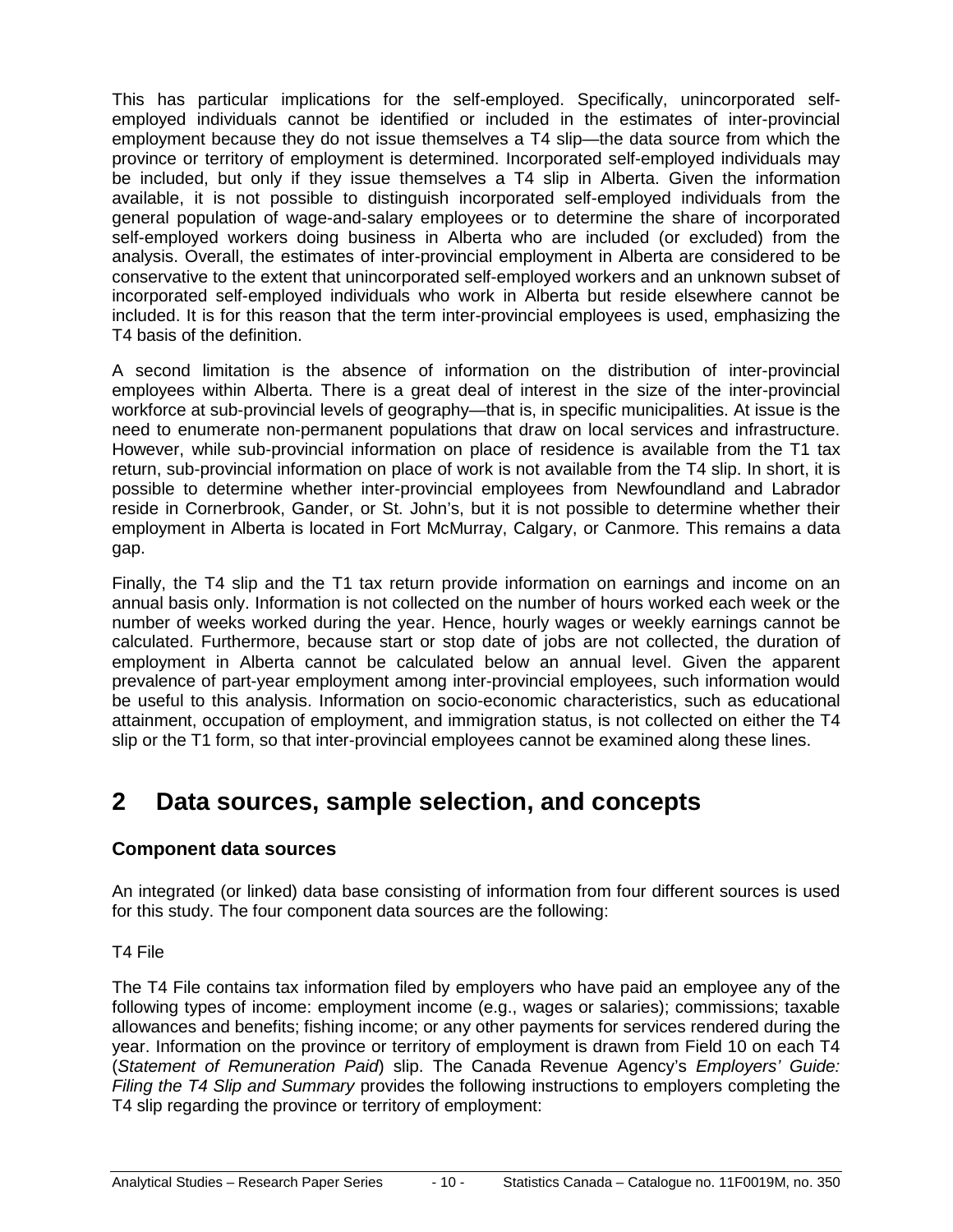This has particular implications for the self-employed. Specifically, unincorporated selfemployed individuals cannot be identified or included in the estimates of inter-provincial employment because they do not issue themselves a T4 slip—the data source from which the province or territory of employment is determined. Incorporated self-employed individuals may be included, but only if they issue themselves a T4 slip in Alberta. Given the information available, it is not possible to distinguish incorporated self-employed individuals from the general population of wage-and-salary employees or to determine the share of incorporated self-employed workers doing business in Alberta who are included (or excluded) from the analysis. Overall, the estimates of inter-provincial employment in Alberta are considered to be conservative to the extent that unincorporated self-employed workers and an unknown subset of incorporated self-employed individuals who work in Alberta but reside elsewhere cannot be included. It is for this reason that the term inter-provincial employees is used, emphasizing the T4 basis of the definition.

A second limitation is the absence of information on the distribution of inter-provincial employees within Alberta. There is a great deal of interest in the size of the inter-provincial workforce at sub-provincial levels of geography—that is, in specific municipalities. At issue is the need to enumerate non-permanent populations that draw on local services and infrastructure. However, while sub-provincial information on place of residence is available from the T1 tax return, sub-provincial information on place of work is not available from the T4 slip. In short, it is possible to determine whether inter-provincial employees from Newfoundland and Labrador reside in Cornerbrook, Gander, or St. John's, but it is not possible to determine whether their employment in Alberta is located in Fort McMurray, Calgary, or Canmore. This remains a data gap.

Finally, the T4 slip and the T1 tax return provide information on earnings and income on an annual basis only. Information is not collected on the number of hours worked each week or the number of weeks worked during the year. Hence, hourly wages or weekly earnings cannot be calculated. Furthermore, because start or stop date of jobs are not collected, the duration of employment in Alberta cannot be calculated below an annual level. Given the apparent prevalence of part-year employment among inter-provincial employees, such information would be useful to this analysis. Information on socio-economic characteristics, such as educational attainment, occupation of employment, and immigration status, is not collected on either the T4 slip or the T1 form, so that inter-provincial employees cannot be examined along these lines.

### <span id="page-9-0"></span>**2 Data sources, sample selection, and concepts**

#### **Component data sources**

An integrated (or linked) data base consisting of information from four different sources is used for this study. The four component data sources are the following:

#### T4 File

The T4 File contains tax information filed by employers who have paid an employee any of the following types of income: employment income (e.g., wages or salaries); commissions; taxable allowances and benefits; fishing income; or any other payments for services rendered during the year. Information on the province or territory of employment is drawn from Field 10 on each T4 (*Statement of Remuneration Paid*) slip. The Canada Revenue Agency's *Employers' Guide: Filing the T4 Slip and Summary* provides the following instructions to employers completing the T4 slip regarding the province or territory of employment: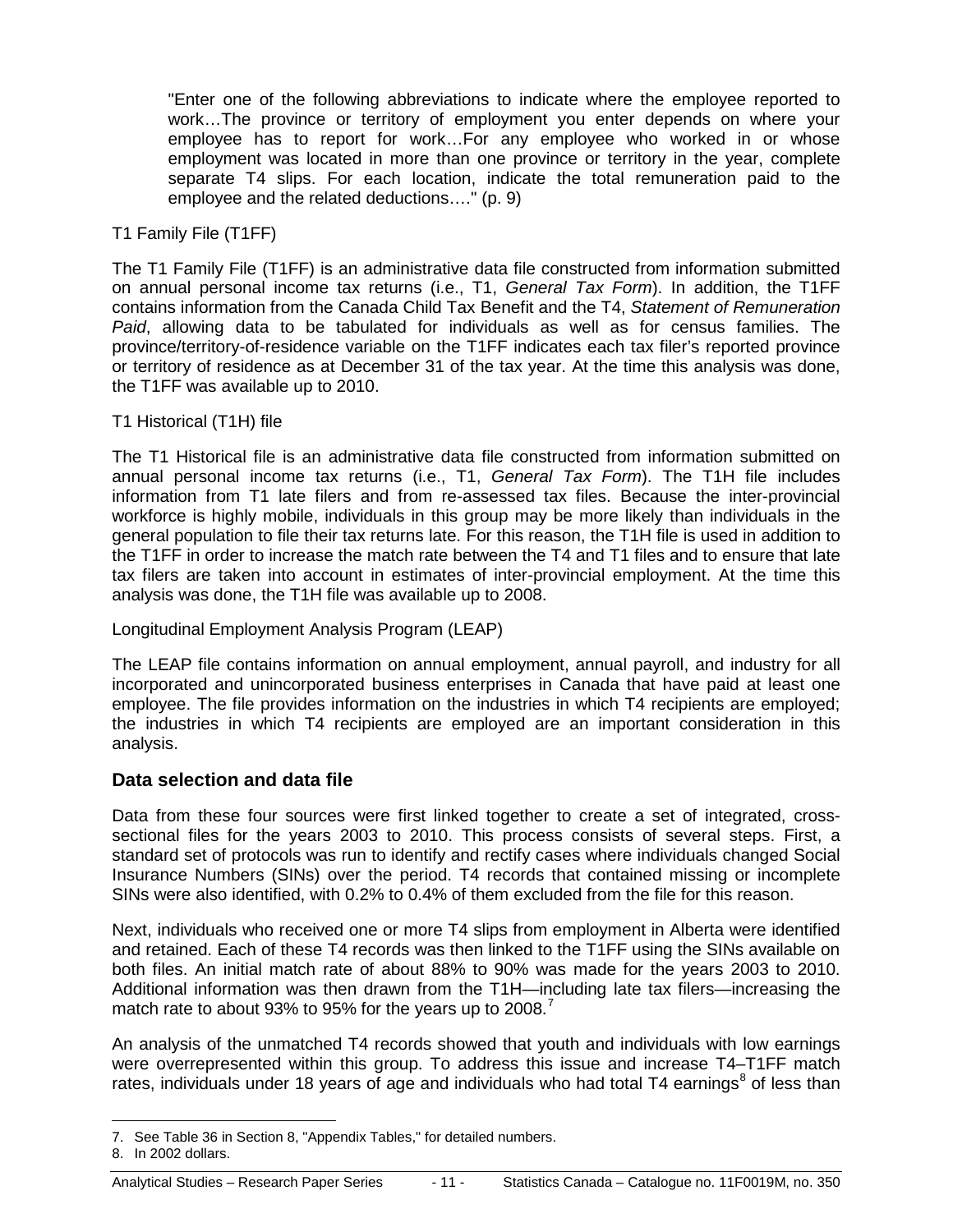"Enter one of the following abbreviations to indicate where the employee reported to work…The province or territory of employment you enter depends on where your employee has to report for work…For any employee who worked in or whose employment was located in more than one province or territory in the year, complete separate T4 slips. For each location, indicate the total remuneration paid to the employee and the related deductions…." (p. 9)

#### T1 Family File (T1FF)

The T1 Family File (T1FF) is an administrative data file constructed from information submitted on annual personal income tax returns (i.e., T1, *General Tax Form*). In addition, the T1FF contains information from the Canada Child Tax Benefit and the T4, *Statement of Remuneration Paid*, allowing data to be tabulated for individuals as well as for census families. The province/territory-of-residence variable on the T1FF indicates each tax filer's reported province or territory of residence as at December 31 of the tax year. At the time this analysis was done, the T1FF was available up to 2010.

#### T1 Historical (T1H) file

The T1 Historical file is an administrative data file constructed from information submitted on annual personal income tax returns (i.e., T1, *General Tax Form*). The T1H file includes information from T1 late filers and from re-assessed tax files. Because the inter-provincial workforce is highly mobile, individuals in this group may be more likely than individuals in the general population to file their tax returns late. For this reason, the T1H file is used in addition to the T1FF in order to increase the match rate between the T4 and T1 files and to ensure that late tax filers are taken into account in estimates of inter-provincial employment. At the time this analysis was done, the T1H file was available up to 2008.

#### Longitudinal Employment Analysis Program (LEAP)

The LEAP file contains information on annual employment, annual payroll, and industry for all incorporated and unincorporated business enterprises in Canada that have paid at least one employee. The file provides information on the industries in which T4 recipients are employed; the industries in which T4 recipients are employed are an important consideration in this analysis.

#### **Data selection and data file**

Data from these four sources were first linked together to create a set of integrated, crosssectional files for the years 2003 to 2010. This process consists of several steps. First, a standard set of protocols was run to identify and rectify cases where individuals changed Social Insurance Numbers (SINs) over the period. T4 records that contained missing or incomplete SINs were also identified, with 0.2% to 0.4% of them excluded from the file for this reason.

Next, individuals who received one or more T4 slips from employment in Alberta were identified and retained. Each of these T4 records was then linked to the T1FF using the SINs available on both files. An initial match rate of about 88% to 90% was made for the years 2003 to 2010. Additional information was then drawn from the T1H—including late tax filers—increasing the match rate to about 93% to 95% for the years up to 2008.<sup>[7](#page-10-0)</sup>

An analysis of the unmatched T4 records showed that youth and individuals with low earnings were overrepresented within this group. To address this issue and increase T4–T1FF match rates, individuals under 1[8](#page-10-1) years of age and individuals who had total T4 earnings<sup>8</sup> of less than

<span id="page-10-0"></span> <sup>7.</sup> See Table 36 in Section 8, "Appendix Tables," for detailed numbers.

<span id="page-10-1"></span><sup>8.</sup> In 2002 dollars.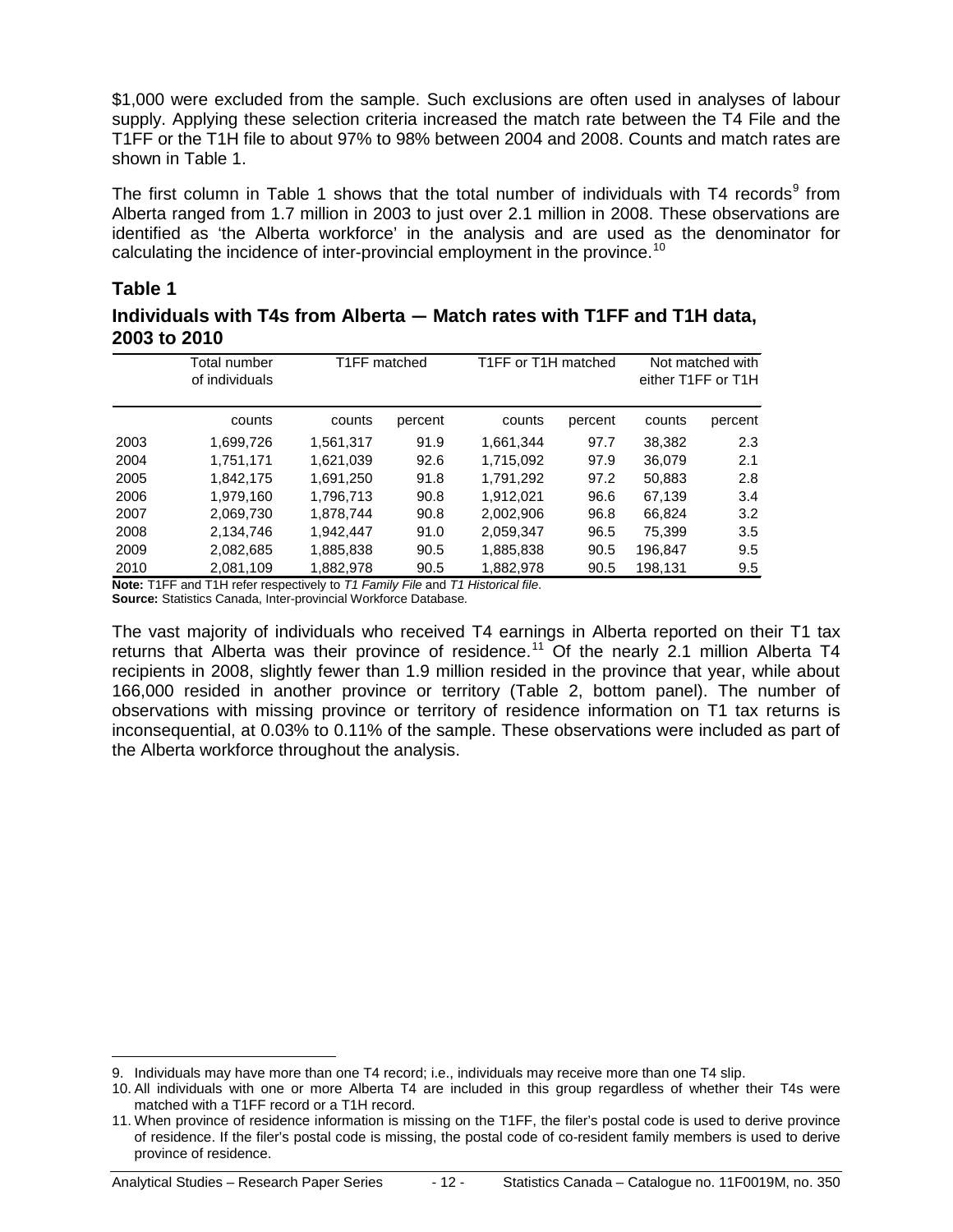\$1,000 were excluded from the sample. Such exclusions are often used in analyses of labour supply. Applying these selection criteria increased the match rate between the T4 File and the T1FF or the T1H file to about 97% to 98% between 2004 and 2008. Counts and match rates are shown in Table 1.

The first column in Table 1 shows that the total number of individuals with T4 records<sup>[9](#page-11-0)</sup> from Alberta ranged from 1.7 million in 2003 to just over 2.1 million in 2008. These observations are identified as 'the Alberta workforce' in the analysis and are used as the denominator for calculating the incidence of inter-provincial employment in the province.<sup>[10](#page-11-1)</sup>

#### **Table 1**

**Individuals with T4s from Alberta — Match rates with T1FF and T1H data, 2003 to 2010**

| Total number<br>of individuals |           |         |              |                                                                                |                     | Not matched with<br>either T1FF or T1H |
|--------------------------------|-----------|---------|--------------|--------------------------------------------------------------------------------|---------------------|----------------------------------------|
| counts                         | counts    | percent | counts       | percent                                                                        | counts              | percent                                |
| 1,699,726                      | 1,561,317 | 91.9    | 1.661.344    | 97.7                                                                           | 38.382              | 2.3                                    |
| 1.751.171                      | 1.621.039 | 92.6    | 1.715.092    | 97.9                                                                           | 36.079              | 2.1                                    |
| 1,842,175                      | 1.691.250 | 91.8    | 1.791.292    | 97.2                                                                           | 50,883              | 2.8                                    |
| 1.979.160                      | 1.796.713 | 90.8    | 1,912,021    | 96.6                                                                           | 67.139              | 3.4                                    |
| 2.069.730                      | 1.878.744 | 90.8    | 2.002.906    | 96.8                                                                           | 66.824              | 3.2                                    |
| 2.134.746                      | 1.942.447 | 91.0    | 2.059.347    | 96.5                                                                           | 75.399              | 3.5                                    |
| 2.082.685                      | 1.885.838 | 90.5    | 1,885,838    | 90.5                                                                           | 196.847             | 9.5                                    |
| 2,081,109                      | 1,882,978 | 90.5    | 1,882,978    | 90.5                                                                           | 198,131             | 9.5                                    |
|                                |           |         | T1FF matched | Note: T1EE and T1H rator respectively to T1 Family File and T1 Historical file | T1FF or T1H matched |                                        |

**Note:** T1FF and T1H refer respectively to *T1 Family File* and *T1 Historical file*. **Source:** Statistics Canada, Inter-provincial Workforce Database.

The vast majority of individuals who received T4 earnings in Alberta reported on their T1 tax returns that Alberta was their province of residence.<sup>[11](#page-11-2)</sup> Of the nearly 2.1 million Alberta T4 recipients in 2008, slightly fewer than 1.9 million resided in the province that year, while about 166,000 resided in another province or territory (Table 2, bottom panel). The number of observations with missing province or territory of residence information on T1 tax returns is inconsequential, at 0.03% to 0.11% of the sample. These observations were included as part of the Alberta workforce throughout the analysis.

<span id="page-11-1"></span><span id="page-11-0"></span> <sup>9.</sup> Individuals may have more than one T4 record; i.e., individuals may receive more than one T4 slip.

<sup>10.</sup> All individuals with one or more Alberta T4 are included in this group regardless of whether their T4s were matched with a T1FF record or a T1H record.

<span id="page-11-2"></span><sup>11.</sup> When province of residence information is missing on the T1FF, the filer's postal code is used to derive province of residence. If the filer's postal code is missing, the postal code of co-resident family members is used to derive province of residence.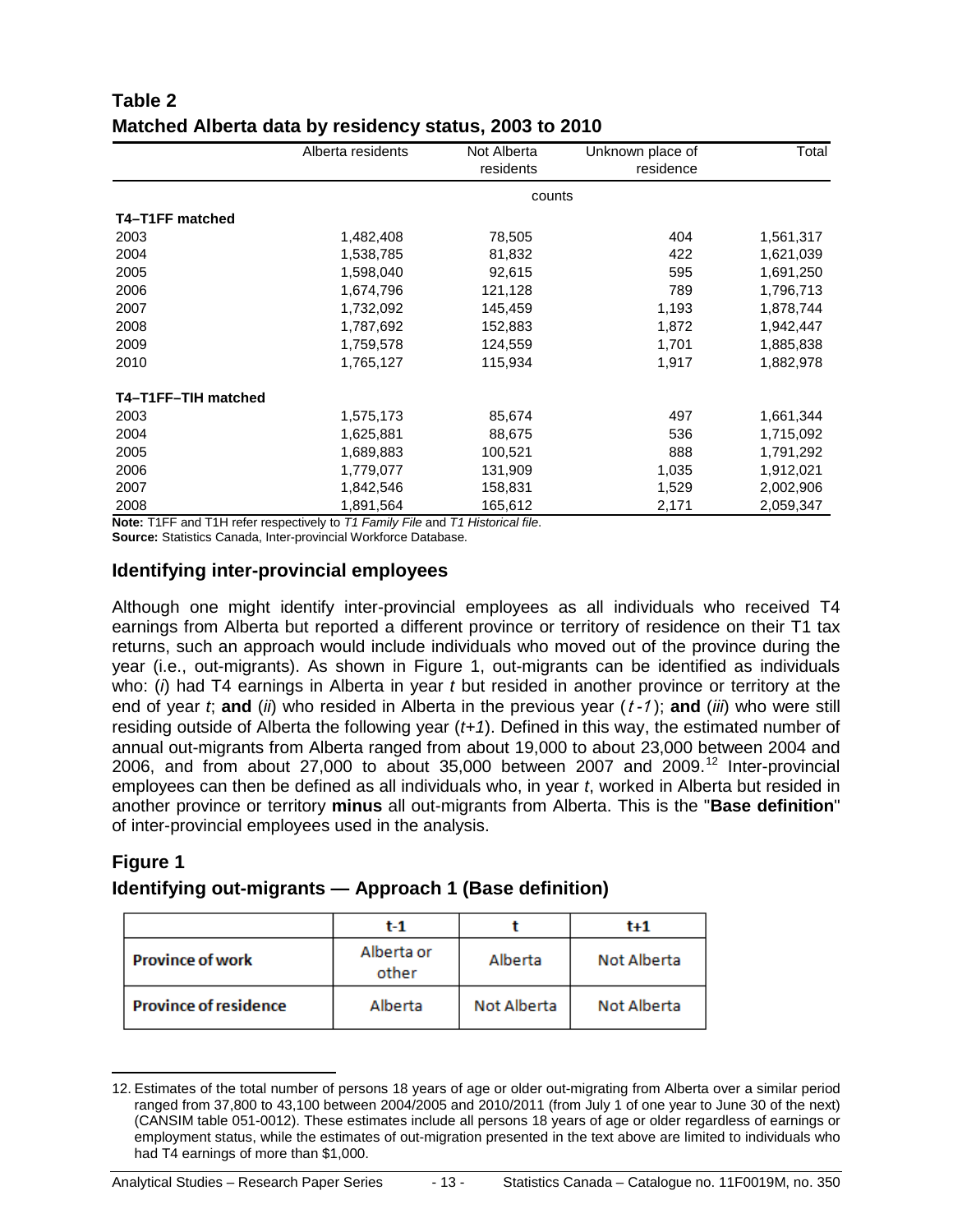|                     | Alberta residents | Not Alberta<br>residents | Unknown place of<br>residence | Total     |
|---------------------|-------------------|--------------------------|-------------------------------|-----------|
|                     |                   | counts                   |                               |           |
| T4-T1FF matched     |                   |                          |                               |           |
| 2003                | 1,482,408         | 78,505                   | 404                           | 1,561,317 |
| 2004                | 1,538,785         | 81,832                   | 422                           | 1,621,039 |
| 2005                | 1,598,040         | 92,615                   | 595                           | 1,691,250 |
| 2006                | 1,674,796         | 121,128                  | 789                           | 1,796,713 |
| 2007                | 1,732,092         | 145,459                  | 1,193                         | 1,878,744 |
| 2008                | 1,787,692         | 152,883                  | 1,872                         | 1,942,447 |
| 2009                | 1,759,578         | 124,559                  | 1,701                         | 1,885,838 |
| 2010                | 1,765,127         | 115,934                  | 1,917                         | 1,882,978 |
| T4-T1FF-TIH matched |                   |                          |                               |           |
| 2003                | 1,575,173         | 85,674                   | 497                           | 1,661,344 |
| 2004                | 1,625,881         | 88,675                   | 536                           | 1,715,092 |
| 2005                | 1,689,883         | 100,521                  | 888                           | 1,791,292 |
| 2006                | 1,779,077         | 131,909                  | 1,035                         | 1,912,021 |
| 2007                | 1,842,546         | 158,831                  | 1,529                         | 2,002,906 |
| 2008                | 1,891,564         | 165,612                  | 2,171                         | 2,059,347 |

### **Table 2 Matched Alberta data by residency status, 2003 to 2010**

**Note:** T1FF and T1H refer respectively to *T1 Family File* and *T1 Historical file*.

**Source:** Statistics Canada, Inter-provincial Workforce Database.

#### **Identifying inter-provincial employees**

Although one might identify inter-provincial employees as all individuals who received T4 earnings from Alberta but reported a different province or territory of residence on their T1 tax returns, such an approach would include individuals who moved out of the province during the year (i.e., out-migrants). As shown in Figure 1, out-migrants can be identified as individuals who: (*i*) had T4 earnings in Alberta in year *t* but resided in another province or territory at the end of year *t*; **and** (*ii*) who resided in Alberta in the previous year (<sup>t</sup> -1 ); **and** (*iii*) who were still residing outside of Alberta the following year (*t+1*). Defined in this way, the estimated number of annual out-migrants from Alberta ranged from about 19,000 to about 23,000 between 2004 and 2006, and from about 27,000 to about  $35,000$  between 2007 and 2009.<sup>[12](#page-12-0)</sup> Inter-provincial employees can then be defined as all individuals who, in year *t*, worked in Alberta but resided in another province or territory **minus** all out-migrants from Alberta. This is the "**Base definition**" of inter-provincial employees used in the analysis.

#### **Figure 1**

### **Identifying out-migrants — Approach 1 (Base definition)**

|                              | t-1                 |             | $t + 1$     |
|------------------------------|---------------------|-------------|-------------|
| <b>Province of work</b>      | Alberta or<br>other | Alberta     | Not Alberta |
| <b>Province of residence</b> | Alberta             | Not Alberta | Not Alberta |

<span id="page-12-0"></span> <sup>12.</sup> Estimates of the total number of persons 18 years of age or older out-migrating from Alberta over a similar period ranged from 37,800 to 43,100 between 2004/2005 and 2010/2011 (from July 1 of one year to June 30 of the next) (CANSIM table 051-0012). These estimates include all persons 18 years of age or older regardless of earnings or employment status, while the estimates of out-migration presented in the text above are limited to individuals who had T4 earnings of more than \$1,000.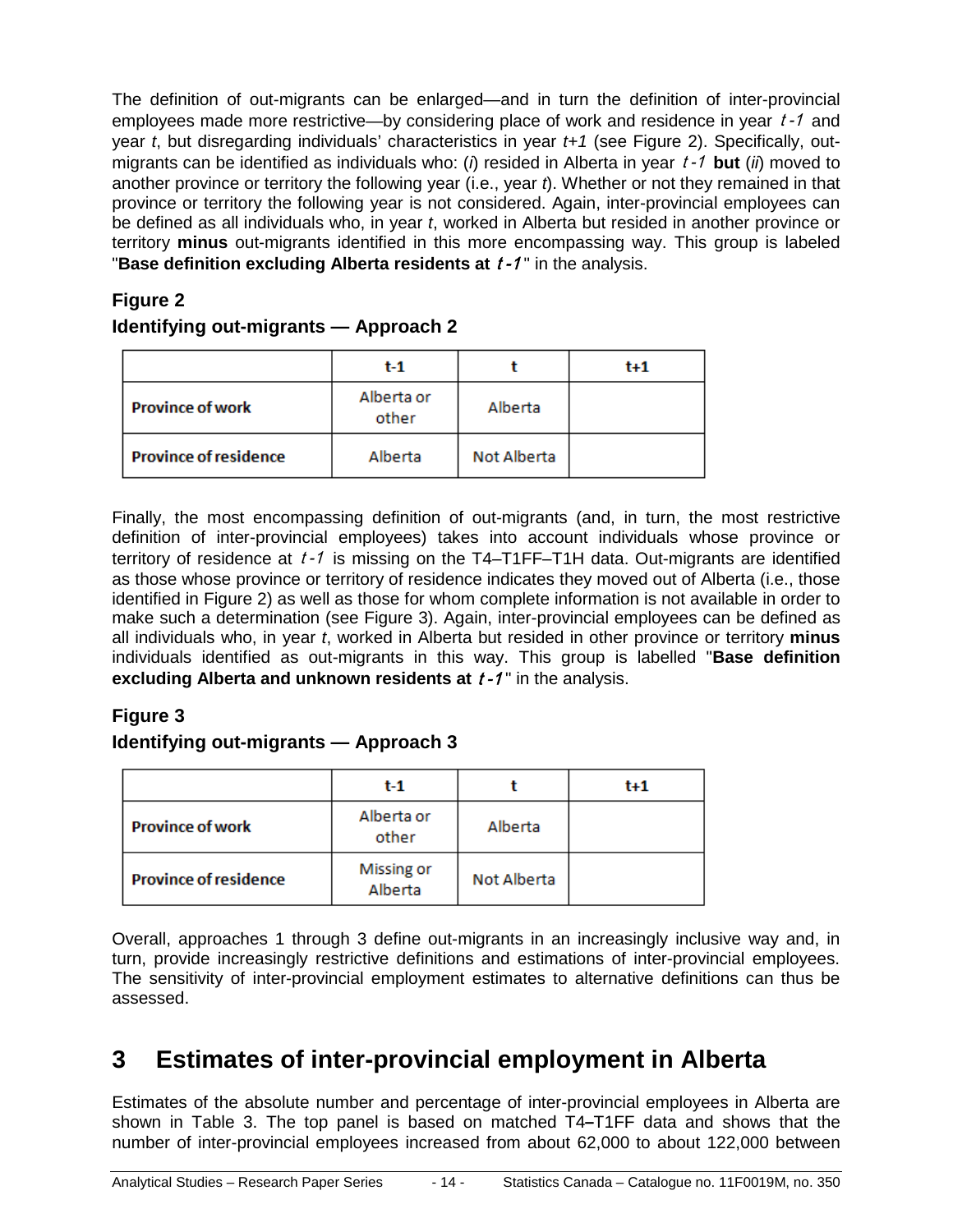The definition of out-migrants can be enlarged—and in turn the definition of inter-provincial employees made more restrictive—by considering place of work and residence in year t-1 and year *t*, but disregarding individuals' characteristics in year *t+1* (see Figure 2). Specifically, outmigrants can be identified as individuals who: (*i*) resided in Alberta in year <sup>t</sup> -1 **but** (*ii*) moved to another province or territory the following year (i.e., year *t*). Whether or not they remained in that province or territory the following year is not considered. Again, inter-provincial employees can be defined as all individuals who, in year *t*, worked in Alberta but resided in another province or territory **minus** out-migrants identified in this more encompassing way. This group is labeled **"Base definition excluding Alberta residents at**  $t - 1$ **" in the analysis.** 

### **Figure 2 Identifying out-migrants — Approach 2**

|                              | $t-1$               |             | $t+1$ |
|------------------------------|---------------------|-------------|-------|
| <b>Province of work</b>      | Alberta or<br>other | Alberta     |       |
| <b>Province of residence</b> | Alberta             | Not Alberta |       |

Finally, the most encompassing definition of out-migrants (and, in turn, the most restrictive definition of inter-provincial employees) takes into account individuals whose province or territory of residence at  $t - 1$  is missing on the T4-T1FF-T1H data. Out-migrants are identified as those whose province or territory of residence indicates they moved out of Alberta (i.e., those identified in Figure 2) as well as those for whom complete information is not available in order to make such a determination (see Figure 3). Again, inter-provincial employees can be defined as all individuals who, in year *t*, worked in Alberta but resided in other province or territory **minus** individuals identified as out-migrants in this way. This group is labelled "**Base definition excluding Alberta and unknown residents at**  $t - 1$  **in the analysis.** 

### **Figure 3**

### **Identifying out-migrants — Approach 3**

|                              | $t-1$                 |             | $t+1$ |
|------------------------------|-----------------------|-------------|-------|
| <b>Province of work</b>      | Alberta or<br>other   | Alberta     |       |
| <b>Province of residence</b> | Missing or<br>Alberta | Not Alberta |       |

Overall, approaches 1 through 3 define out-migrants in an increasingly inclusive way and, in turn, provide increasingly restrictive definitions and estimations of inter-provincial employees. The sensitivity of inter-provincial employment estimates to alternative definitions can thus be assessed.

## <span id="page-13-0"></span>**3 Estimates of inter-provincial employment in Alberta**

Estimates of the absolute number and percentage of inter-provincial employees in Alberta are shown in Table 3. The top panel is based on matched T4**–**T1FF data and shows that the number of inter-provincial employees increased from about 62,000 to about 122,000 between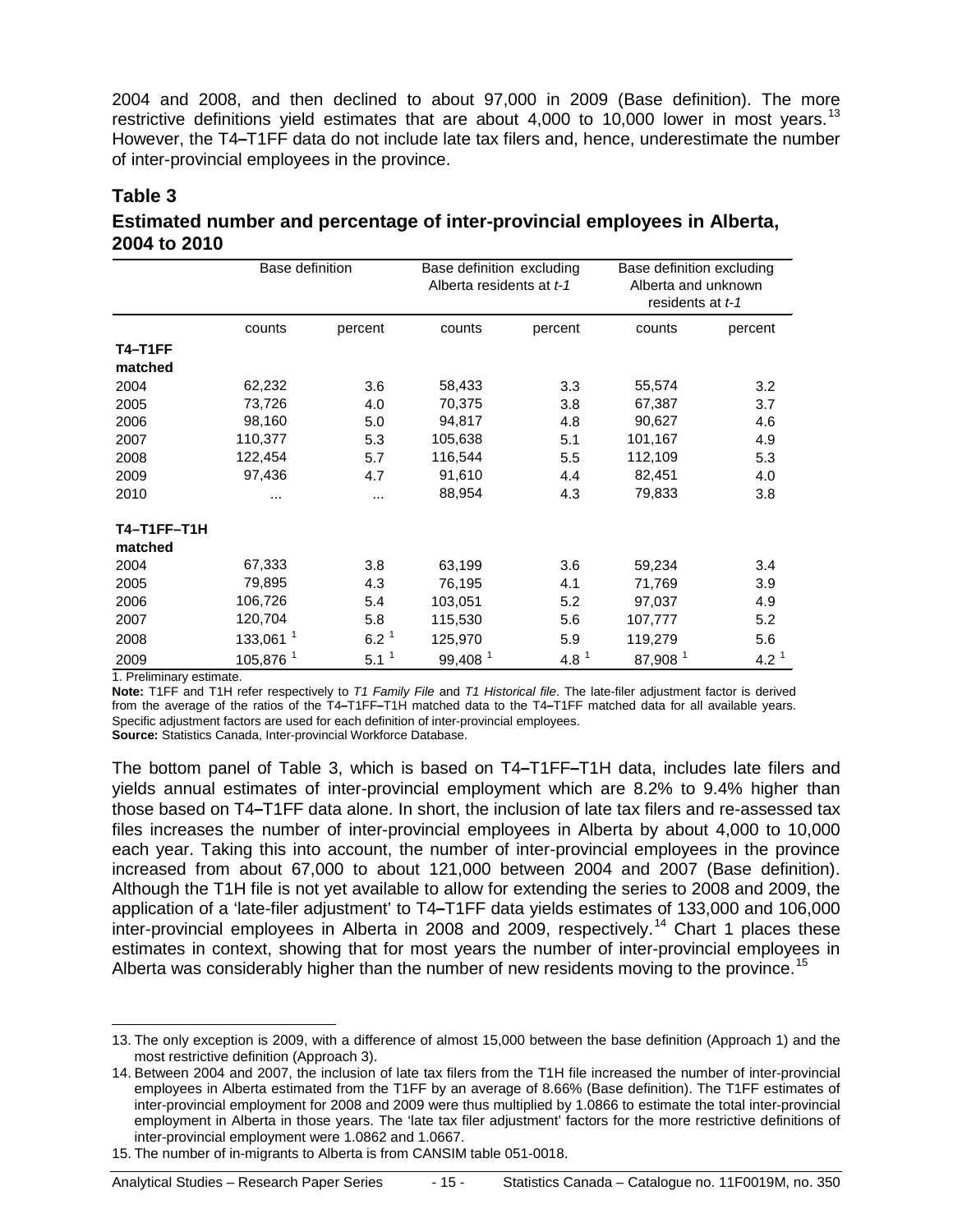2004 and 2008, and then declined to about 97,000 in 2009 (Base definition). The more restrictive definitions yield estimates that are about  $4,000$  to 10,000 lower in most years.<sup>[13](#page-14-0)</sup> However, the T4**–**T1FF data do not include late tax filers and, hence, underestimate the number of inter-provincial employees in the province.

#### **Table 3**

| Estimated number and percentage of inter-provincial employees in Alberta, |  |
|---------------------------------------------------------------------------|--|
| 2004 to 2010                                                              |  |

|                    | Base definition      |                     | Base definition excluding<br>Alberta residents at t-1 |                  | Base definition excluding<br>Alberta and unknown<br>residents at t-1 |         |
|--------------------|----------------------|---------------------|-------------------------------------------------------|------------------|----------------------------------------------------------------------|---------|
|                    | counts               | percent             | counts                                                | percent          | counts                                                               | percent |
| <b>T4-T1FF</b>     |                      |                     |                                                       |                  |                                                                      |         |
| matched            |                      |                     |                                                       |                  |                                                                      |         |
| 2004               | 62,232               | 3.6                 | 58,433                                                | 3.3              | 55,574                                                               | 3.2     |
| 2005               | 73,726               | 4.0                 | 70,375                                                | 3.8              | 67,387                                                               | 3.7     |
| 2006               | 98,160               | 5.0                 | 94,817                                                | 4.8              | 90,627                                                               | 4.6     |
| 2007               | 110,377              | 5.3                 | 105,638                                               | 5.1              | 101,167                                                              | 4.9     |
| 2008               | 122,454              | 5.7                 | 116,544                                               | 5.5              | 112,109                                                              | 5.3     |
| 2009               | 97,436               | 4.7                 | 91,610                                                | 4.4              | 82,451                                                               | 4.0     |
| 2010               |                      |                     | 88,954                                                | 4.3              | 79,833                                                               | 3.8     |
| <b>T4-T1FF-T1H</b> |                      |                     |                                                       |                  |                                                                      |         |
| matched            |                      |                     |                                                       |                  |                                                                      |         |
| 2004               | 67,333               | 3.8                 | 63,199                                                | 3.6              | 59,234                                                               | 3.4     |
| 2005               | 79,895               | 4.3                 | 76,195                                                | 4.1              | 71,769                                                               | 3.9     |
| 2006               | 106,726              | 5.4                 | 103,051                                               | 5.2              | 97,037                                                               | 4.9     |
| 2007               | 120,704              | 5.8                 | 115,530                                               | 5.6              | 107,777                                                              | 5.2     |
| 2008               | 133,061 <sup>1</sup> | $6.2^{\frac{1}{2}}$ | 125,970                                               | 5.9              | 119,279                                                              | 5.6     |
| 2009               | 105,876 <sup>1</sup> | $5.1^1$             | 99,408 <sup>1</sup>                                   | $4.8^{\text{1}}$ | 87,908 <sup>1</sup>                                                  | $4.2^1$ |

1. Preliminary estimate.

**Note:** T1FF and T1H refer respectively to *T1 Family File* and *T1 Historical file*. The late-filer adjustment factor is derived from the average of the ratios of the T4**–**T1FF**–**T1H matched data to the T4**–**T1FF matched data for all available years. Specific adjustment factors are used for each definition of inter-provincial employees.

**Source:** Statistics Canada, Inter-provincial Workforce Database.

The bottom panel of Table 3, which is based on T4**–**T1FF**–**T1H data, includes late filers and yields annual estimates of inter-provincial employment which are 8.2% to 9.4% higher than those based on T4**–**T1FF data alone. In short, the inclusion of late tax filers and re-assessed tax files increases the number of inter-provincial employees in Alberta by about 4,000 to 10,000 each year. Taking this into account, the number of inter-provincial employees in the province increased from about 67,000 to about 121,000 between 2004 and 2007 (Base definition). Although the T1H file is not yet available to allow for extending the series to 2008 and 2009, the application of a 'late-filer adjustment' to T4**–**T1FF data yields estimates of 133,000 and 106,000 inter-provincial employees in Alberta in 2008 and 2009, respectively.<sup>[14](#page-14-1)</sup> Chart 1 places these estimates in context, showing that for most years the number of inter-provincial employees in Alberta was considerably higher than the number of new residents moving to the province.<sup>[15](#page-14-2)</sup>

<span id="page-14-0"></span> <sup>13.</sup> The only exception is 2009, with a difference of almost 15,000 between the base definition (Approach 1) and the most restrictive definition (Approach 3).

<span id="page-14-1"></span><sup>14.</sup> Between 2004 and 2007, the inclusion of late tax filers from the T1H file increased the number of inter-provincial employees in Alberta estimated from the T1FF by an average of 8.66% (Base definition). The T1FF estimates of inter-provincial employment for 2008 and 2009 were thus multiplied by 1.0866 to estimate the total inter-provincial employment in Alberta in those years. The 'late tax filer adjustment' factors for the more restrictive definitions of inter-provincial employment were 1.0862 and 1.0667.

<span id="page-14-2"></span><sup>15.</sup> The number of in-migrants to Alberta is from CANSIM table 051-0018.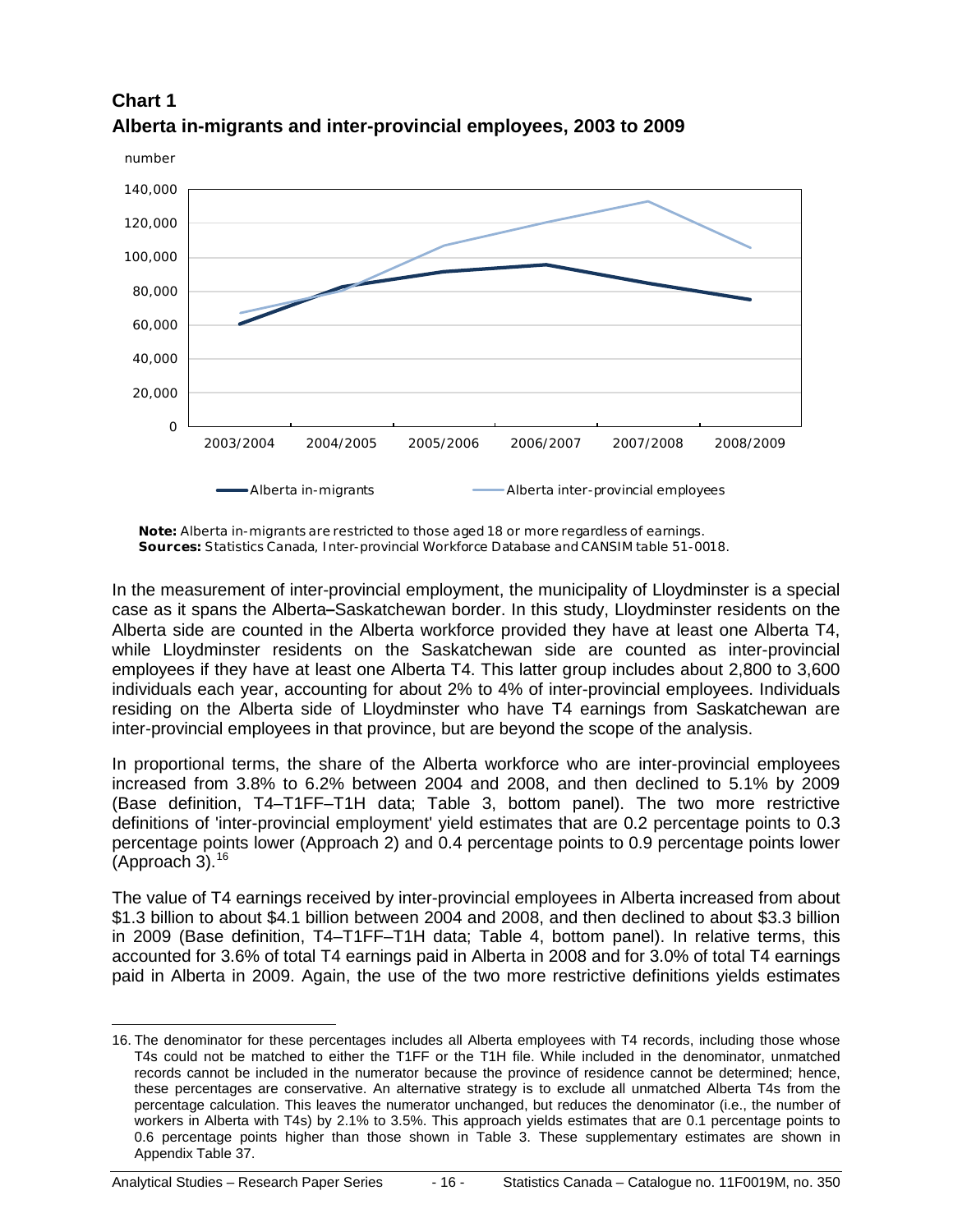



**Note:** Alberta in-migrants are restricted to those aged 18 or more regardless of earnings. **Sources:** Statistics Canada, Inter-provincial Workforce Database and CANSIM table 51-0018.

In the measurement of inter-provincial employment, the municipality of Lloydminster is a special case as it spans the Alberta**–**Saskatchewan border. In this study, Lloydminster residents on the Alberta side are counted in the Alberta workforce provided they have at least one Alberta T4, while Lloydminster residents on the Saskatchewan side are counted as inter-provincial employees if they have at least one Alberta T4. This latter group includes about 2,800 to 3,600 individuals each year, accounting for about 2% to 4% of inter-provincial employees. Individuals residing on the Alberta side of Lloydminster who have T4 earnings from Saskatchewan are inter-provincial employees in that province, but are beyond the scope of the analysis.

In proportional terms, the share of the Alberta workforce who are inter-provincial employees increased from 3.8% to 6.2% between 2004 and 2008, and then declined to 5.1% by 2009 (Base definition, T4–T1FF–T1H data; Table 3, bottom panel). The two more restrictive definitions of 'inter-provincial employment' yield estimates that are 0.2 percentage points to 0.3 percentage points lower (Approach 2) and 0.4 percentage points to 0.9 percentage points lower (Approach 3). [16](#page-15-0)

The value of T4 earnings received by inter-provincial employees in Alberta increased from about \$1.3 billion to about \$4.1 billion between 2004 and 2008, and then declined to about \$3.3 billion in 2009 (Base definition, T4–T1FF–T1H data; Table 4, bottom panel). In relative terms, this accounted for 3.6% of total T4 earnings paid in Alberta in 2008 and for 3.0% of total T4 earnings paid in Alberta in 2009. Again, the use of the two more restrictive definitions yields estimates

<span id="page-15-0"></span> <sup>16.</sup> The denominator for these percentages includes all Alberta employees with T4 records, including those whose T4s could not be matched to either the T1FF or the T1H file. While included in the denominator, unmatched records cannot be included in the numerator because the province of residence cannot be determined; hence, these percentages are conservative. An alternative strategy is to exclude all unmatched Alberta T4s from the percentage calculation. This leaves the numerator unchanged, but reduces the denominator (i.e., the number of workers in Alberta with T4s) by 2.1% to 3.5%. This approach yields estimates that are 0.1 percentage points to 0.6 percentage points higher than those shown in Table 3. These supplementary estimates are shown in Appendix Table 37.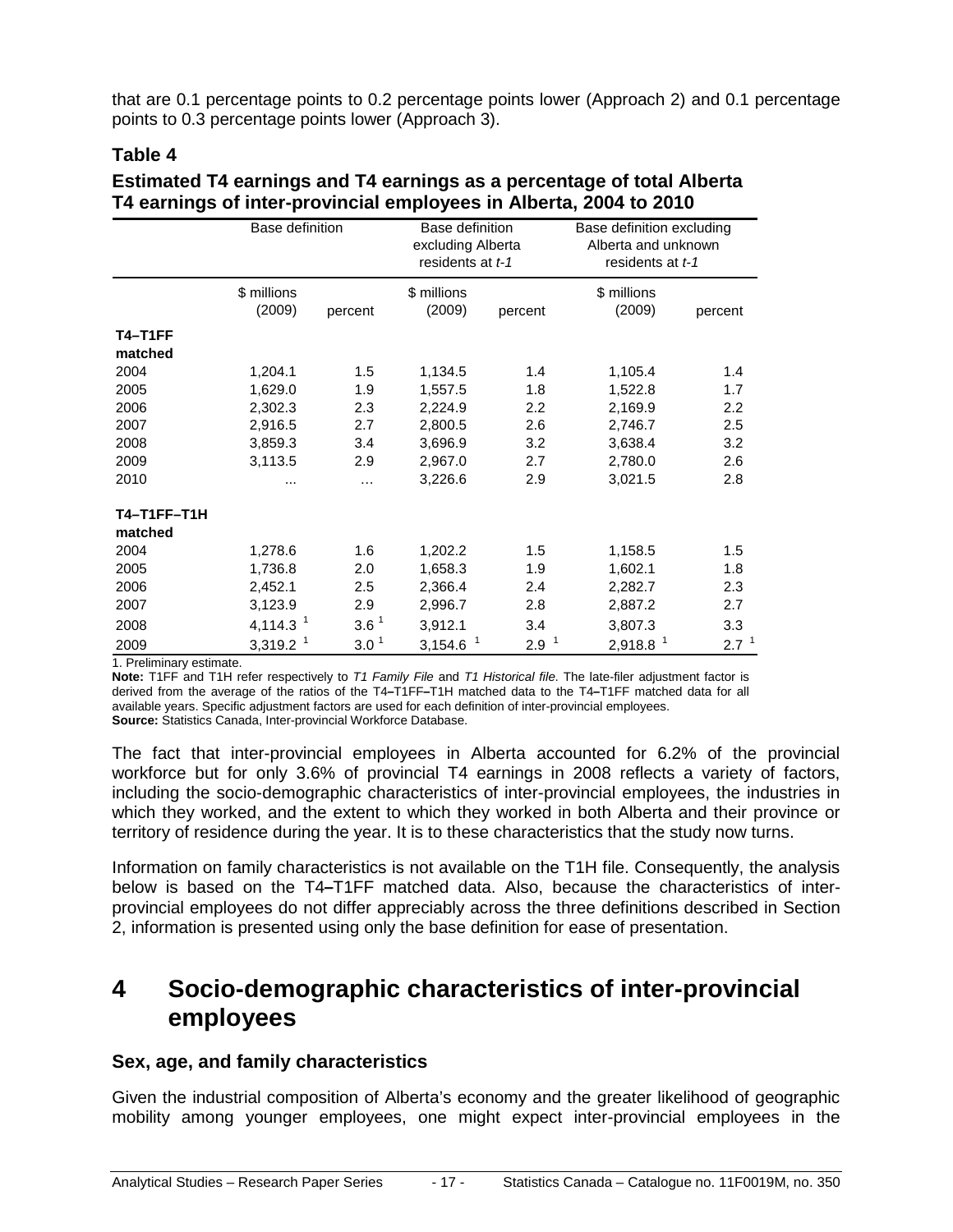that are 0.1 percentage points to 0.2 percentage points lower (Approach 2) and 0.1 percentage points to 0.3 percentage points lower (Approach 3).

#### **Table 4**

|                    | Base definition        |                     | Base definition<br>excluding Alberta<br>residents at t-1 |                       | Base definition excluding<br>Alberta and unknown<br>residents at t-1 |                  |
|--------------------|------------------------|---------------------|----------------------------------------------------------|-----------------------|----------------------------------------------------------------------|------------------|
|                    | \$ millions<br>(2009)  | percent             | \$ millions<br>(2009)                                    | percent               | \$ millions<br>(2009)                                                | percent          |
| T4-T1FF            |                        |                     |                                                          |                       |                                                                      |                  |
| matched            |                        |                     |                                                          |                       |                                                                      |                  |
| 2004               | 1,204.1                | 1.5                 | 1,134.5                                                  | 1.4                   | 1,105.4                                                              | 1.4              |
| 2005               | 1,629.0                | 1.9                 | 1,557.5                                                  | 1.8                   | 1,522.8                                                              | 1.7              |
| 2006               | 2,302.3                | 2.3                 | 2,224.9                                                  | 2.2                   | 2,169.9                                                              | 2.2              |
| 2007               | 2,916.5                | 2.7                 | 2,800.5                                                  | 2.6                   | 2,746.7                                                              | 2.5              |
| 2008               | 3,859.3                | 3.4                 | 3,696.9                                                  | 3.2                   | 3,638.4                                                              | 3.2              |
| 2009               | 3,113.5                | 2.9                 | 2,967.0                                                  | 2.7                   | 2,780.0                                                              | 2.6              |
| 2010               |                        | .                   | 3,226.6                                                  | 2.9                   | 3,021.5                                                              | 2.8              |
| <b>T4-T1FF-T1H</b> |                        |                     |                                                          |                       |                                                                      |                  |
| matched            |                        |                     |                                                          |                       |                                                                      |                  |
| 2004               | 1,278.6                | 1.6                 | 1,202.2                                                  | 1.5                   | 1,158.5                                                              | 1.5              |
| 2005               | 1,736.8                | 2.0                 | 1,658.3                                                  | 1.9                   | 1,602.1                                                              | 1.8              |
| 2006               | 2,452.1                | 2.5                 | 2,366.4                                                  | 2.4                   | 2,282.7                                                              | 2.3              |
| 2007               | 3,123.9                | 2.9                 | 2,996.7                                                  | 2.8                   | 2,887.2                                                              | 2.7              |
| 2008               | 4,114.3 $1$            | $3.6^{\frac{1}{2}}$ | 3,912.1                                                  | 3.4                   | 3,807.3                                                              | 3.3              |
| 2009               | $3,319.2$ <sup>1</sup> | $3.0^{\frac{1}{2}}$ | $3,154.6$ <sup>1</sup>                                   | $\overline{1}$<br>2.9 | 2,918.8 <sup>1</sup>                                                 | 2.7 <sup>1</sup> |

#### **Estimated T4 earnings and T4 earnings as a percentage of total Alberta T4 earnings of inter-provincial employees in Alberta, 2004 to 2010**

1. Preliminary estimate.

**Note:** T1FF and T1H refer respectively to *T1 Family File* and *T1 Historical file*. The late-filer adjustment factor is derived from the average of the ratios of the T4**–**T1FF**–**T1H matched data to the T4**–**T1FF matched data for all available years. Specific adjustment factors are used for each definition of inter-provincial employees. **Source:** Statistics Canada, Inter-provincial Workforce Database.

The fact that inter-provincial employees in Alberta accounted for 6.2% of the provincial workforce but for only 3.6% of provincial T4 earnings in 2008 reflects a variety of factors, including the socio-demographic characteristics of inter-provincial employees, the industries in which they worked, and the extent to which they worked in both Alberta and their province or territory of residence during the year. It is to these characteristics that the study now turns.

Information on family characteristics is not available on the T1H file. Consequently, the analysis below is based on the T4**–**T1FF matched data. Also, because the characteristics of interprovincial employees do not differ appreciably across the three definitions described in Section 2, information is presented using only the base definition for ease of presentation.

### <span id="page-16-0"></span>**4 Socio-demographic characteristics of inter-provincial employees**

#### **Sex, age, and family characteristics**

Given the industrial composition of Alberta's economy and the greater likelihood of geographic mobility among younger employees, one might expect inter-provincial employees in the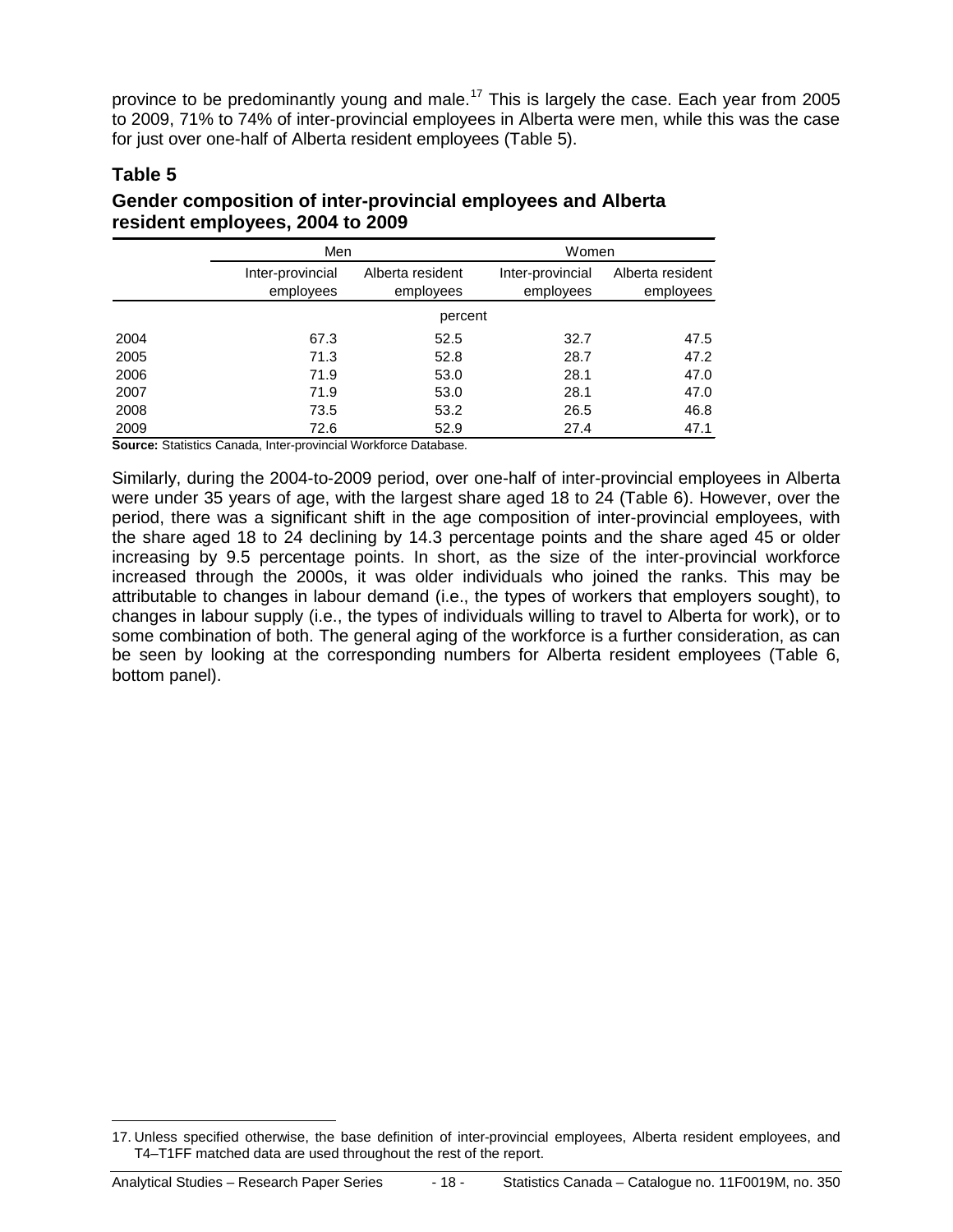province to be predominantly young and male.<sup>[17](#page-17-0)</sup> This is largely the case. Each year from 2005 to 2009, 71% to 74% of inter-provincial employees in Alberta were men, while this was the case for just over one-half of Alberta resident employees (Table 5).

#### **Table 5**

**Gender composition of inter-provincial employees and Alberta resident employees, 2004 to 2009**

|              | Men                           |                               | Women                         |                               |
|--------------|-------------------------------|-------------------------------|-------------------------------|-------------------------------|
|              | Inter-provincial<br>employees | Alberta resident<br>employees | Inter-provincial<br>employees | Alberta resident<br>employees |
|              |                               | percent                       |                               |                               |
| 2004         | 67.3                          | 52.5                          | 32.7                          | 47.5                          |
| 2005         | 71.3                          | 52.8                          | 28.7                          | 47.2                          |
| 2006         | 71.9                          | 53.0                          | 28.1                          | 47.0                          |
| 2007         | 71.9                          | 53.0                          | 28.1                          | 47.0                          |
| 2008         | 73.5                          | 53.2                          | 26.5                          | 46.8                          |
| 2009<br>____ | 72.6                          | 52.9<br>.                     | 27.4                          | 47.1                          |

**Source:** Statistics Canada, Inter-provincial Workforce Database.

Similarly, during the 2004-to-2009 period, over one-half of inter-provincial employees in Alberta were under 35 years of age, with the largest share aged 18 to 24 (Table 6). However, over the period, there was a significant shift in the age composition of inter-provincial employees, with the share aged 18 to 24 declining by 14.3 percentage points and the share aged 45 or older increasing by 9.5 percentage points. In short, as the size of the inter-provincial workforce increased through the 2000s, it was older individuals who joined the ranks. This may be attributable to changes in labour demand (i.e., the types of workers that employers sought), to changes in labour supply (i.e., the types of individuals willing to travel to Alberta for work), or to some combination of both. The general aging of the workforce is a further consideration, as can be seen by looking at the corresponding numbers for Alberta resident employees (Table 6, bottom panel).

<span id="page-17-0"></span> <sup>17.</sup> Unless specified otherwise, the base definition of inter-provincial employees, Alberta resident employees, and T4–T1FF matched data are used throughout the rest of the report.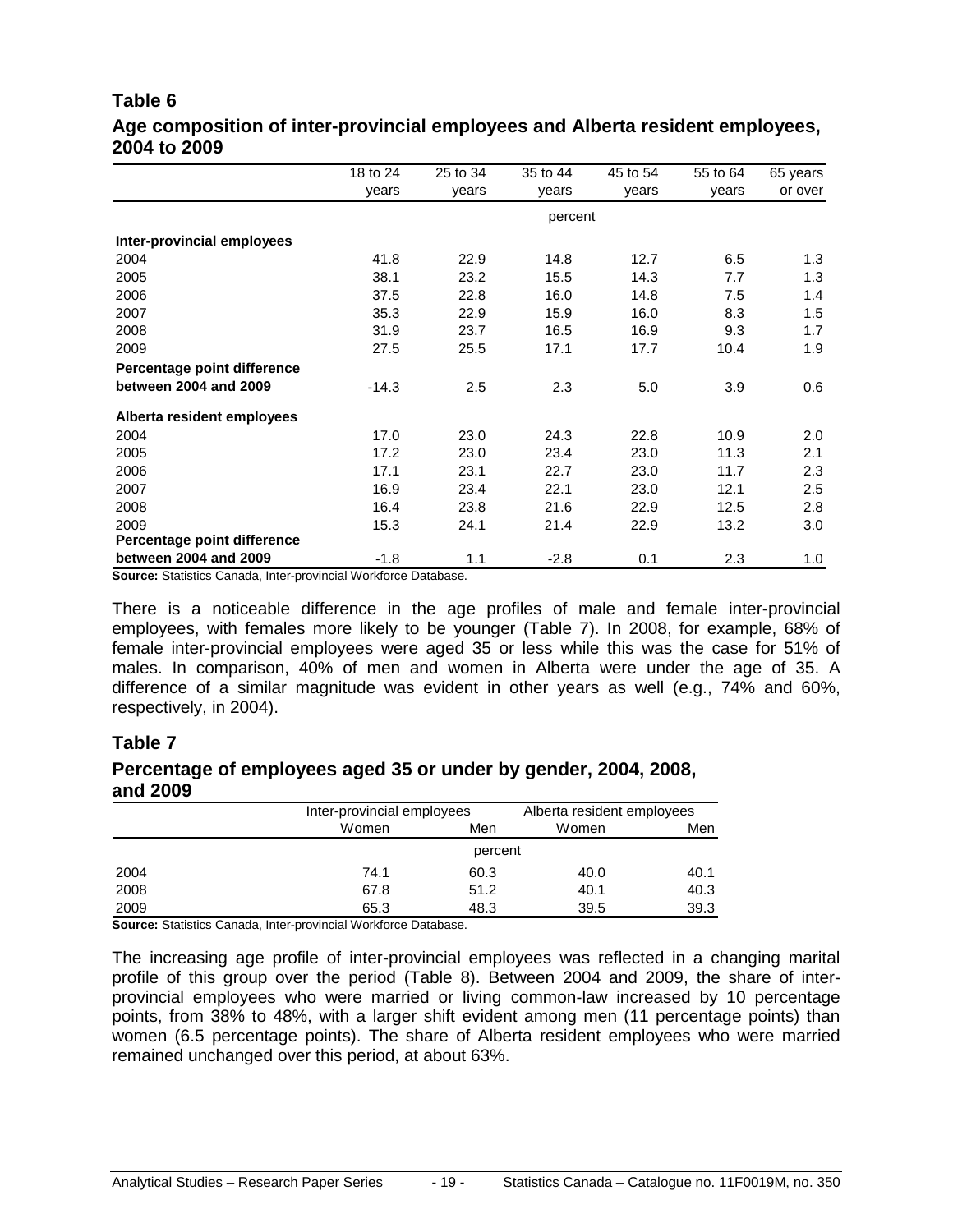#### **Table 6 Age composition of inter-provincial employees and Alberta resident employees, 2004 to 2009**

|                             | 18 to 24 | 25 to 34 | 35 to 44 | 45 to 54 | 55 to 64 | 65 years |
|-----------------------------|----------|----------|----------|----------|----------|----------|
|                             | years    | years    | years    | years    | years    | or over  |
|                             |          |          | percent  |          |          |          |
| Inter-provincial employees  |          |          |          |          |          |          |
| 2004                        | 41.8     | 22.9     | 14.8     | 12.7     | 6.5      | 1.3      |
| 2005                        | 38.1     | 23.2     | 15.5     | 14.3     | 7.7      | 1.3      |
| 2006                        | 37.5     | 22.8     | 16.0     | 14.8     | 7.5      | 1.4      |
| 2007                        | 35.3     | 22.9     | 15.9     | 16.0     | 8.3      | 1.5      |
| 2008                        | 31.9     | 23.7     | 16.5     | 16.9     | 9.3      | 1.7      |
| 2009                        | 27.5     | 25.5     | 17.1     | 17.7     | 10.4     | 1.9      |
| Percentage point difference |          |          |          |          |          |          |
| between 2004 and 2009       | $-14.3$  | 2.5      | 2.3      | 5.0      | 3.9      | 0.6      |
| Alberta resident employees  |          |          |          |          |          |          |
| 2004                        | 17.0     | 23.0     | 24.3     | 22.8     | 10.9     | 2.0      |
| 2005                        | 17.2     | 23.0     | 23.4     | 23.0     | 11.3     | 2.1      |
| 2006                        | 17.1     | 23.1     | 22.7     | 23.0     | 11.7     | 2.3      |
| 2007                        | 16.9     | 23.4     | 22.1     | 23.0     | 12.1     | 2.5      |
| 2008                        | 16.4     | 23.8     | 21.6     | 22.9     | 12.5     | 2.8      |
| 2009                        | 15.3     | 24.1     | 21.4     | 22.9     | 13.2     | 3.0      |
| Percentage point difference |          |          |          |          |          |          |
| between 2004 and 2009       | $-1.8$   | 1.1      | $-2.8$   | 0.1      | 2.3      | 1.0      |

**Source:** Statistics Canada, Inter-provincial Workforce Database.

There is a noticeable difference in the age profiles of male and female inter-provincial employees, with females more likely to be younger (Table 7). In 2008, for example, 68% of female inter-provincial employees were aged 35 or less while this was the case for 51% of males. In comparison, 40% of men and women in Alberta were under the age of 35. A difference of a similar magnitude was evident in other years as well (e.g., 74% and 60%, respectively, in 2004).

#### **Table 7**

#### **Percentage of employees aged 35 or under by gender, 2004, 2008, and 2009**

|      | Inter-provincial employees |         | Alberta resident employees |      |  |  |  |  |  |
|------|----------------------------|---------|----------------------------|------|--|--|--|--|--|
|      | Women                      | Men     |                            | Men  |  |  |  |  |  |
|      |                            | percent |                            |      |  |  |  |  |  |
| 2004 | 74.1                       | 60.3    | 40.0                       | 40.1 |  |  |  |  |  |
| 2008 | 67.8                       | 51.2    | 40.1                       | 40.3 |  |  |  |  |  |
| 2009 | 65.3                       | 48.3    | 39.5                       | 39.3 |  |  |  |  |  |

**Source:** Statistics Canada, Inter-provincial Workforce Database.

The increasing age profile of inter-provincial employees was reflected in a changing marital profile of this group over the period (Table 8). Between 2004 and 2009, the share of interprovincial employees who were married or living common-law increased by 10 percentage points, from 38% to 48%, with a larger shift evident among men (11 percentage points) than women (6.5 percentage points). The share of Alberta resident employees who were married remained unchanged over this period, at about 63%.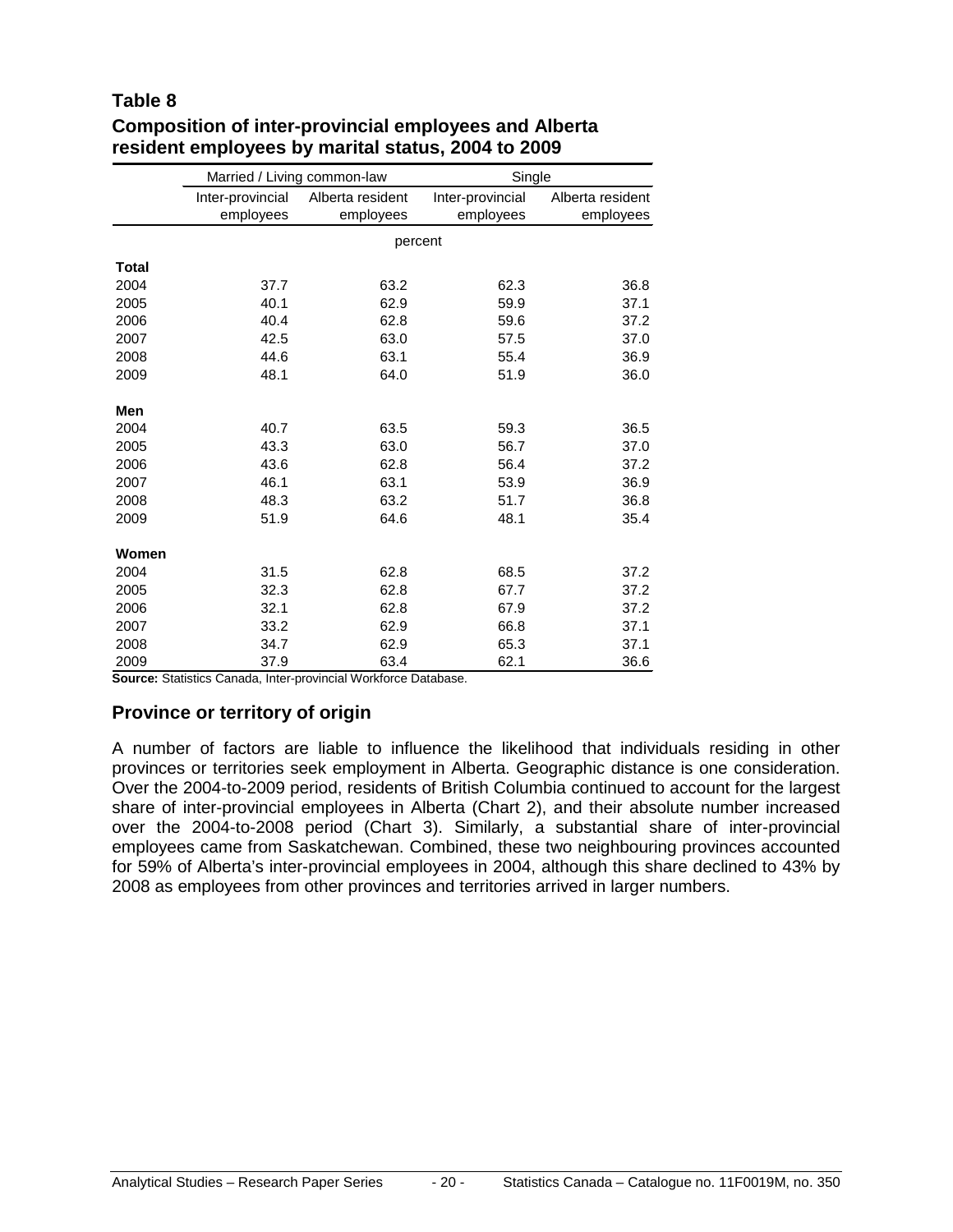#### **Table 8**

|              | Married / Living common-law |                  | Single           |                  |
|--------------|-----------------------------|------------------|------------------|------------------|
|              | Inter-provincial            | Alberta resident | Inter-provincial | Alberta resident |
|              | employees                   | employees        | employees        | employees        |
|              |                             | percent          |                  |                  |
| <b>Total</b> |                             |                  |                  |                  |
| 2004         | 37.7                        | 63.2             | 62.3             | 36.8             |
| 2005         | 40.1                        | 62.9             | 59.9             | 37.1             |
| 2006         | 40.4                        | 62.8             | 59.6             | 37.2             |
| 2007         | 42.5                        | 63.0             | 57.5             | 37.0             |
| 2008         | 44.6                        | 63.1             | 55.4             | 36.9             |
| 2009         | 48.1                        | 64.0             | 51.9             | 36.0             |
| Men          |                             |                  |                  |                  |
| 2004         | 40.7                        | 63.5             | 59.3             | 36.5             |
| 2005         | 43.3                        | 63.0             | 56.7             | 37.0             |
| 2006         | 43.6                        | 62.8             | 56.4             | 37.2             |
| 2007         | 46.1                        | 63.1             | 53.9             | 36.9             |
| 2008         | 48.3                        | 63.2             | 51.7             | 36.8             |
| 2009         | 51.9                        | 64.6             | 48.1             | 35.4             |
| Women        |                             |                  |                  |                  |
| 2004         | 31.5                        | 62.8             | 68.5             | 37.2             |
| 2005         | 32.3                        | 62.8             | 67.7             | 37.2             |
| 2006         | 32.1                        | 62.8             | 67.9             | 37.2             |
| 2007         | 33.2                        | 62.9             | 66.8             | 37.1             |
| 2008         | 34.7                        | 62.9             | 65.3             | 37.1             |
| 2009         | 37.9                        | 63.4             | 62.1             | 36.6             |

#### **Composition of inter-provincial employees and Alberta resident employees by marital status, 2004 to 2009**

**Source:** Statistics Canada, Inter-provincial Workforce Database.

#### **Province or territory of origin**

A number of factors are liable to influence the likelihood that individuals residing in other provinces or territories seek employment in Alberta. Geographic distance is one consideration. Over the 2004-to-2009 period, residents of British Columbia continued to account for the largest share of inter-provincial employees in Alberta (Chart 2), and their absolute number increased over the 2004-to-2008 period (Chart 3). Similarly, a substantial share of inter-provincial employees came from Saskatchewan. Combined, these two neighbouring provinces accounted for 59% of Alberta's inter-provincial employees in 2004, although this share declined to 43% by 2008 as employees from other provinces and territories arrived in larger numbers.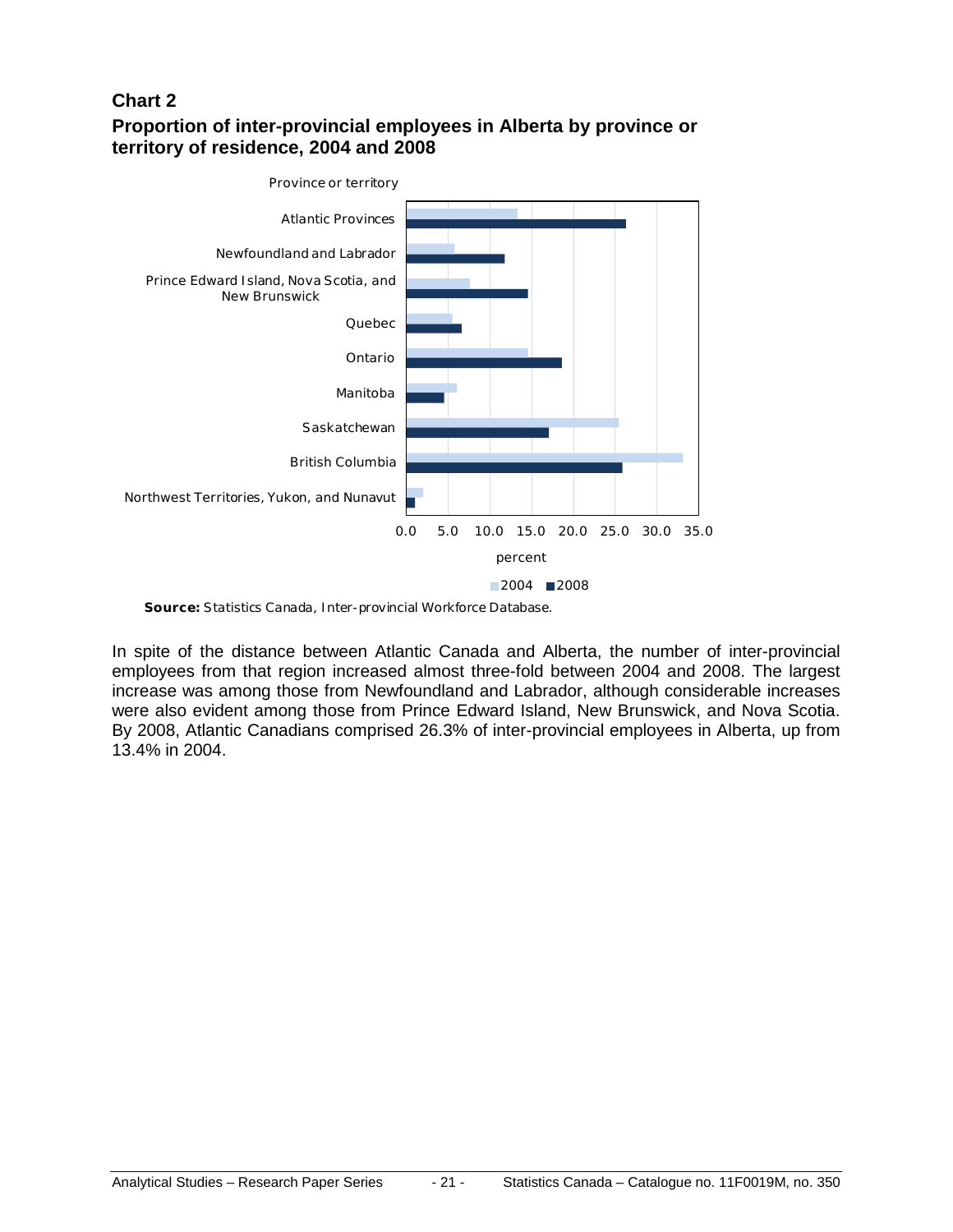#### **Chart 2**

#### **Proportion of inter-provincial employees in Alberta by province or territory of residence, 2004 and 2008**



**Source:** Statistics Canada, Inter-provincial Workforce Database.

In spite of the distance between Atlantic Canada and Alberta, the number of inter-provincial employees from that region increased almost three-fold between 2004 and 2008. The largest increase was among those from Newfoundland and Labrador, although considerable increases were also evident among those from Prince Edward Island, New Brunswick, and Nova Scotia. By 2008, Atlantic Canadians comprised 26.3% of inter-provincial employees in Alberta, up from 13.4% in 2004.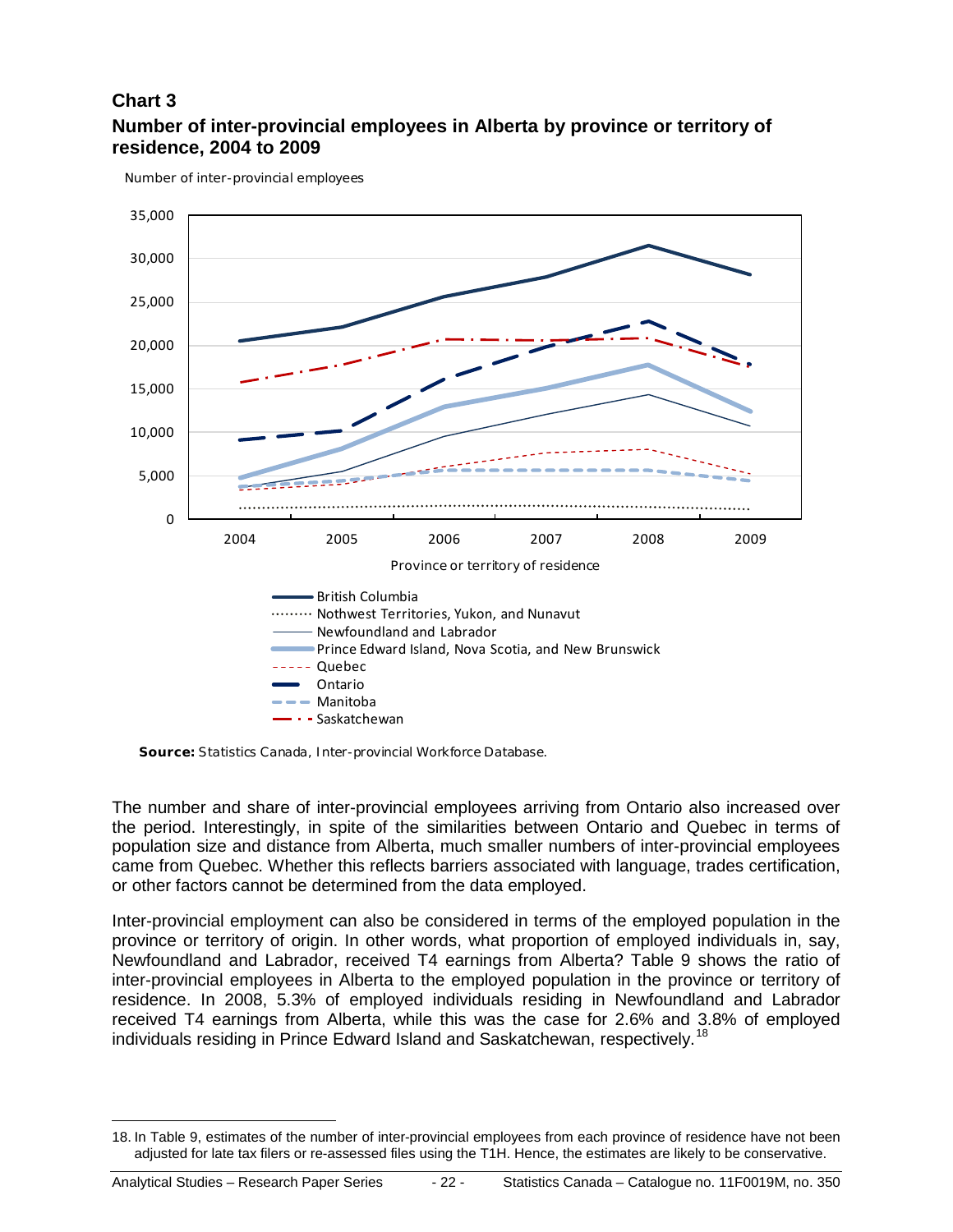#### **Chart 3 Number of inter-provincial employees in Alberta by province or territory of residence, 2004 to 2009**

Number of inter-provincial employees



**Source:** Statistics Canada, Inter-provincial Workforce Database.

The number and share of inter-provincial employees arriving from Ontario also increased over the period. Interestingly, in spite of the similarities between Ontario and Quebec in terms of population size and distance from Alberta, much smaller numbers of inter-provincial employees came from Quebec. Whether this reflects barriers associated with language, trades certification, or other factors cannot be determined from the data employed.

Inter-provincial employment can also be considered in terms of the employed population in the province or territory of origin. In other words, what proportion of employed individuals in, say, Newfoundland and Labrador, received T4 earnings from Alberta? Table 9 shows the ratio of inter-provincial employees in Alberta to the employed population in the province or territory of residence. In 2008, 5.3% of employed individuals residing in Newfoundland and Labrador received T4 earnings from Alberta, while this was the case for 2.6% and 3.8% of employed individuals residing in Prince Edward Island and Saskatchewan, respectively.<sup>[18](#page-21-0)</sup>

<span id="page-21-0"></span> <sup>18.</sup> In Table 9, estimates of the number of inter-provincial employees from each province of residence have not been adjusted for late tax filers or re-assessed files using the T1H. Hence, the estimates are likely to be conservative.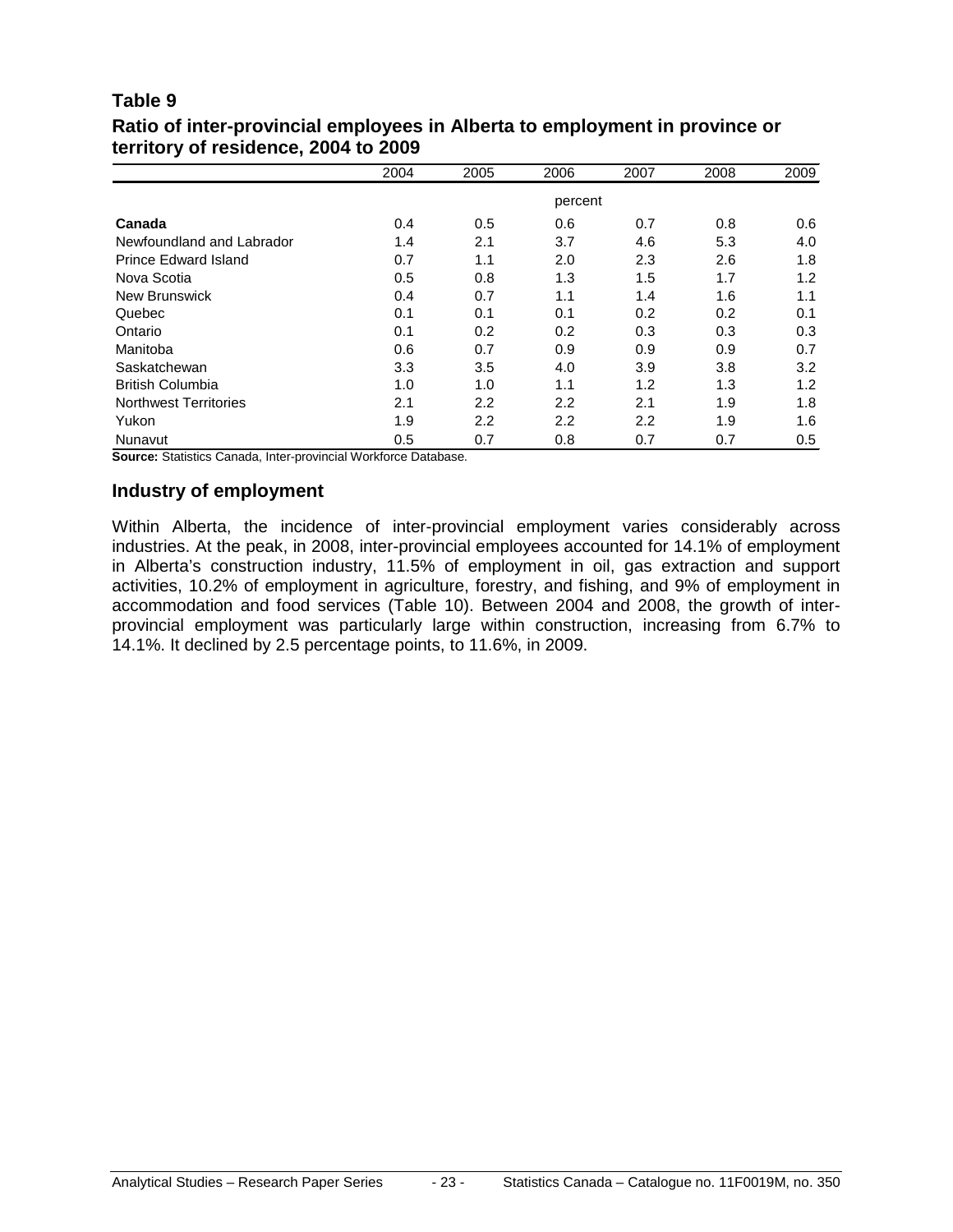#### **Table 9 Ratio of inter-provincial employees in Alberta to employment in province or territory of residence, 2004 to 2009**

|                              | 2004 | 2005 | 2006    | 2007 | 2008 | 2009 |
|------------------------------|------|------|---------|------|------|------|
|                              |      |      | percent |      |      |      |
| Canada                       | 0.4  | 0.5  | 0.6     | 0.7  | 0.8  | 0.6  |
| Newfoundland and Labrador    | 1.4  | 2.1  | 3.7     | 4.6  | 5.3  | 4.0  |
| Prince Edward Island         | 0.7  | 1.1  | 2.0     | 2.3  | 2.6  | 1.8  |
| Nova Scotia                  | 0.5  | 0.8  | 1.3     | 1.5  | 1.7  | 1.2  |
| <b>New Brunswick</b>         | 0.4  | 0.7  | 1.1     | 1.4  | 1.6  | 1.1  |
| Quebec                       | 0.1  | 0.1  | 0.1     | 0.2  | 0.2  | 0.1  |
| Ontario                      | 0.1  | 0.2  | 0.2     | 0.3  | 0.3  | 0.3  |
| Manitoba                     | 0.6  | 0.7  | 0.9     | 0.9  | 0.9  | 0.7  |
| Saskatchewan                 | 3.3  | 3.5  | 4.0     | 3.9  | 3.8  | 3.2  |
| <b>British Columbia</b>      | 1.0  | 1.0  | 1.1     | 1.2  | 1.3  | 1.2  |
| <b>Northwest Territories</b> | 2.1  | 2.2  | 2.2     | 2.1  | 1.9  | 1.8  |
| Yukon                        | 1.9  | 2.2  | 2.2     | 2.2  | 1.9  | 1.6  |
| Nunavut                      | 0.5  | 0.7  | 0.8     | 0.7  | 0.7  | 0.5  |

**Source:** Statistics Canada, Inter-provincial Workforce Database.

#### **Industry of employment**

Within Alberta, the incidence of inter-provincial employment varies considerably across industries. At the peak, in 2008, inter-provincial employees accounted for 14.1% of employment in Alberta's construction industry, 11.5% of employment in oil, gas extraction and support activities, 10.2% of employment in agriculture, forestry, and fishing, and 9% of employment in accommodation and food services (Table 10). Between 2004 and 2008, the growth of interprovincial employment was particularly large within construction, increasing from 6.7% to 14.1%. It declined by 2.5 percentage points, to 11.6%, in 2009.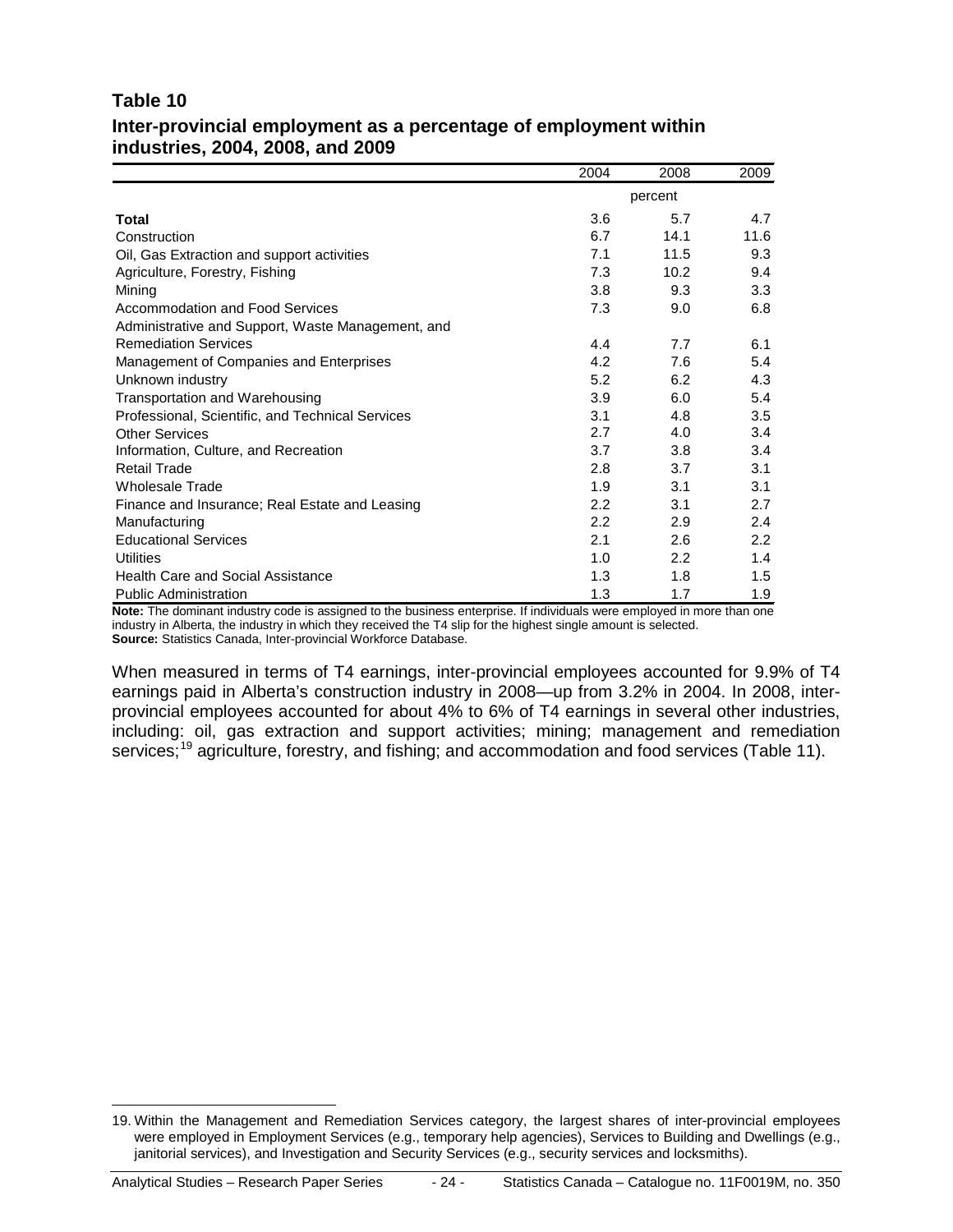#### **Table 10 Inter-provincial employment as a percentage of employment within industries, 2004, 2008, and 2009**

|                                                   | 2004          | 2008          | 2009 |
|---------------------------------------------------|---------------|---------------|------|
|                                                   |               | percent       |      |
| Total                                             | 3.6           | 5.7           | 4.7  |
| Construction                                      | 6.7           | 14.1          | 11.6 |
| Oil, Gas Extraction and support activities        | 7.1           | 11.5          | 9.3  |
| Agriculture, Forestry, Fishing                    | 7.3           | 10.2          | 9.4  |
| Mining                                            | 3.8           | 9.3           | 3.3  |
| Accommodation and Food Services                   | 7.3           | 9.0           | 6.8  |
| Administrative and Support, Waste Management, and |               |               |      |
| <b>Remediation Services</b>                       | 4.4           | 7.7           | 6.1  |
| Management of Companies and Enterprises           | 4.2           | 7.6           | 5.4  |
| Unknown industry                                  | 5.2           | 6.2           | 4.3  |
| Transportation and Warehousing                    | 3.9           | 6.0           | 5.4  |
| Professional, Scientific, and Technical Services  | 3.1           | 4.8           | 3.5  |
| <b>Other Services</b>                             | 2.7           | 4.0           | 3.4  |
| Information, Culture, and Recreation              | 3.7           | 3.8           | 3.4  |
| <b>Retail Trade</b>                               | 2.8           | 3.7           | 3.1  |
| <b>Wholesale Trade</b>                            | 1.9           | 3.1           | 3.1  |
| Finance and Insurance; Real Estate and Leasing    | $2.2^{\circ}$ | 3.1           | 2.7  |
| Manufacturing                                     | 2.2           | 2.9           | 2.4  |
| <b>Educational Services</b>                       | 2.1           | 2.6           | 2.2  |
| <b>Utilities</b>                                  | 1.0           | $2.2^{\circ}$ | 1.4  |
| <b>Health Care and Social Assistance</b>          | 1.3           | 1.8           | 1.5  |
| <b>Public Administration</b>                      | 1.3           | 1.7           | 1.9  |

**Note:** The dominant industry code is assigned to the business enterprise. If individuals were employed in more than one industry in Alberta, the industry in which they received the T4 slip for the highest single amount is selected. **Source:** Statistics Canada, Inter-provincial Workforce Database.

When measured in terms of T4 earnings, inter-provincial employees accounted for 9.9% of T4 earnings paid in Alberta's construction industry in 2008—up from 3.2% in 2004. In 2008, interprovincial employees accounted for about 4% to 6% of T4 earnings in several other industries, including: oil, gas extraction and support activities; mining; management and remediation services;<sup>[19](#page-23-0)</sup> agriculture, forestry, and fishing; and accommodation and food services (Table 11).

<span id="page-23-0"></span> <sup>19.</sup> Within the Management and Remediation Services category, the largest shares of inter-provincial employees were employed in Employment Services (e.g., temporary help agencies), Services to Building and Dwellings (e.g., janitorial services), and Investigation and Security Services (e.g., security services and locksmiths).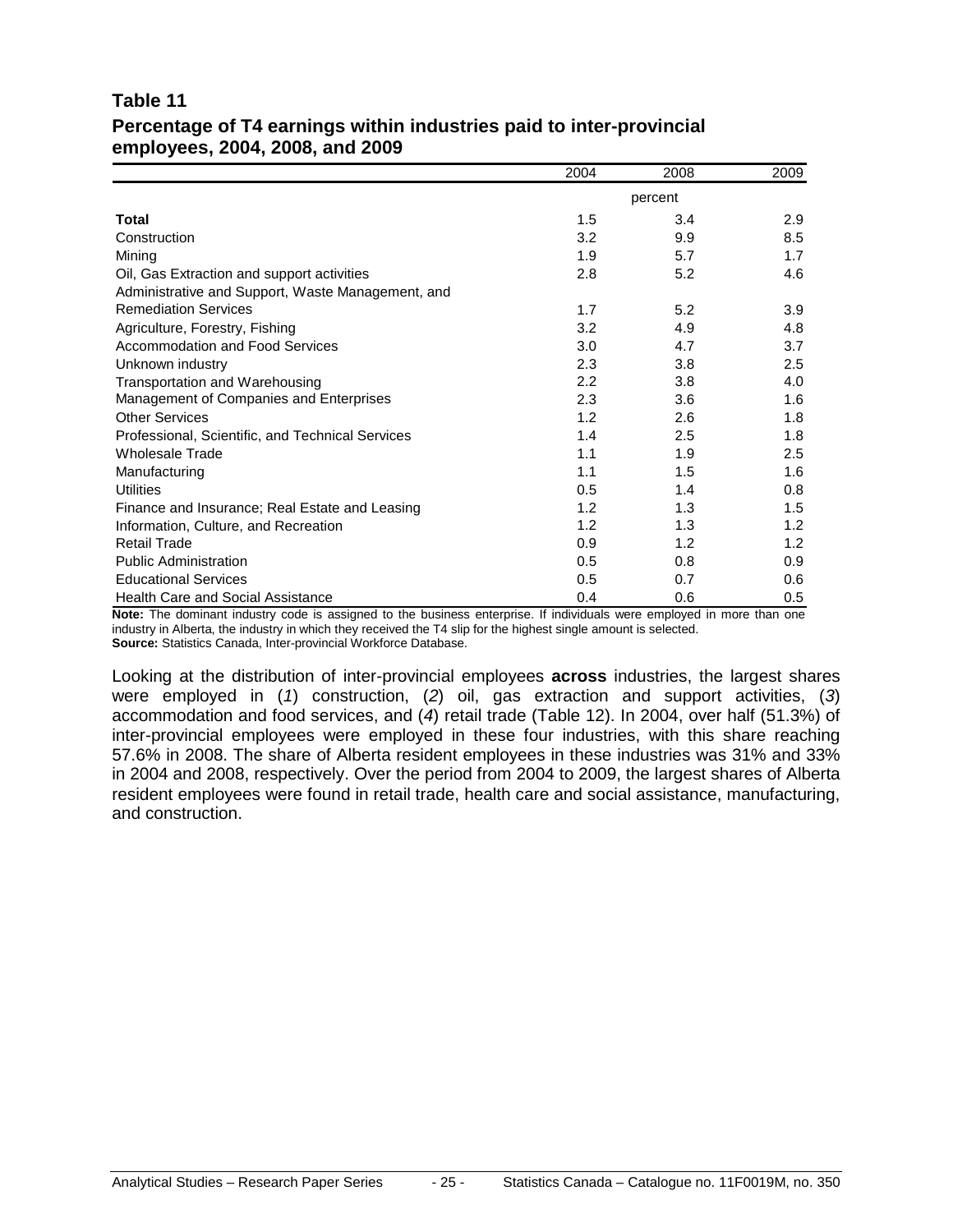#### **Table 11 Percentage of T4 earnings within industries paid to inter-provincial employees, 2004, 2008, and 2009**

|                                                   | 2004 | 2008    | 2009 |
|---------------------------------------------------|------|---------|------|
|                                                   |      | percent |      |
| Total                                             | 1.5  | 3.4     | 2.9  |
| Construction                                      | 3.2  | 9.9     | 8.5  |
| Mining                                            | 1.9  | 5.7     | 1.7  |
| Oil, Gas Extraction and support activities        | 2.8  | 5.2     | 4.6  |
| Administrative and Support, Waste Management, and |      |         |      |
| <b>Remediation Services</b>                       | 1.7  | 5.2     | 3.9  |
| Agriculture, Forestry, Fishing                    | 3.2  | 4.9     | 4.8  |
| Accommodation and Food Services                   | 3.0  | 4.7     | 3.7  |
| Unknown industry                                  | 2.3  | 3.8     | 2.5  |
| Transportation and Warehousing                    | 2.2  | 3.8     | 4.0  |
| Management of Companies and Enterprises           | 2.3  | 3.6     | 1.6  |
| <b>Other Services</b>                             | 1.2  | 2.6     | 1.8  |
| Professional, Scientific, and Technical Services  | 1.4  | 2.5     | 1.8  |
| <b>Wholesale Trade</b>                            | 1.1  | 1.9     | 2.5  |
| Manufacturing                                     | 1.1  | 1.5     | 1.6  |
| <b>Utilities</b>                                  | 0.5  | 1.4     | 0.8  |
| Finance and Insurance; Real Estate and Leasing    | 1.2  | 1.3     | 1.5  |
| Information, Culture, and Recreation              | 1.2  | 1.3     | 1.2  |
| <b>Retail Trade</b>                               | 0.9  | 1.2     | 1.2  |
| <b>Public Administration</b>                      | 0.5  | 0.8     | 0.9  |
| <b>Educational Services</b>                       | 0.5  | 0.7     | 0.6  |
| <b>Health Care and Social Assistance</b>          | 0.4  | 0.6     | 0.5  |

**Note:** The dominant industry code is assigned to the business enterprise. If individuals were employed in more than one industry in Alberta, the industry in which they received the T4 slip for the highest single amount is selected. **Source:** Statistics Canada, Inter-provincial Workforce Database.

Looking at the distribution of inter-provincial employees **across** industries, the largest shares were employed in (*1*) construction, (*2*) oil, gas extraction and support activities, (*3*) accommodation and food services, and (*4*) retail trade (Table 12). In 2004, over half (51.3%) of inter-provincial employees were employed in these four industries, with this share reaching 57.6% in 2008. The share of Alberta resident employees in these industries was 31% and 33% in 2004 and 2008, respectively. Over the period from 2004 to 2009, the largest shares of Alberta resident employees were found in retail trade, health care and social assistance, manufacturing, and construction.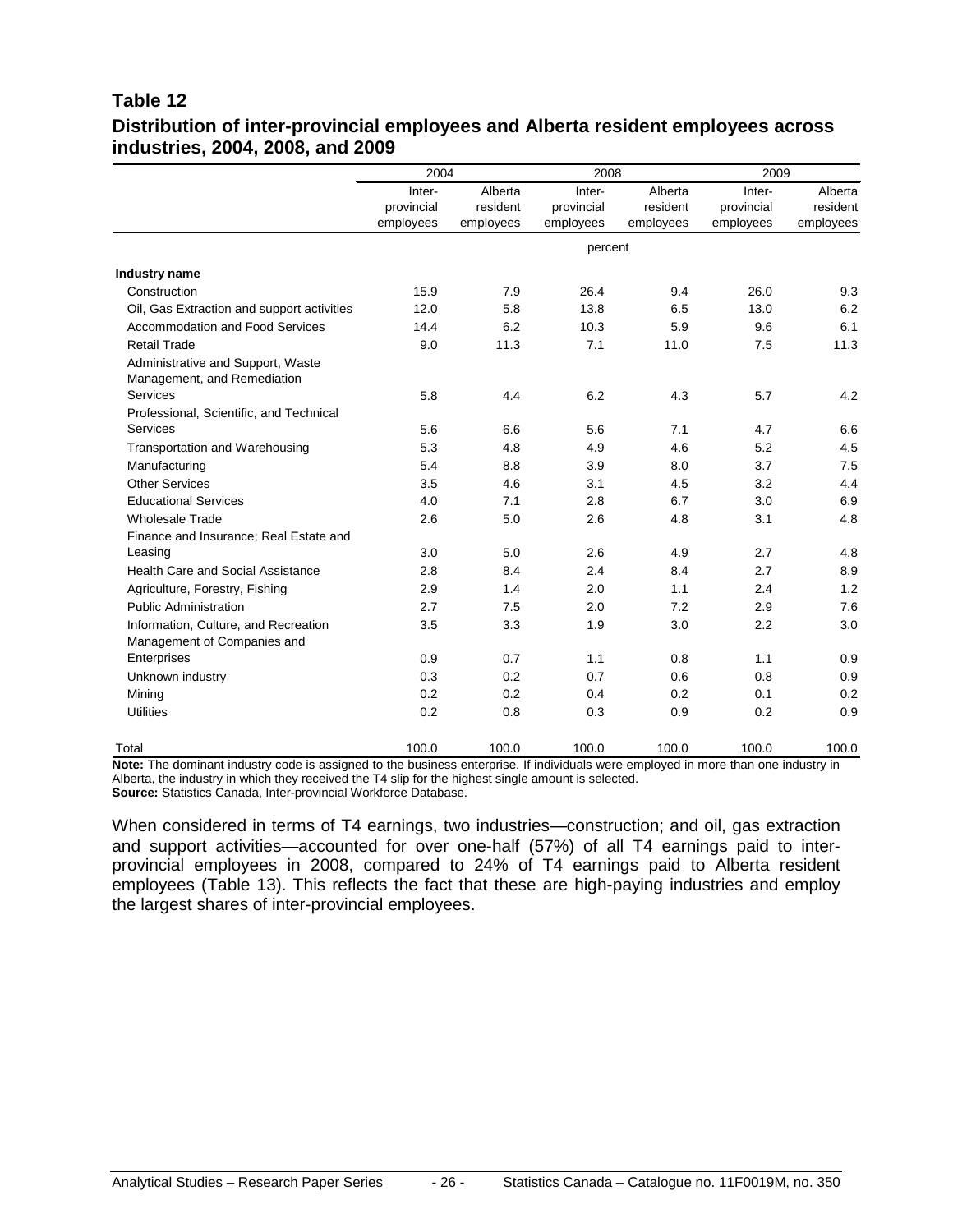#### **Table 12 Distribution of inter-provincial employees and Alberta resident employees across industries, 2004, 2008, and 2009**

|                                                                  | 2004                 |                     | 2008                 |                     | 2009                 |                     |
|------------------------------------------------------------------|----------------------|---------------------|----------------------|---------------------|----------------------|---------------------|
|                                                                  | Inter-<br>provincial | Alberta<br>resident | Inter-<br>provincial | Alberta<br>resident | Inter-<br>provincial | Alberta<br>resident |
|                                                                  | employees            | employees           | employees            | employees           | employees            | employees           |
|                                                                  |                      |                     | percent              |                     |                      |                     |
| Industry name                                                    |                      |                     |                      |                     |                      |                     |
| Construction                                                     | 15.9                 | 7.9                 | 26.4                 | 9.4                 | 26.0                 | 9.3                 |
| Oil, Gas Extraction and support activities                       | 12.0                 | 5.8                 | 13.8                 | 6.5                 | 13.0                 | 6.2                 |
| Accommodation and Food Services                                  | 14.4                 | 6.2                 | 10.3                 | 5.9                 | 9.6                  | 6.1                 |
| <b>Retail Trade</b>                                              | 9.0                  | 11.3                | 7.1                  | 11.0                | 7.5                  | 11.3                |
| Administrative and Support, Waste<br>Management, and Remediation |                      |                     |                      |                     |                      |                     |
| Services                                                         | 5.8                  | 4.4                 | 6.2                  | 4.3                 | 5.7                  | 4.2                 |
| Professional, Scientific, and Technical                          |                      |                     |                      |                     |                      |                     |
| Services                                                         | 5.6                  | 6.6                 | 5.6                  | 7.1                 | 4.7                  | 6.6                 |
| Transportation and Warehousing                                   | 5.3                  | 4.8                 | 4.9                  | 4.6                 | 5.2                  | 4.5                 |
| Manufacturing                                                    | 5.4                  | 8.8                 | 3.9                  | 8.0                 | 3.7                  | 7.5                 |
| <b>Other Services</b>                                            | 3.5                  | 4.6                 | 3.1                  | 4.5                 | 3.2                  | 4.4                 |
| <b>Educational Services</b>                                      | 4.0                  | 7.1                 | 2.8                  | 6.7                 | 3.0                  | 6.9                 |
| <b>Wholesale Trade</b>                                           | 2.6                  | 5.0                 | 2.6                  | 4.8                 | 3.1                  | 4.8                 |
| Finance and Insurance; Real Estate and                           |                      |                     |                      |                     |                      |                     |
| Leasing                                                          | 3.0                  | 5.0                 | 2.6                  | 4.9                 | 2.7                  | 4.8                 |
| <b>Health Care and Social Assistance</b>                         | 2.8                  | 8.4                 | 2.4                  | 8.4                 | 2.7                  | 8.9                 |
| Agriculture, Forestry, Fishing                                   | 2.9                  | 1.4                 | 2.0                  | 1.1                 | 2.4                  | 1.2                 |
| <b>Public Administration</b>                                     | 2.7                  | 7.5                 | 2.0                  | 7.2                 | 2.9                  | 7.6                 |
| Information, Culture, and Recreation                             | 3.5                  | 3.3                 | 1.9                  | 3.0                 | 2.2                  | 3.0                 |
| Management of Companies and                                      |                      |                     |                      |                     |                      |                     |
| Enterprises                                                      | 0.9                  | 0.7                 | 1.1                  | 0.8                 | 1.1                  | 0.9                 |
| Unknown industry                                                 | 0.3                  | 0.2                 | 0.7                  | 0.6                 | 0.8                  | 0.9                 |
| Mining                                                           | 0.2                  | 0.2                 | 0.4                  | 0.2                 | 0.1                  | 0.2                 |
| <b>Utilities</b>                                                 | 0.2                  | 0.8                 | 0.3                  | 0.9                 | 0.2                  | 0.9                 |
| Total                                                            | 100.0                | 100.0               | 100.0                | 100.0               | 100.0                | 100.0               |

**Note:** The dominant industry code is assigned to the business enterprise. If individuals were employed in more than one industry in Alberta, the industry in which they received the T4 slip for the highest single amount is selected.

**Source:** Statistics Canada, Inter-provincial Workforce Database.

When considered in terms of T4 earnings, two industries—construction; and oil, gas extraction and support activities—accounted for over one-half (57%) of all T4 earnings paid to interprovincial employees in 2008, compared to 24% of T4 earnings paid to Alberta resident employees (Table 13). This reflects the fact that these are high-paying industries and employ the largest shares of inter-provincial employees.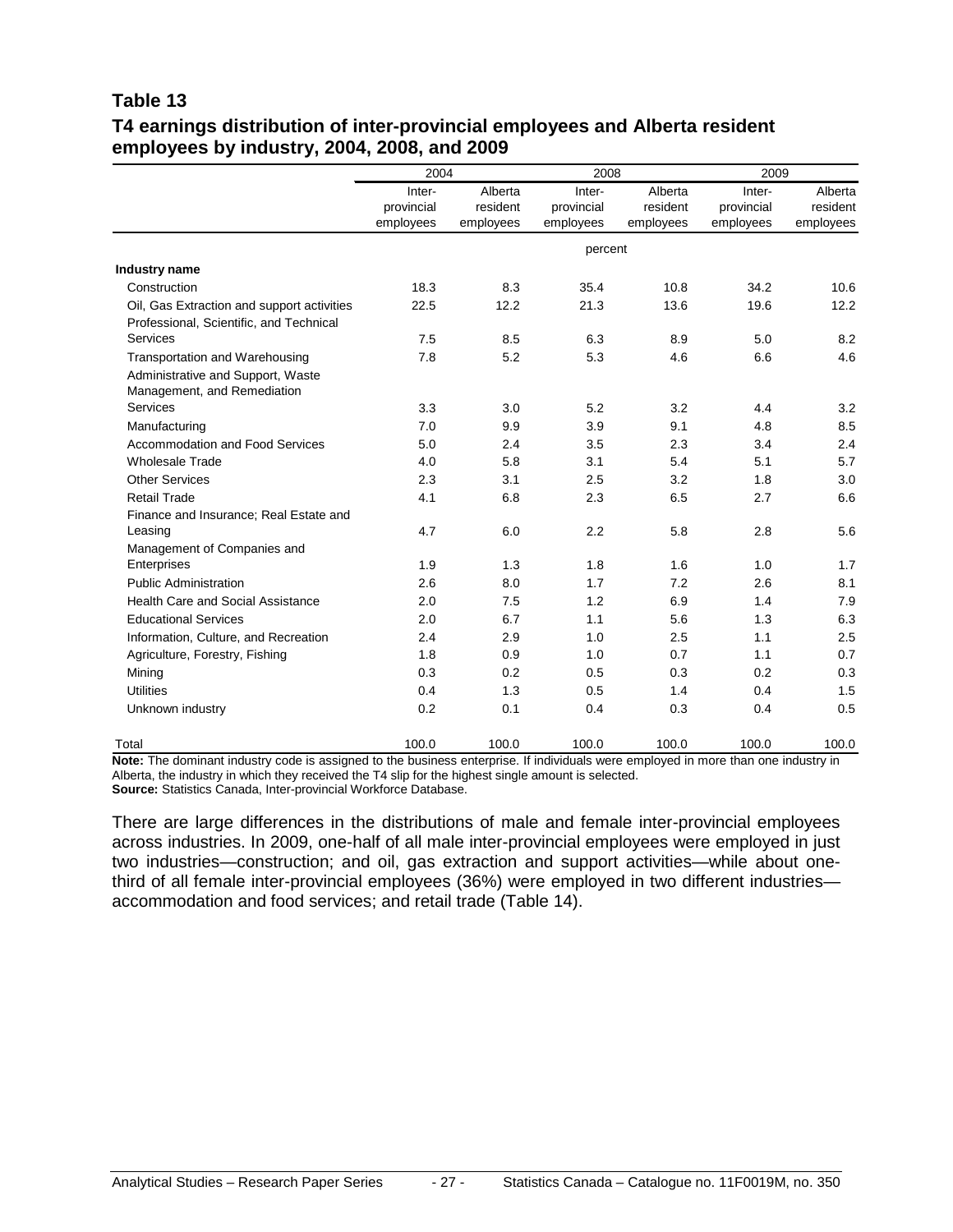#### **Table 13 T4 earnings distribution of inter-provincial employees and Alberta resident employees by industry, 2004, 2008, and 2009**

|                                                                  | 2004                 |                     | 2008                 |                     | 2009                 |                     |
|------------------------------------------------------------------|----------------------|---------------------|----------------------|---------------------|----------------------|---------------------|
|                                                                  | Inter-<br>provincial | Alberta<br>resident | Inter-<br>provincial | Alberta<br>resident | Inter-<br>provincial | Alberta<br>resident |
|                                                                  | employees            | employees           | employees            | employees           | employees            | employees           |
|                                                                  |                      |                     | percent              |                     |                      |                     |
| Industry name                                                    |                      |                     |                      |                     |                      |                     |
| Construction                                                     | 18.3                 | 8.3                 | 35.4                 | 10.8                | 34.2                 | 10.6                |
| Oil, Gas Extraction and support activities                       | 22.5                 | 12.2                | 21.3                 | 13.6                | 19.6                 | 12.2                |
| Professional, Scientific, and Technical                          |                      |                     |                      |                     |                      |                     |
| Services                                                         | 7.5                  | 8.5                 | 6.3                  | 8.9                 | 5.0                  | 8.2                 |
| <b>Transportation and Warehousing</b>                            | 7.8                  | 5.2                 | 5.3                  | 4.6                 | 6.6                  | 4.6                 |
| Administrative and Support, Waste<br>Management, and Remediation |                      |                     |                      |                     |                      |                     |
| Services                                                         | 3.3                  | 3.0                 | 5.2                  | 3.2                 | 4.4                  | 3.2                 |
| Manufacturing                                                    | 7.0                  | 9.9                 | 3.9                  | 9.1                 | 4.8                  | 8.5                 |
| Accommodation and Food Services                                  | 5.0                  | 2.4                 | 3.5                  | 2.3                 | 3.4                  | 2.4                 |
| <b>Wholesale Trade</b>                                           | 4.0                  | 5.8                 | 3.1                  | 5.4                 | 5.1                  | 5.7                 |
| <b>Other Services</b>                                            | 2.3                  | 3.1                 | 2.5                  | 3.2                 | 1.8                  | 3.0                 |
| <b>Retail Trade</b>                                              | 4.1                  | 6.8                 | 2.3                  | 6.5                 | 2.7                  | 6.6                 |
| Finance and Insurance; Real Estate and                           |                      |                     |                      |                     |                      |                     |
| Leasing                                                          | 4.7                  | 6.0                 | 2.2                  | 5.8                 | 2.8                  | 5.6                 |
| Management of Companies and                                      |                      |                     |                      |                     |                      |                     |
| Enterprises                                                      | 1.9                  | 1.3                 | 1.8                  | 1.6                 | 1.0                  | 1.7                 |
| <b>Public Administration</b>                                     | 2.6                  | 8.0                 | 1.7                  | 7.2                 | 2.6                  | 8.1                 |
| <b>Health Care and Social Assistance</b>                         | 2.0                  | 7.5                 | 1.2                  | 6.9                 | 1.4                  | 7.9                 |
| <b>Educational Services</b>                                      | 2.0                  | 6.7                 | 1.1                  | 5.6                 | 1.3                  | 6.3                 |
| Information, Culture, and Recreation                             | 2.4                  | 2.9                 | 1.0                  | 2.5                 | 1.1                  | 2.5                 |
| Agriculture, Forestry, Fishing                                   | 1.8                  | 0.9                 | 1.0                  | 0.7                 | 1.1                  | 0.7                 |
| Mining                                                           | 0.3                  | 0.2                 | 0.5                  | 0.3                 | 0.2                  | 0.3                 |
| <b>Utilities</b>                                                 | 0.4                  | 1.3                 | 0.5                  | 1.4                 | 0.4                  | 1.5                 |
| Unknown industry                                                 | 0.2                  | 0.1                 | 0.4                  | 0.3                 | 0.4                  | 0.5                 |
| Total                                                            | 100.0                | 100.0               | 100.0                | 100.0               | 100.0                | 100.0               |

**Note:** The dominant industry code is assigned to the business enterprise. If individuals were employed in more than one industry in Alberta, the industry in which they received the T4 slip for the highest single amount is selected. **Source:** Statistics Canada, Inter-provincial Workforce Database.

There are large differences in the distributions of male and female inter-provincial employees across industries. In 2009, one-half of all male inter-provincial employees were employed in just two industries—construction; and oil, gas extraction and support activities—while about onethird of all female inter-provincial employees (36%) were employed in two different industries accommodation and food services; and retail trade (Table 14).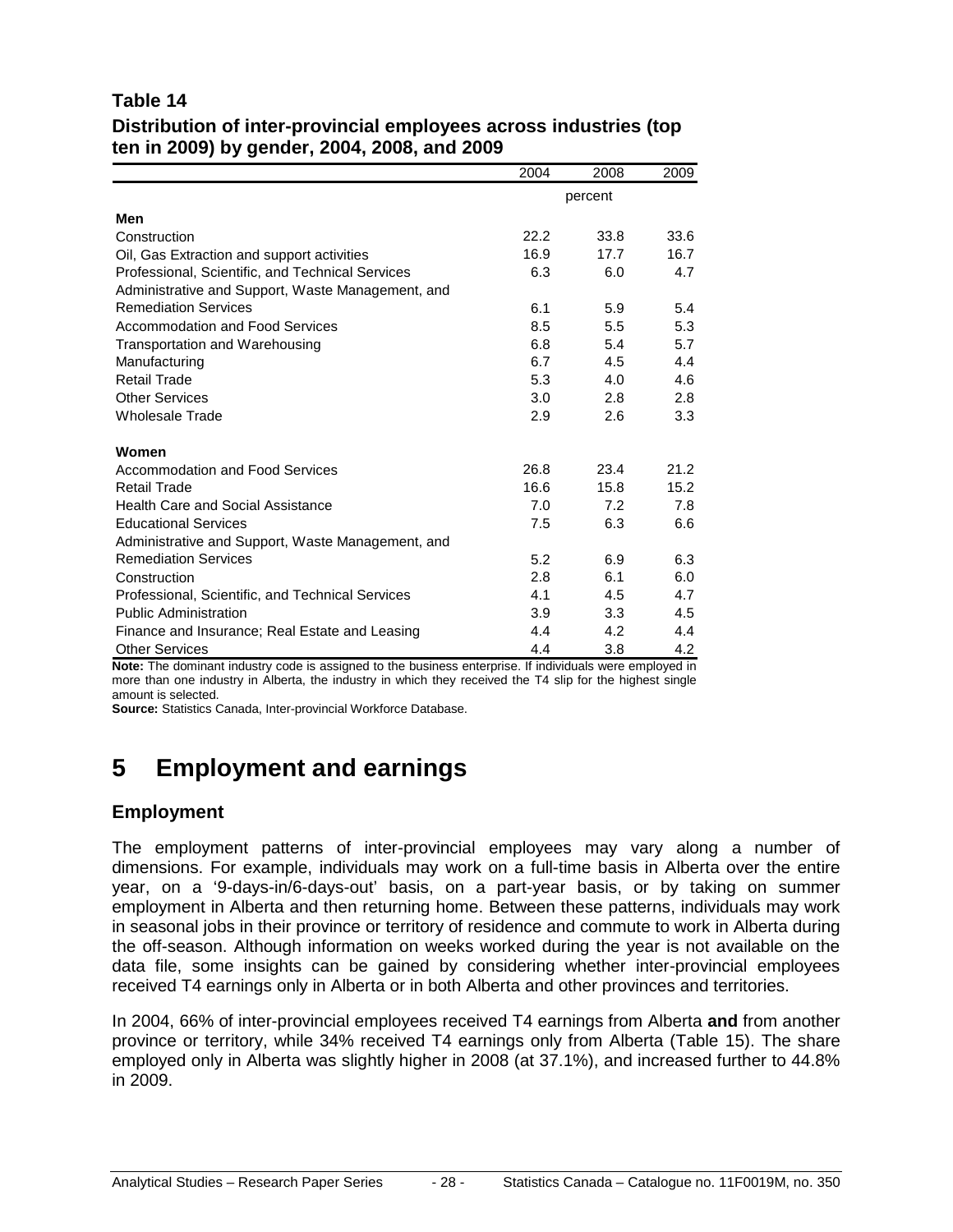#### **Table 14 Distribution of inter-provincial employees across industries (top ten in 2009) by gender, 2004, 2008, and 2009**

|                                                   | 2004             | 2008    | 2009 |
|---------------------------------------------------|------------------|---------|------|
|                                                   |                  | percent |      |
| Men                                               |                  |         |      |
| Construction                                      | 22.2             | 33.8    | 33.6 |
| Oil, Gas Extraction and support activities        | 16.9             | 17.7    | 16.7 |
| Professional, Scientific, and Technical Services  | 6.3              | 6.0     | 4.7  |
| Administrative and Support, Waste Management, and |                  |         |      |
| <b>Remediation Services</b>                       | 6.1              | 5.9     | 5.4  |
| Accommodation and Food Services                   | 8.5              | 5.5     | 5.3  |
| Transportation and Warehousing                    | 6.8              | 5.4     | 5.7  |
| Manufacturing                                     | 6.7              | 4.5     | 4.4  |
| Retail Trade                                      | 5.3              | 4.0     | 4.6  |
| <b>Other Services</b>                             | 3.0              | 2.8     | 2.8  |
| <b>Wholesale Trade</b>                            | 2.9              | 2.6     | 3.3  |
| Women                                             |                  |         |      |
| Accommodation and Food Services                   | 26.8             | 23.4    | 21.2 |
| <b>Retail Trade</b>                               | 16.6             | 15.8    | 15.2 |
| <b>Health Care and Social Assistance</b>          | 7.0              | 7.2     | 7.8  |
| <b>Educational Services</b>                       | 7.5              | 6.3     | 6.6  |
| Administrative and Support, Waste Management, and |                  |         |      |
| <b>Remediation Services</b>                       | 5.2              | 6.9     | 6.3  |
| Construction                                      | 2.8              | 6.1     | 6.0  |
| Professional, Scientific, and Technical Services  | 4.1              | 4.5     | 4.7  |
| <b>Public Administration</b>                      | 3.9 <sup>°</sup> | 3.3     | 4.5  |
| Finance and Insurance; Real Estate and Leasing    | 4.4              | 4.2     | 4.4  |
| <b>Other Services</b>                             | 4.4              | 3.8     | 4.2  |

**Note:** The dominant industry code is assigned to the business enterprise. If individuals were employed in more than one industry in Alberta, the industry in which they received the T4 slip for the highest single amount is selected.

<span id="page-27-0"></span>**Source:** Statistics Canada, Inter-provincial Workforce Database.

## **5 Employment and earnings**

#### **Employment**

The employment patterns of inter-provincial employees may vary along a number of dimensions. For example, individuals may work on a full-time basis in Alberta over the entire year, on a '9-days-in/6-days-out' basis, on a part-year basis, or by taking on summer employment in Alberta and then returning home. Between these patterns, individuals may work in seasonal jobs in their province or territory of residence and commute to work in Alberta during the off-season. Although information on weeks worked during the year is not available on the data file, some insights can be gained by considering whether inter-provincial employees received T4 earnings only in Alberta or in both Alberta and other provinces and territories.

In 2004, 66% of inter-provincial employees received T4 earnings from Alberta **and** from another province or territory, while 34% received T4 earnings only from Alberta (Table 15). The share employed only in Alberta was slightly higher in 2008 (at 37.1%), and increased further to 44.8% in 2009.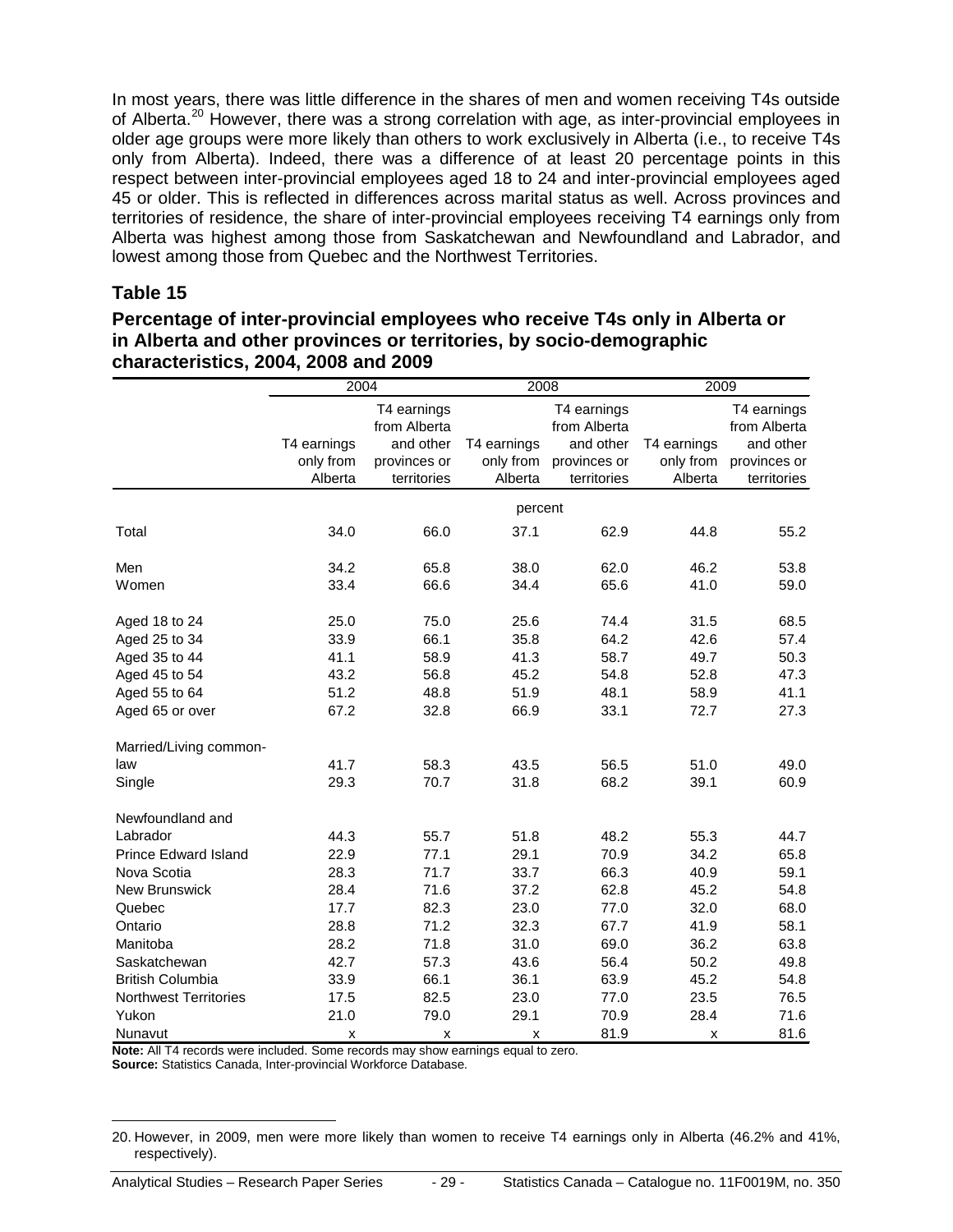In most years, there was little difference in the shares of men and women receiving T4s outside of Alberta.<sup>[20](#page-28-0)</sup> However, there was a strong correlation with age, as inter-provincial employees in older age groups were more likely than others to work exclusively in Alberta (i.e., to receive T4s only from Alberta). Indeed, there was a difference of at least 20 percentage points in this respect between inter-provincial employees aged 18 to 24 and inter-provincial employees aged 45 or older. This is reflected in differences across marital status as well. Across provinces and territories of residence, the share of inter-provincial employees receiving T4 earnings only from Alberta was highest among those from Saskatchewan and Newfoundland and Labrador, and lowest among those from Quebec and the Northwest Territories.

#### **Table 15**

#### **Percentage of inter-provincial employees who receive T4s only in Alberta or in Alberta and other provinces or territories, by socio-demographic characteristics, 2004, 2008 and 2009**

|                              | $\overline{2004}$ |                             | 2008        |                             | 2009        |                             |
|------------------------------|-------------------|-----------------------------|-------------|-----------------------------|-------------|-----------------------------|
|                              |                   | T4 earnings<br>from Alberta |             | T4 earnings<br>from Alberta |             | T4 earnings<br>from Alberta |
|                              | T4 earnings       | and other                   | T4 earnings | and other                   | T4 earnings | and other                   |
|                              | only from         | provinces or                | only from   | provinces or                | only from   | provinces or                |
|                              | Alberta           | territories                 | Alberta     | territories                 | Alberta     | territories                 |
|                              |                   |                             | percent     |                             |             |                             |
| Total                        | 34.0              | 66.0                        | 37.1        | 62.9                        | 44.8        | 55.2                        |
| Men                          | 34.2              | 65.8                        | 38.0        | 62.0                        | 46.2        | 53.8                        |
| Women                        | 33.4              | 66.6                        | 34.4        | 65.6                        | 41.0        | 59.0                        |
| Aged 18 to 24                | 25.0              | 75.0                        | 25.6        | 74.4                        | 31.5        | 68.5                        |
| Aged 25 to 34                | 33.9              | 66.1                        | 35.8        | 64.2                        | 42.6        | 57.4                        |
| Aged 35 to 44                | 41.1              | 58.9                        | 41.3        | 58.7                        | 49.7        | 50.3                        |
| Aged 45 to 54                | 43.2              | 56.8                        | 45.2        | 54.8                        | 52.8        | 47.3                        |
| Aged 55 to 64                | 51.2              | 48.8                        | 51.9        | 48.1                        | 58.9        | 41.1                        |
| Aged 65 or over              | 67.2              | 32.8                        | 66.9        | 33.1                        | 72.7        | 27.3                        |
| Married/Living common-       |                   |                             |             |                             |             |                             |
| law                          | 41.7              | 58.3                        | 43.5        | 56.5                        | 51.0        | 49.0                        |
| Single                       | 29.3              | 70.7                        | 31.8        | 68.2                        | 39.1        | 60.9                        |
| Newfoundland and             |                   |                             |             |                             |             |                             |
| Labrador                     | 44.3              | 55.7                        | 51.8        | 48.2                        | 55.3        | 44.7                        |
| <b>Prince Edward Island</b>  | 22.9              | 77.1                        | 29.1        | 70.9                        | 34.2        | 65.8                        |
| Nova Scotia                  | 28.3              | 71.7                        | 33.7        | 66.3                        | 40.9        | 59.1                        |
| New Brunswick                | 28.4              | 71.6                        | 37.2        | 62.8                        | 45.2        | 54.8                        |
| Quebec                       | 17.7              | 82.3                        | 23.0        | 77.0                        | 32.0        | 68.0                        |
| Ontario                      | 28.8              | 71.2                        | 32.3        | 67.7                        | 41.9        | 58.1                        |
| Manitoba                     | 28.2              | 71.8                        | 31.0        | 69.0                        | 36.2        | 63.8                        |
| Saskatchewan                 | 42.7              | 57.3                        | 43.6        | 56.4                        | 50.2        | 49.8                        |
| <b>British Columbia</b>      | 33.9              | 66.1                        | 36.1        | 63.9                        | 45.2        | 54.8                        |
| <b>Northwest Territories</b> | 17.5              | 82.5                        | 23.0        | 77.0                        | 23.5        | 76.5                        |
| Yukon                        | 21.0              | 79.0                        | 29.1        | 70.9                        | 28.4        | 71.6                        |
| Nunavut                      | X                 | X                           | x           | 81.9                        | x           | 81.6                        |

**Note:** All T4 records were included. Some records may show earnings equal to zero.

**Source:** Statistics Canada, Inter-provincial Workforce Database.

<span id="page-28-0"></span> <sup>20.</sup> However, in 2009, men were more likely than women to receive T4 earnings only in Alberta (46.2% and 41%, respectively).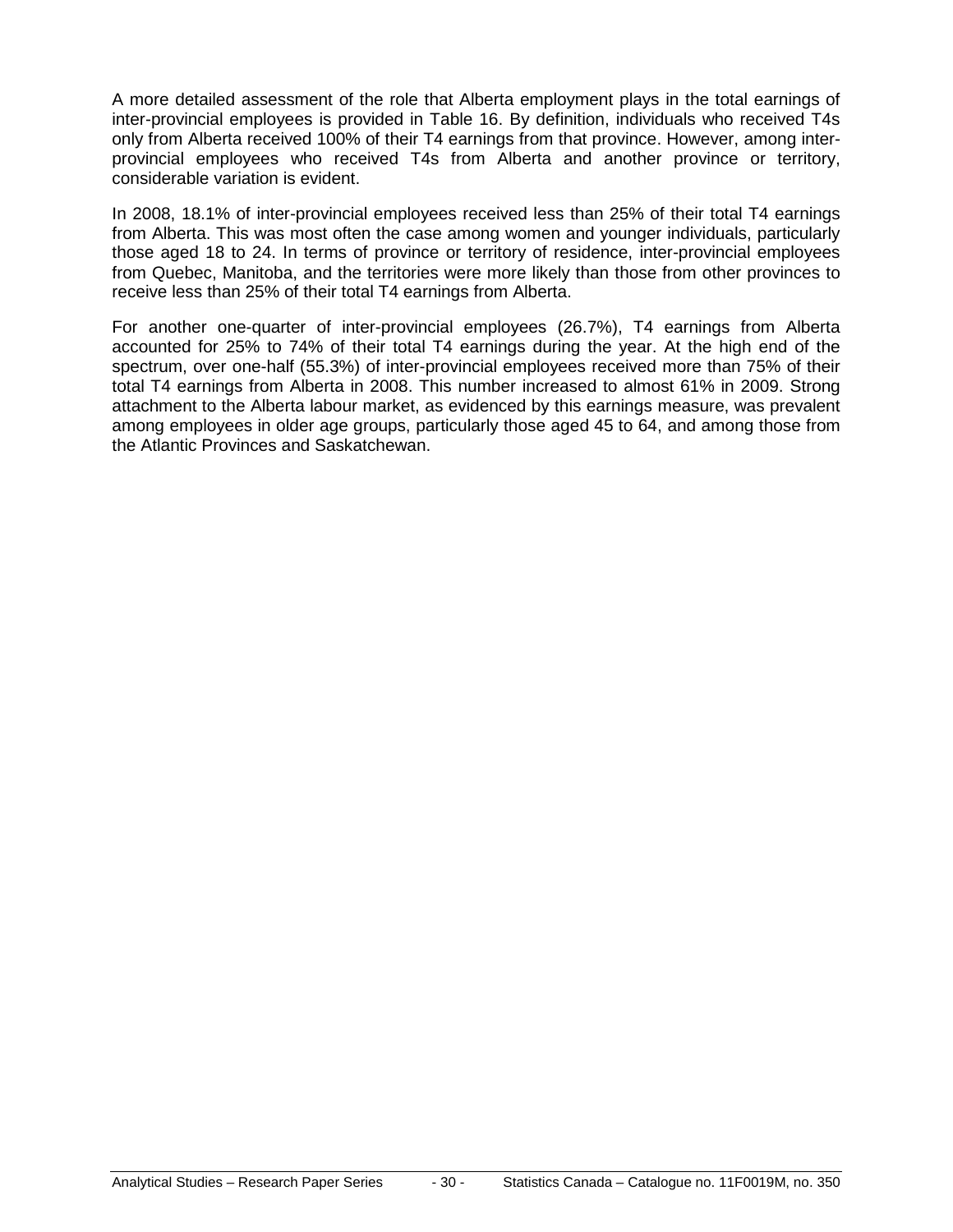A more detailed assessment of the role that Alberta employment plays in the total earnings of inter-provincial employees is provided in Table 16. By definition, individuals who received T4s only from Alberta received 100% of their T4 earnings from that province. However, among interprovincial employees who received T4s from Alberta and another province or territory, considerable variation is evident.

In 2008, 18.1% of inter-provincial employees received less than 25% of their total T4 earnings from Alberta. This was most often the case among women and younger individuals, particularly those aged 18 to 24. In terms of province or territory of residence, inter-provincial employees from Quebec, Manitoba, and the territories were more likely than those from other provinces to receive less than 25% of their total T4 earnings from Alberta.

For another one-quarter of inter-provincial employees (26.7%), T4 earnings from Alberta accounted for 25% to 74% of their total T4 earnings during the year. At the high end of the spectrum, over one-half (55.3%) of inter-provincial employees received more than 75% of their total T4 earnings from Alberta in 2008. This number increased to almost 61% in 2009. Strong attachment to the Alberta labour market, as evidenced by this earnings measure, was prevalent among employees in older age groups, particularly those aged 45 to 64, and among those from the Atlantic Provinces and Saskatchewan.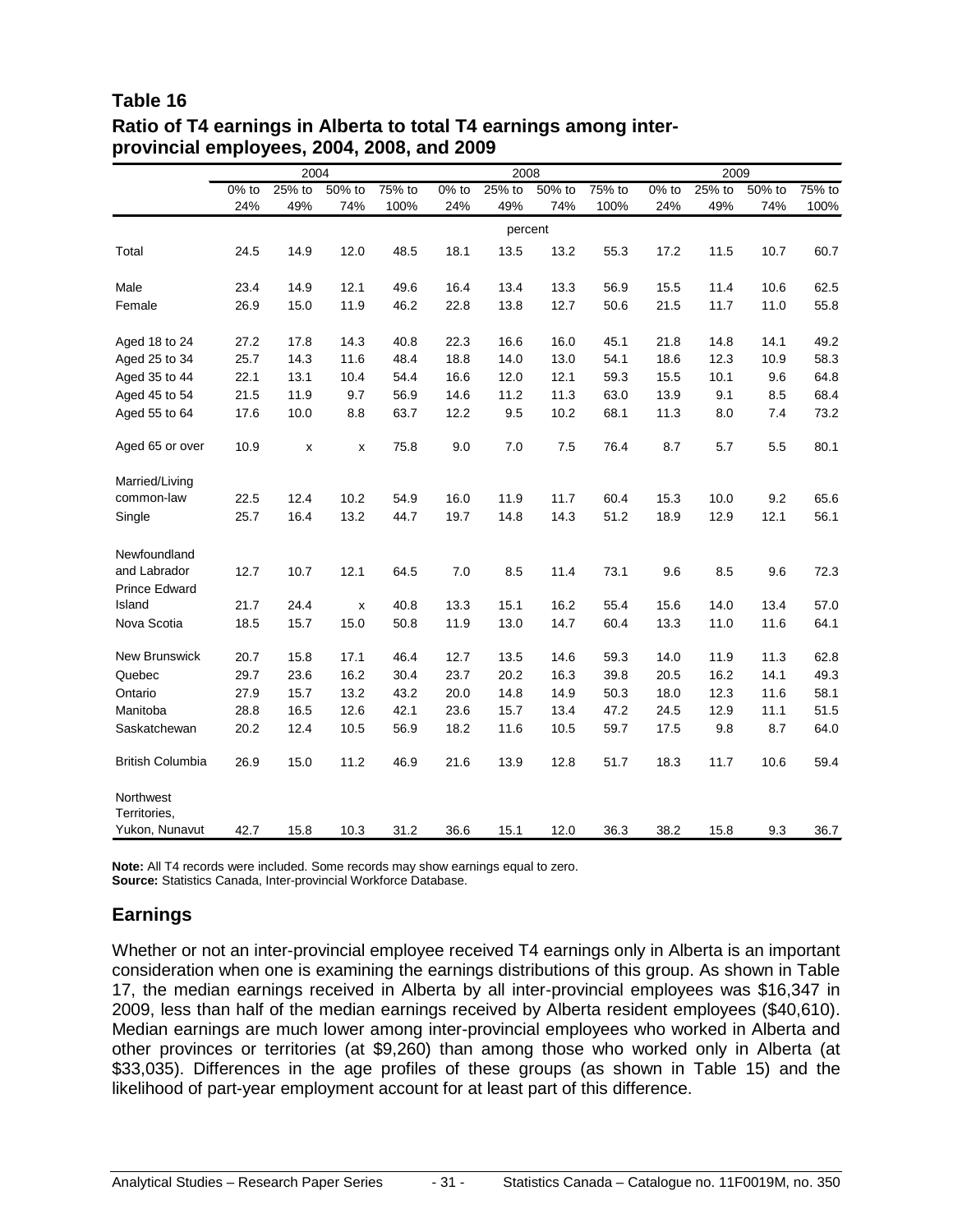#### **Table 16 Ratio of T4 earnings in Alberta to total T4 earnings among interprovincial employees, 2004, 2008, and 2009**

|                                | 2004     |                 |                | 2008   |          |        | 2009           |        |          |               |        |        |
|--------------------------------|----------|-----------------|----------------|--------|----------|--------|----------------|--------|----------|---------------|--------|--------|
|                                | $0\%$ to | $25%$ to<br>49% | 50% to<br>74%  | 75% to | $0\%$ to | 25% to | 50% to         | 75% to | $0\%$ to | 25% to<br>49% | 50% to | 75% to |
|                                | 24%      |                 |                | 100%   | 24%      | 49%    | 74%<br>percent | 100%   | 24%      |               | 74%    | 100%   |
|                                |          |                 |                |        |          |        |                |        |          |               |        |        |
| Total                          | 24.5     | 14.9            | 12.0           | 48.5   | 18.1     | 13.5   | 13.2           | 55.3   | 17.2     | 11.5          | 10.7   | 60.7   |
| Male                           | 23.4     | 14.9            | 12.1           | 49.6   | 16.4     | 13.4   | 13.3           | 56.9   | 15.5     | 11.4          | 10.6   | 62.5   |
| Female                         | 26.9     | 15.0            | 11.9           | 46.2   | 22.8     | 13.8   | 12.7           | 50.6   | 21.5     | 11.7          | 11.0   | 55.8   |
| Aged 18 to 24                  | 27.2     | 17.8            | 14.3           | 40.8   | 22.3     | 16.6   | 16.0           | 45.1   | 21.8     | 14.8          | 14.1   | 49.2   |
| Aged 25 to 34                  | 25.7     | 14.3            | 11.6           | 48.4   | 18.8     | 14.0   | 13.0           | 54.1   | 18.6     | 12.3          | 10.9   | 58.3   |
| Aged 35 to 44                  | 22.1     | 13.1            | 10.4           | 54.4   | 16.6     | 12.0   | 12.1           | 59.3   | 15.5     | 10.1          | 9.6    | 64.8   |
| Aged 45 to 54                  | 21.5     | 11.9            | 9.7            | 56.9   | 14.6     | 11.2   | 11.3           | 63.0   | 13.9     | 9.1           | 8.5    | 68.4   |
| Aged 55 to 64                  | 17.6     | 10.0            | 8.8            | 63.7   | 12.2     | 9.5    | 10.2           | 68.1   | 11.3     | 8.0           | 7.4    | 73.2   |
| Aged 65 or over                | 10.9     | x               | х              | 75.8   | 9.0      | 7.0    | 7.5            | 76.4   | 8.7      | 5.7           | 5.5    | 80.1   |
| Married/Living                 |          |                 |                |        |          |        |                |        |          |               |        |        |
| common-law                     | 22.5     | 12.4            | 10.2           | 54.9   | 16.0     | 11.9   | 11.7           | 60.4   | 15.3     | 10.0          | 9.2    | 65.6   |
| Single                         | 25.7     | 16.4            | 13.2           | 44.7   | 19.7     | 14.8   | 14.3           | 51.2   | 18.9     | 12.9          | 12.1   | 56.1   |
| Newfoundland                   |          |                 |                |        |          |        |                |        |          |               |        |        |
| and Labrador                   | 12.7     | 10.7            | 12.1           | 64.5   | 7.0      | 8.5    | 11.4           | 73.1   | 9.6      | 8.5           | 9.6    | 72.3   |
| <b>Prince Edward</b><br>Island | 21.7     | 24.4            | $\pmb{\times}$ | 40.8   | 13.3     | 15.1   | 16.2           | 55.4   | 15.6     | 14.0          | 13.4   | 57.0   |
| Nova Scotia                    | 18.5     | 15.7            | 15.0           | 50.8   | 11.9     | 13.0   | 14.7           | 60.4   | 13.3     | 11.0          | 11.6   | 64.1   |
|                                |          |                 |                |        |          |        |                |        |          |               |        |        |
| New Brunswick                  | 20.7     | 15.8            | 17.1           | 46.4   | 12.7     | 13.5   | 14.6           | 59.3   | 14.0     | 11.9          | 11.3   | 62.8   |
| Quebec                         | 29.7     | 23.6            | 16.2           | 30.4   | 23.7     | 20.2   | 16.3           | 39.8   | 20.5     | 16.2          | 14.1   | 49.3   |
| Ontario                        | 27.9     | 15.7            | 13.2           | 43.2   | 20.0     | 14.8   | 14.9           | 50.3   | 18.0     | 12.3          | 11.6   | 58.1   |
| Manitoba                       | 28.8     | 16.5            | 12.6           | 42.1   | 23.6     | 15.7   | 13.4           | 47.2   | 24.5     | 12.9          | 11.1   | 51.5   |
| Saskatchewan                   | 20.2     | 12.4            | 10.5           | 56.9   | 18.2     | 11.6   | 10.5           | 59.7   | 17.5     | 9.8           | 8.7    | 64.0   |
| <b>British Columbia</b>        | 26.9     | 15.0            | 11.2           | 46.9   | 21.6     | 13.9   | 12.8           | 51.7   | 18.3     | 11.7          | 10.6   | 59.4   |
| Northwest                      |          |                 |                |        |          |        |                |        |          |               |        |        |
| Territories,<br>Yukon, Nunavut | 42.7     | 15.8            | 10.3           | 31.2   | 36.6     | 15.1   | 12.0           | 36.3   | 38.2     | 15.8          | 9.3    | 36.7   |

**Note:** All T4 records were included. Some records may show earnings equal to zero. **Source:** Statistics Canada, Inter-provincial Workforce Database.

#### **Earnings**

Whether or not an inter-provincial employee received T4 earnings only in Alberta is an important consideration when one is examining the earnings distributions of this group. As shown in Table 17, the median earnings received in Alberta by all inter-provincial employees was \$16,347 in 2009, less than half of the median earnings received by Alberta resident employees (\$40,610). Median earnings are much lower among inter-provincial employees who worked in Alberta and other provinces or territories (at \$9,260) than among those who worked only in Alberta (at \$33,035). Differences in the age profiles of these groups (as shown in Table 15) and the likelihood of part-year employment account for at least part of this difference.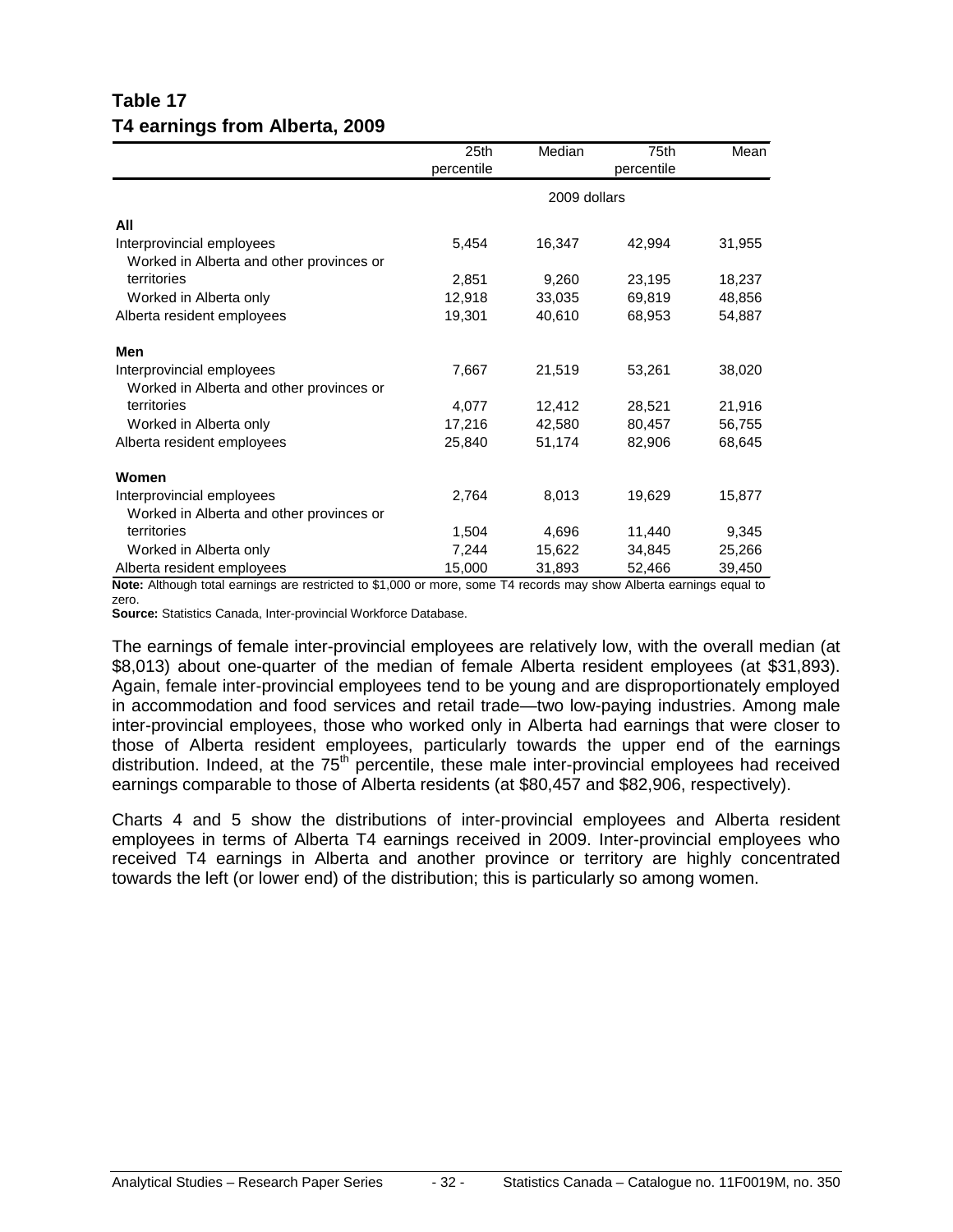### **Table 17 T4 earnings from Alberta, 2009**

|                                          | 25th       | Median       | 75th       | Mean   |
|------------------------------------------|------------|--------------|------------|--------|
|                                          | percentile |              | percentile |        |
|                                          |            | 2009 dollars |            |        |
| All                                      |            |              |            |        |
| Interprovincial employees                | 5,454      | 16,347       | 42,994     | 31,955 |
| Worked in Alberta and other provinces or |            |              |            |        |
| territories                              | 2,851      | 9,260        | 23,195     | 18,237 |
| Worked in Alberta only                   | 12,918     | 33,035       | 69,819     | 48,856 |
| Alberta resident employees               | 19,301     | 40,610       | 68,953     | 54,887 |
| Men                                      |            |              |            |        |
| Interprovincial employees                | 7,667      | 21,519       | 53,261     | 38,020 |
| Worked in Alberta and other provinces or |            |              |            |        |
| territories                              | 4,077      | 12,412       | 28,521     | 21,916 |
| Worked in Alberta only                   | 17,216     | 42,580       | 80,457     | 56,755 |
| Alberta resident employees               | 25,840     | 51,174       | 82,906     | 68,645 |
| Women                                    |            |              |            |        |
| Interprovincial employees                | 2,764      | 8,013        | 19,629     | 15,877 |
| Worked in Alberta and other provinces or |            |              |            |        |
| territories                              | 1,504      | 4,696        | 11,440     | 9,345  |
| Worked in Alberta only                   | 7,244      | 15,622       | 34,845     | 25,266 |
| Alberta resident employees               | 15,000     | 31,893       | 52,466     | 39,450 |

**Note:** Although total earnings are restricted to \$1,000 or more, some T4 records may show Alberta earnings equal to zero.

**Source:** Statistics Canada, Inter-provincial Workforce Database.

The earnings of female inter-provincial employees are relatively low, with the overall median (at \$8,013) about one-quarter of the median of female Alberta resident employees (at \$31,893). Again, female inter-provincial employees tend to be young and are disproportionately employed in accommodation and food services and retail trade—two low-paying industries. Among male inter-provincial employees, those who worked only in Alberta had earnings that were closer to those of Alberta resident employees, particularly towards the upper end of the earnings distribution. Indeed, at the 75<sup>th</sup> percentile, these male inter-provincial employees had received earnings comparable to those of Alberta residents (at \$80,457 and \$82,906, respectively).

Charts 4 and 5 show the distributions of inter-provincial employees and Alberta resident employees in terms of Alberta T4 earnings received in 2009. Inter-provincial employees who received T4 earnings in Alberta and another province or territory are highly concentrated towards the left (or lower end) of the distribution; this is particularly so among women.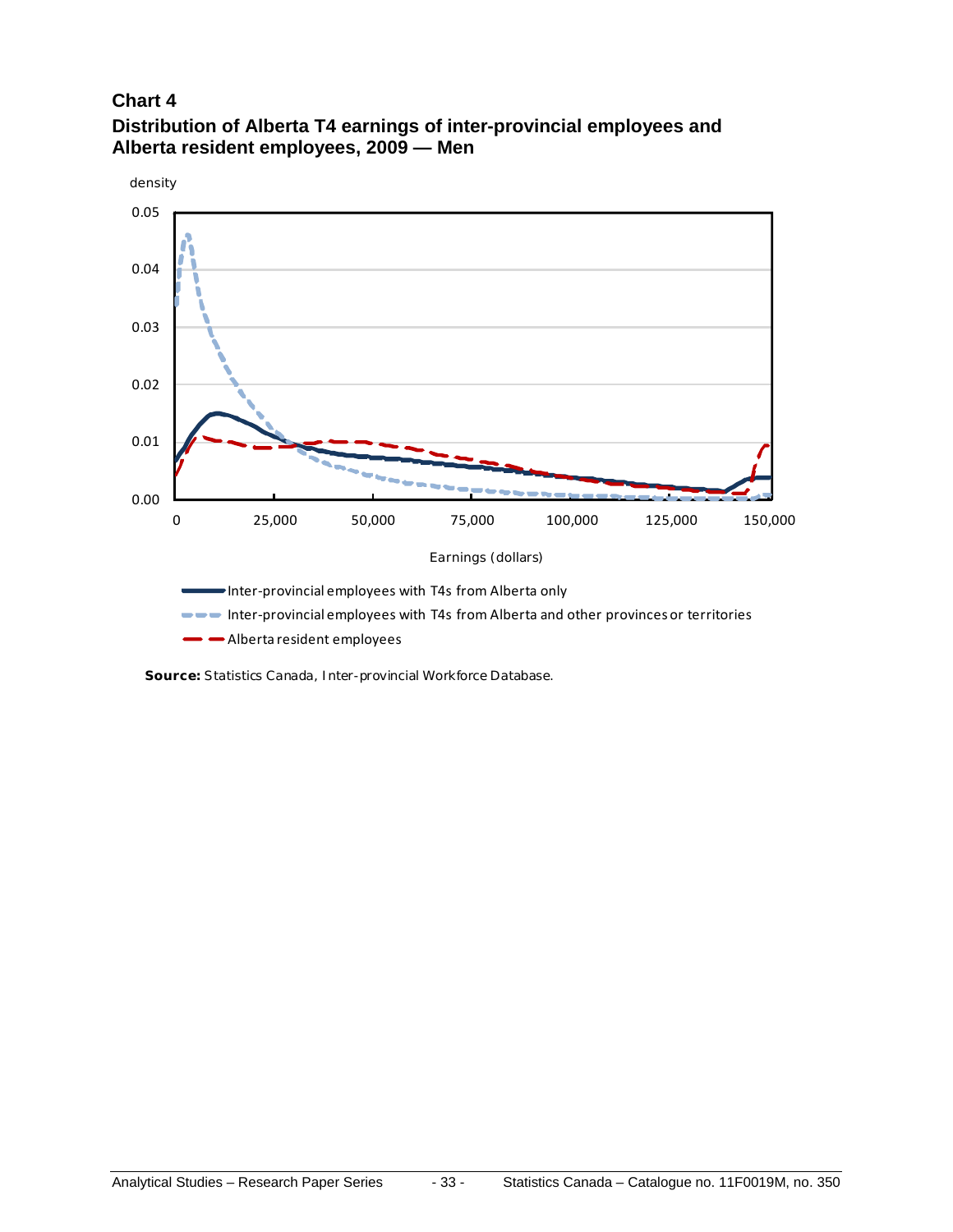#### **Chart 4**



**Distribution of Alberta T4 earnings of inter-provincial employees and Alberta resident employees, 2009 — Men**

**Source:** Statistics Canada, Inter-provincial Workforce Database.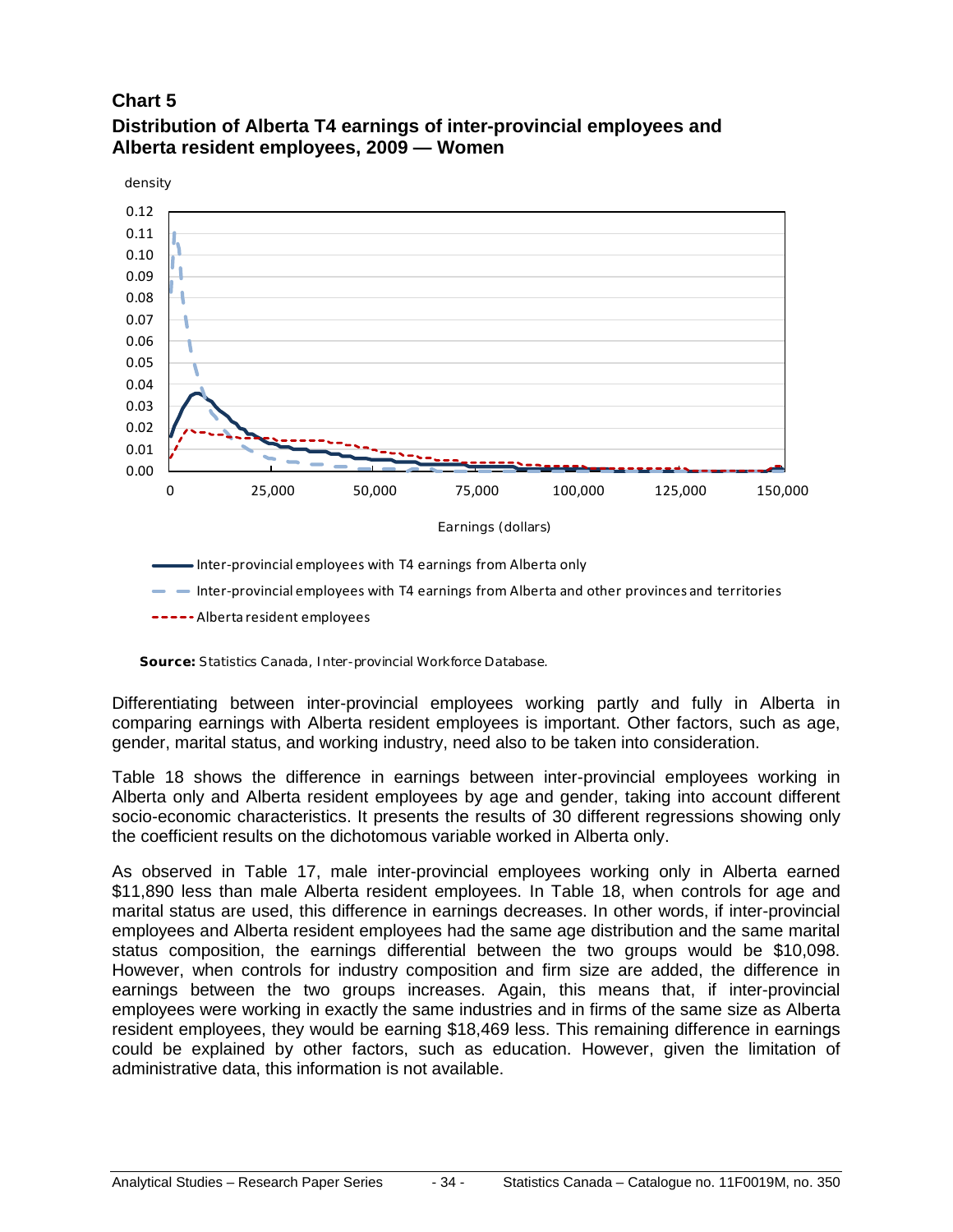#### **Chart 5**



#### **Distribution of Alberta T4 earnings of inter-provincial employees and Alberta resident employees, 2009 — Women**

 $\blacksquare$  Inter-provincial employees with T4 earnings from Alberta and other provinces and territories

**-----** Alberta resident employees

**Source:** Statistics Canada, Inter-provincial Workforce Database.

Differentiating between inter-provincial employees working partly and fully in Alberta in comparing earnings with Alberta resident employees is important. Other factors, such as age, gender, marital status, and working industry, need also to be taken into consideration.

Table 18 shows the difference in earnings between inter-provincial employees working in Alberta only and Alberta resident employees by age and gender, taking into account different socio-economic characteristics. It presents the results of 30 different regressions showing only the coefficient results on the dichotomous variable worked in Alberta only.

As observed in Table 17, male inter-provincial employees working only in Alberta earned \$11,890 less than male Alberta resident employees. In Table 18, when controls for age and marital status are used, this difference in earnings decreases. In other words, if inter-provincial employees and Alberta resident employees had the same age distribution and the same marital status composition, the earnings differential between the two groups would be \$10,098. However, when controls for industry composition and firm size are added, the difference in earnings between the two groups increases. Again, this means that, if inter-provincial employees were working in exactly the same industries and in firms of the same size as Alberta resident employees, they would be earning \$18,469 less. This remaining difference in earnings could be explained by other factors, such as education. However, given the limitation of administrative data, this information is not available.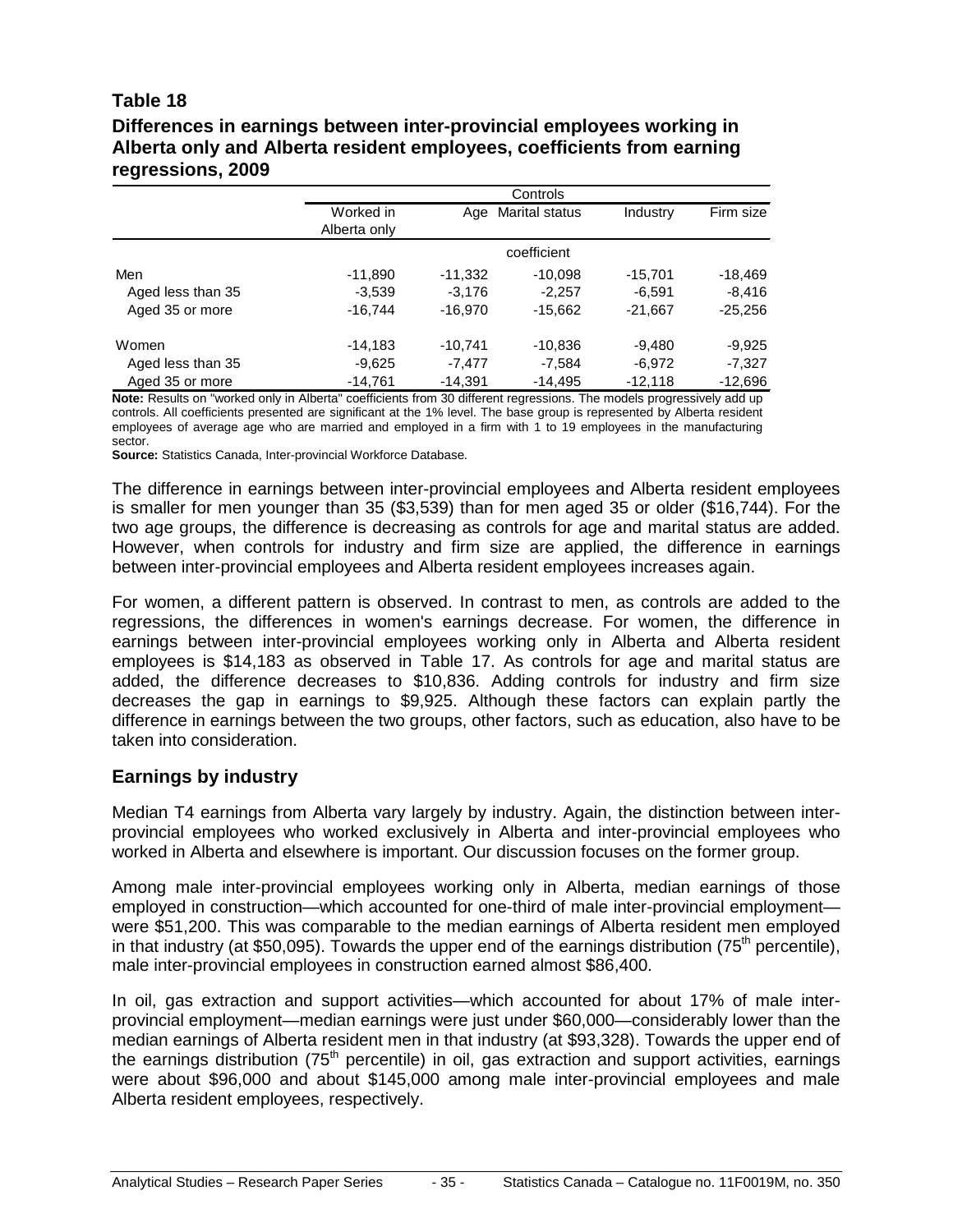#### **Table 18**

#### **Differences in earnings between inter-provincial employees working in Alberta only and Alberta resident employees, coefficients from earning regressions, 2009**

|                   | Controls     |           |                |           |           |  |  |  |
|-------------------|--------------|-----------|----------------|-----------|-----------|--|--|--|
|                   | Worked in    | Age       | Marital status | Industry  | Firm size |  |  |  |
|                   | Alberta only |           |                |           |           |  |  |  |
|                   |              |           | coefficient    |           |           |  |  |  |
| Men               | $-11,890$    | $-11.332$ | $-10,098$      | $-15,701$ | $-18,469$ |  |  |  |
| Aged less than 35 | $-3.539$     | $-3.176$  | $-2.257$       | $-6.591$  | $-8.416$  |  |  |  |
| Aged 35 or more   | $-16.744$    | $-16.970$ | $-15,662$      | $-21,667$ | $-25,256$ |  |  |  |
| Women             | $-14,183$    | $-10.741$ | $-10,836$      | $-9.480$  | $-9,925$  |  |  |  |
| Aged less than 35 | $-9.625$     | $-7.477$  | $-7.584$       | $-6.972$  | $-7.327$  |  |  |  |
| Aged 35 or more   | $-14.761$    | $-14.391$ | $-14.495$      | $-12.118$ | $-12.696$ |  |  |  |

**Note:** Results on "worked only in Alberta" coefficients from 30 different regressions. The models progressively add up controls. All coefficients presented are significant at the 1% level. The base group is represented by Alberta resident employees of average age who are married and employed in a firm with 1 to 19 employees in the manufacturing sector.

**Source:** Statistics Canada, Inter-provincial Workforce Database.

The difference in earnings between inter-provincial employees and Alberta resident employees is smaller for men younger than 35 (\$3,539) than for men aged 35 or older (\$16,744). For the two age groups, the difference is decreasing as controls for age and marital status are added. However, when controls for industry and firm size are applied, the difference in earnings between inter-provincial employees and Alberta resident employees increases again.

For women, a different pattern is observed. In contrast to men, as controls are added to the regressions, the differences in women's earnings decrease. For women, the difference in earnings between inter-provincial employees working only in Alberta and Alberta resident employees is \$14,183 as observed in Table 17. As controls for age and marital status are added, the difference decreases to \$10,836. Adding controls for industry and firm size decreases the gap in earnings to \$9,925. Although these factors can explain partly the difference in earnings between the two groups, other factors, such as education, also have to be taken into consideration.

#### **Earnings by industry**

Median T4 earnings from Alberta vary largely by industry. Again, the distinction between interprovincial employees who worked exclusively in Alberta and inter-provincial employees who worked in Alberta and elsewhere is important. Our discussion focuses on the former group.

Among male inter-provincial employees working only in Alberta, median earnings of those employed in construction—which accounted for one-third of male inter-provincial employment were \$51,200. This was comparable to the median earnings of Alberta resident men employed in that industry (at \$50,095). Towards the upper end of the earnings distribution (75<sup>th</sup> percentile), male inter-provincial employees in construction earned almost \$86,400.

In oil, gas extraction and support activities—which accounted for about 17% of male interprovincial employment—median earnings were just under \$60,000—considerably lower than the median earnings of Alberta resident men in that industry (at \$93,328). Towards the upper end of the earnings distribution (75<sup>th</sup> percentile) in oil, gas extraction and support activities, earnings were about \$96,000 and about \$145,000 among male inter-provincial employees and male Alberta resident employees, respectively.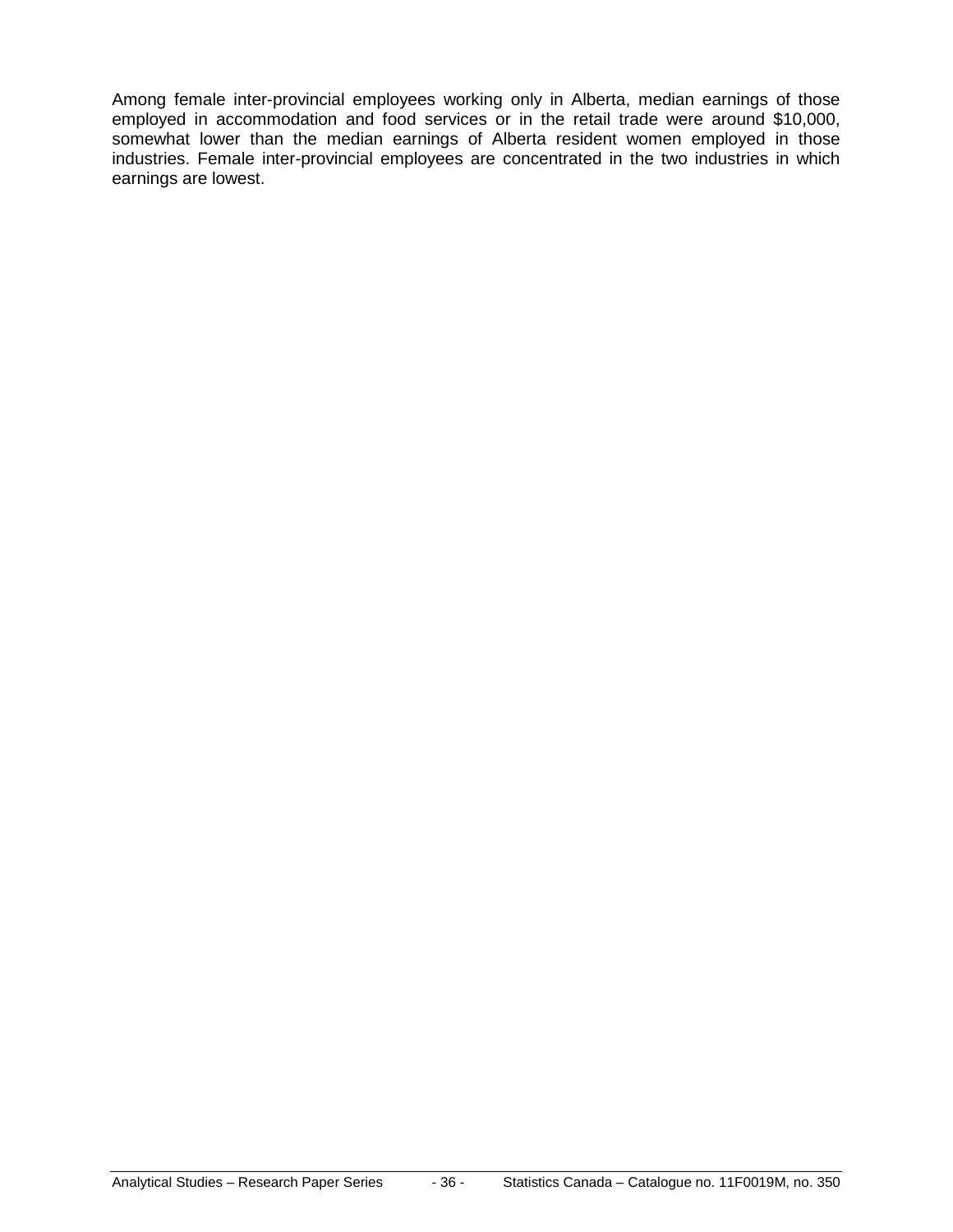Among female inter-provincial employees working only in Alberta, median earnings of those employed in accommodation and food services or in the retail trade were around \$10,000, somewhat lower than the median earnings of Alberta resident women employed in those industries. Female inter-provincial employees are concentrated in the two industries in which earnings are lowest.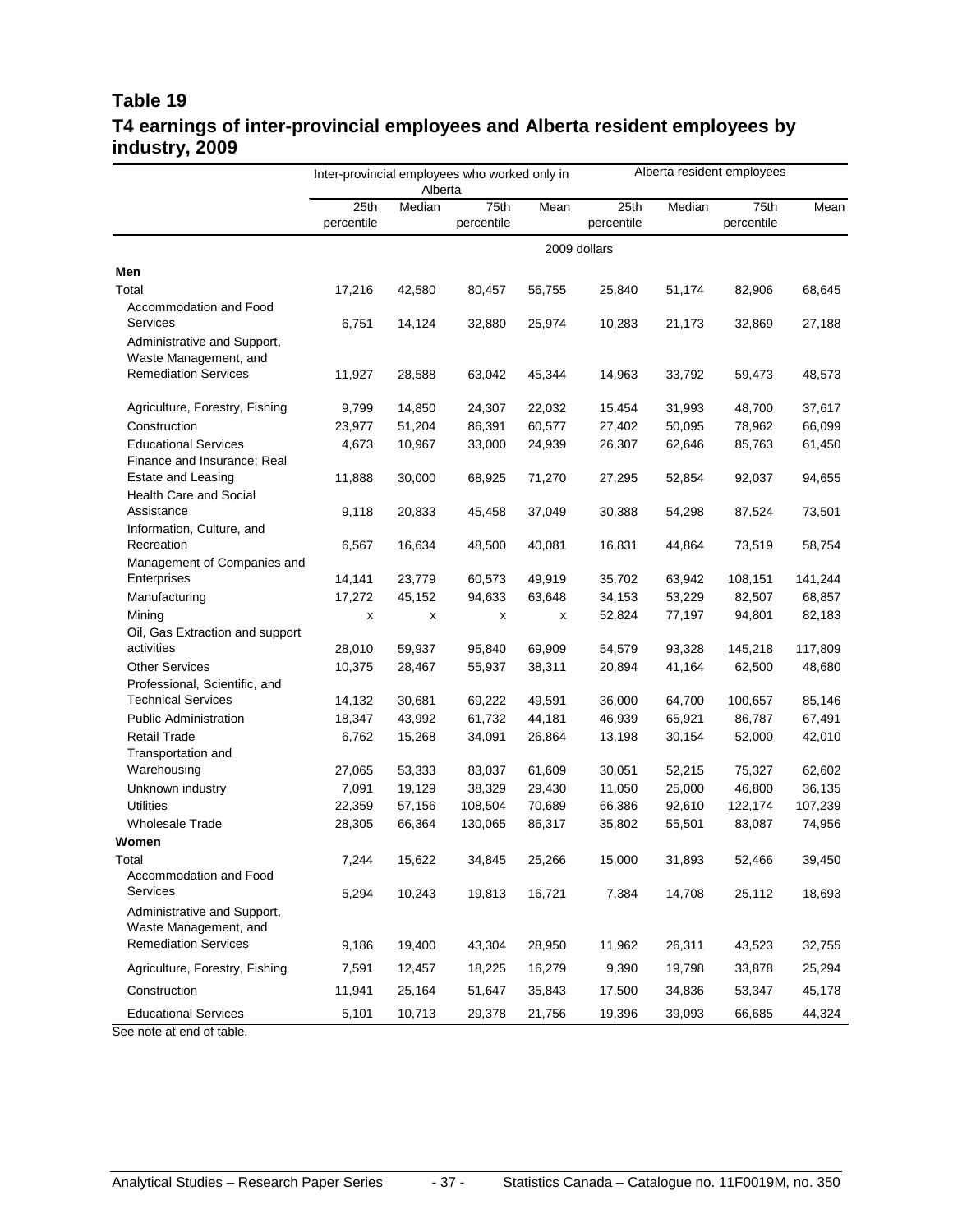#### **Table 19 T4 earnings of inter-provincial employees and Alberta resident employees by industry, 2009**

|                                                      | Inter-provincial employees who worked only in<br>Alberta |        |                    |        | Alberta resident employees |        |                    |         |
|------------------------------------------------------|----------------------------------------------------------|--------|--------------------|--------|----------------------------|--------|--------------------|---------|
|                                                      | 25th<br>percentile                                       | Median | 75th<br>percentile | Mean   | 25th<br>percentile         | Median | 75th<br>percentile | Mean    |
|                                                      |                                                          |        |                    |        | 2009 dollars               |        |                    |         |
| Men                                                  |                                                          |        |                    |        |                            |        |                    |         |
| Total                                                | 17,216                                                   | 42,580 | 80,457             | 56,755 | 25,840                     | 51,174 | 82,906             | 68,645  |
| Accommodation and Food                               |                                                          |        |                    |        |                            |        |                    |         |
| Services                                             | 6,751                                                    | 14,124 | 32,880             | 25,974 | 10,283                     | 21,173 | 32,869             | 27,188  |
| Administrative and Support,                          |                                                          |        |                    |        |                            |        |                    |         |
| Waste Management, and                                |                                                          |        |                    |        |                            |        |                    |         |
| <b>Remediation Services</b>                          | 11,927                                                   | 28,588 | 63,042             | 45,344 | 14,963                     | 33,792 | 59,473             | 48,573  |
|                                                      |                                                          |        |                    |        |                            |        |                    |         |
| Agriculture, Forestry, Fishing                       | 9,799                                                    | 14,850 | 24,307             | 22,032 | 15,454                     | 31,993 | 48,700             | 37,617  |
| Construction                                         | 23,977                                                   | 51,204 | 86,391             | 60,577 | 27,402                     | 50,095 | 78,962             | 66,099  |
| <b>Educational Services</b>                          | 4,673                                                    | 10,967 | 33,000             | 24,939 | 26,307                     | 62,646 | 85,763             | 61,450  |
| Finance and Insurance; Real                          |                                                          |        |                    |        |                            |        |                    |         |
| Estate and Leasing                                   | 11,888                                                   | 30,000 | 68,925             | 71,270 | 27,295                     | 52,854 | 92,037             | 94,655  |
| <b>Health Care and Social</b>                        |                                                          |        |                    |        |                            |        |                    |         |
| Assistance                                           | 9,118                                                    | 20,833 | 45,458             | 37,049 | 30,388                     | 54,298 | 87,524             | 73,501  |
| Information, Culture, and                            |                                                          |        |                    |        |                            |        |                    |         |
| Recreation                                           | 6,567                                                    | 16,634 | 48,500             | 40,081 | 16,831                     | 44,864 | 73,519             | 58,754  |
| Management of Companies and<br>Enterprises           | 14,141                                                   | 23,779 |                    | 49,919 |                            | 63,942 | 108,151            | 141,244 |
|                                                      | 17,272                                                   |        | 60,573<br>94,633   | 63,648 | 35,702                     | 53,229 | 82,507             | 68,857  |
| Manufacturing<br>Mining                              |                                                          | 45,152 |                    | x      | 34,153<br>52,824           | 77,197 | 94,801             | 82,183  |
| Oil, Gas Extraction and support                      | x                                                        | х      | х                  |        |                            |        |                    |         |
| activities                                           | 28,010                                                   | 59,937 | 95,840             | 69,909 | 54,579                     | 93,328 | 145,218            | 117,809 |
| <b>Other Services</b>                                | 10,375                                                   | 28,467 | 55,937             | 38,311 | 20,894                     | 41,164 | 62,500             | 48,680  |
| Professional, Scientific, and                        |                                                          |        |                    |        |                            |        |                    |         |
| <b>Technical Services</b>                            | 14,132                                                   | 30,681 | 69,222             | 49,591 | 36,000                     | 64,700 | 100,657            | 85,146  |
| <b>Public Administration</b>                         | 18,347                                                   | 43,992 | 61,732             | 44,181 | 46,939                     | 65,921 | 86,787             | 67,491  |
| <b>Retail Trade</b>                                  | 6,762                                                    | 15,268 | 34,091             | 26,864 | 13,198                     | 30,154 | 52,000             | 42,010  |
| Transportation and                                   |                                                          |        |                    |        |                            |        |                    |         |
| Warehousing                                          | 27,065                                                   | 53,333 | 83,037             | 61,609 | 30,051                     | 52,215 | 75,327             | 62,602  |
| Unknown industry                                     | 7,091                                                    | 19,129 | 38,329             | 29,430 | 11,050                     | 25,000 | 46,800             | 36,135  |
| <b>Utilities</b>                                     | 22,359                                                   | 57,156 | 108,504            | 70,689 | 66,386                     | 92,610 | 122,174            | 107,239 |
| Wholesale Trade                                      | 28,305                                                   | 66,364 | 130,065            | 86,317 | 35,802                     | 55,501 | 83,087             | 74,956  |
| Women                                                |                                                          |        |                    |        |                            |        |                    |         |
| Total                                                | 7,244                                                    | 15,622 | 34,845             | 25,266 | 15,000                     | 31,893 | 52,466             | 39,450  |
| Accommodation and Food                               |                                                          |        |                    |        |                            |        |                    |         |
| Services                                             | 5,294                                                    | 10,243 | 19,813             | 16,721 | 7,384                      | 14,708 | 25,112             | 18,693  |
| Administrative and Support,<br>Waste Management, and |                                                          |        |                    |        |                            |        |                    |         |
| <b>Remediation Services</b>                          | 9,186                                                    | 19,400 | 43,304             | 28,950 | 11,962                     | 26,311 | 43,523             | 32,755  |
| Agriculture, Forestry, Fishing                       | 7,591                                                    | 12,457 | 18,225             | 16,279 | 9,390                      | 19,798 | 33,878             | 25,294  |
| Construction                                         | 11,941                                                   | 25,164 | 51,647             | 35,843 | 17,500                     | 34,836 | 53,347             | 45,178  |
| <b>Educational Services</b>                          | 5,101                                                    | 10,713 | 29,378             | 21,756 | 19,396                     | 39,093 | 66,685             | 44,324  |

See note at end of table.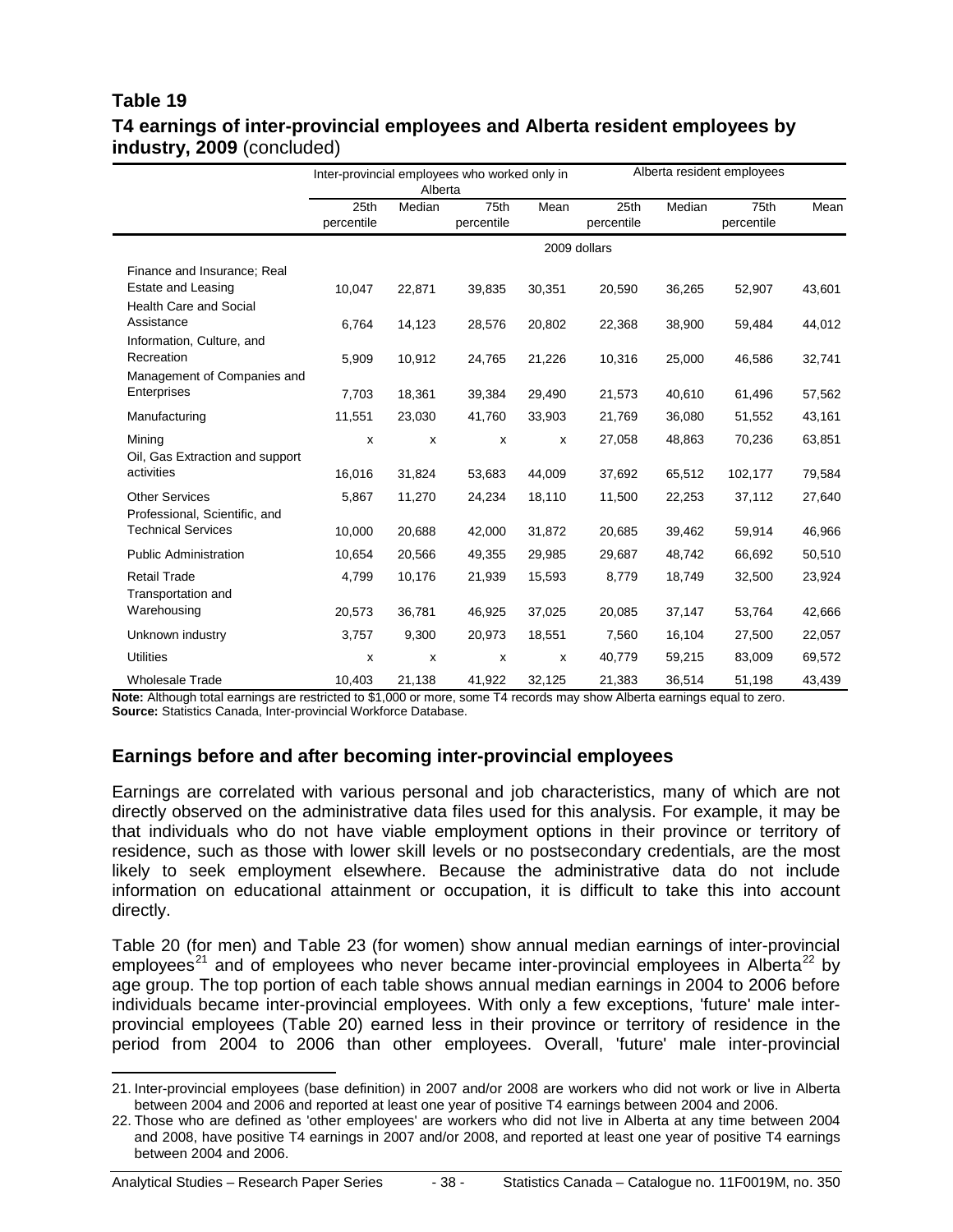#### **Table 19 T4 earnings of inter-provincial employees and Alberta resident employees by industry, 2009** (concluded)

|                                                          | Inter-provincial employees who worked only in<br>Alberta |                  |                    |                  | Alberta resident employees |                  |                    |                  |
|----------------------------------------------------------|----------------------------------------------------------|------------------|--------------------|------------------|----------------------------|------------------|--------------------|------------------|
|                                                          | 25th<br>percentile                                       | Median           | 75th<br>percentile | Mean             | 25th<br>percentile         | Median           | 75th<br>percentile | Mean             |
|                                                          |                                                          |                  |                    |                  | 2009 dollars               |                  |                    |                  |
| Finance and Insurance; Real<br><b>Estate and Leasing</b> | 10,047                                                   | 22,871           | 39,835             | 30,351           | 20,590                     | 36,265           | 52,907             | 43,601           |
| <b>Health Care and Social</b><br>Assistance              | 6,764                                                    | 14,123           | 28,576             | 20,802           | 22,368                     | 38,900           | 59,484             | 44,012           |
| Information, Culture, and<br>Recreation                  | 5,909                                                    | 10,912           | 24,765             | 21,226           | 10,316                     | 25,000           | 46,586             | 32,741           |
| Management of Companies and<br>Enterprises               | 7,703                                                    |                  |                    |                  |                            |                  |                    |                  |
| Manufacturing                                            | 11,551                                                   | 18,361<br>23,030 | 39,384<br>41,760   | 29,490<br>33,903 | 21,573<br>21,769           | 40,610<br>36,080 | 61,496<br>51,552   | 57,562<br>43,161 |
| Mining<br>Oil, Gas Extraction and support                | x                                                        | X                | X                  | X                | 27,058                     | 48,863           | 70,236             | 63,851           |
| activities                                               | 16,016                                                   | 31,824           | 53,683             | 44,009           | 37,692                     | 65,512           | 102,177            | 79,584           |
| <b>Other Services</b><br>Professional, Scientific, and   | 5,867                                                    | 11,270           | 24,234             | 18,110           | 11,500                     | 22,253           | 37,112             | 27,640           |
| <b>Technical Services</b>                                | 10,000                                                   | 20,688           | 42,000             | 31,872           | 20,685                     | 39,462           | 59,914             | 46,966           |
| <b>Public Administration</b>                             | 10,654                                                   | 20,566           | 49,355             | 29,985           | 29,687                     | 48,742           | 66,692             | 50,510           |
| Retail Trade<br><b>Transportation and</b>                | 4,799                                                    | 10,176           | 21,939             | 15,593           | 8,779                      | 18,749           | 32,500             | 23,924           |
| Warehousing                                              | 20,573                                                   | 36,781           | 46,925             | 37,025           | 20,085                     | 37,147           | 53,764             | 42,666           |
| Unknown industry                                         | 3,757                                                    | 9,300            | 20,973             | 18,551           | 7,560                      | 16,104           | 27,500             | 22,057           |
| <b>Utilities</b>                                         | x                                                        | х                | X                  | X                | 40,779                     | 59,215           | 83,009             | 69,572           |
| <b>Wholesale Trade</b>                                   | 10.403                                                   | 21,138           | 41,922             | 32,125           | 21,383                     | 36,514           | 51,198             | 43,439           |

**Note:** Although total earnings are restricted to \$1,000 or more, some T4 records may show Alberta earnings equal to zero. **Source:** Statistics Canada, Inter-provincial Workforce Database.

#### **Earnings before and after becoming inter-provincial employees**

Earnings are correlated with various personal and job characteristics, many of which are not directly observed on the administrative data files used for this analysis. For example, it may be that individuals who do not have viable employment options in their province or territory of residence, such as those with lower skill levels or no postsecondary credentials, are the most likely to seek employment elsewhere. Because the administrative data do not include information on educational attainment or occupation, it is difficult to take this into account directly.

Table 20 (for men) and Table 23 (for women) show annual median earnings of inter-provincial employees<sup>[21](#page-37-0)</sup> and of employees who never became inter-provincial employees in Alberta<sup>[22](#page-37-1)</sup> by age group. The top portion of each table shows annual median earnings in 2004 to 2006 before individuals became inter-provincial employees. With only a few exceptions, 'future' male interprovincial employees (Table 20) earned less in their province or territory of residence in the period from 2004 to 2006 than other employees. Overall, 'future' male inter-provincial

<span id="page-37-0"></span> <sup>21.</sup> Inter-provincial employees (base definition) in 2007 and/or 2008 are workers who did not work or live in Alberta between 2004 and 2006 and reported at least one year of positive T4 earnings between 2004 and 2006.

<span id="page-37-1"></span><sup>22.</sup> Those who are defined as 'other employees' are workers who did not live in Alberta at any time between 2004 and 2008, have positive T4 earnings in 2007 and/or 2008, and reported at least one year of positive T4 earnings between 2004 and 2006.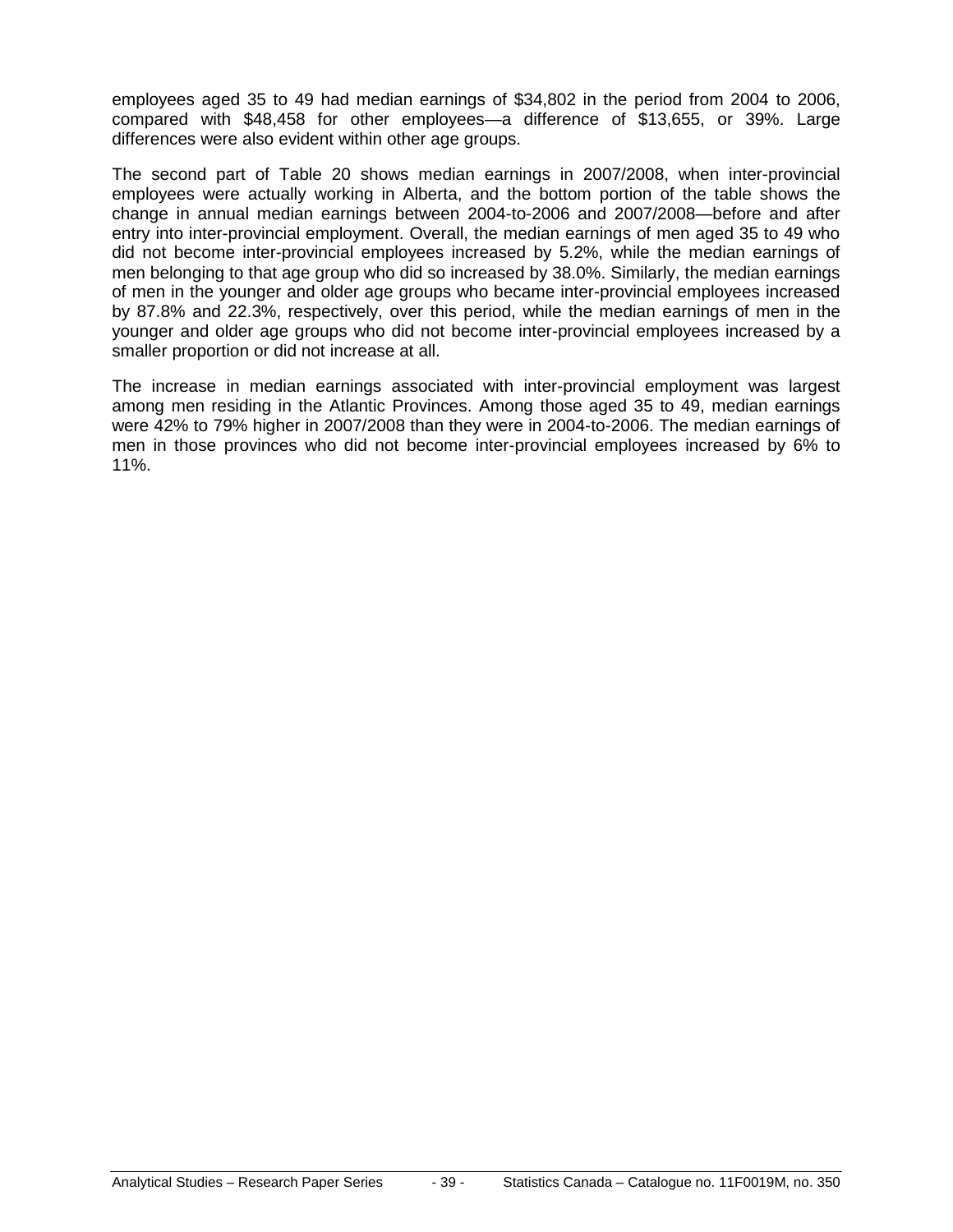employees aged 35 to 49 had median earnings of \$34,802 in the period from 2004 to 2006, compared with \$48,458 for other employees—a difference of \$13,655, or 39%. Large differences were also evident within other age groups.

The second part of Table 20 shows median earnings in 2007/2008, when inter-provincial employees were actually working in Alberta, and the bottom portion of the table shows the change in annual median earnings between 2004-to-2006 and 2007/2008—before and after entry into inter-provincial employment. Overall, the median earnings of men aged 35 to 49 who did not become inter-provincial employees increased by 5.2%, while the median earnings of men belonging to that age group who did so increased by 38.0%. Similarly, the median earnings of men in the younger and older age groups who became inter-provincial employees increased by 87.8% and 22.3%, respectively, over this period, while the median earnings of men in the younger and older age groups who did not become inter-provincial employees increased by a smaller proportion or did not increase at all.

The increase in median earnings associated with inter-provincial employment was largest among men residing in the Atlantic Provinces. Among those aged 35 to 49, median earnings were 42% to 79% higher in 2007/2008 than they were in 2004-to-2006. The median earnings of men in those provinces who did not become inter-provincial employees increased by 6% to 11%.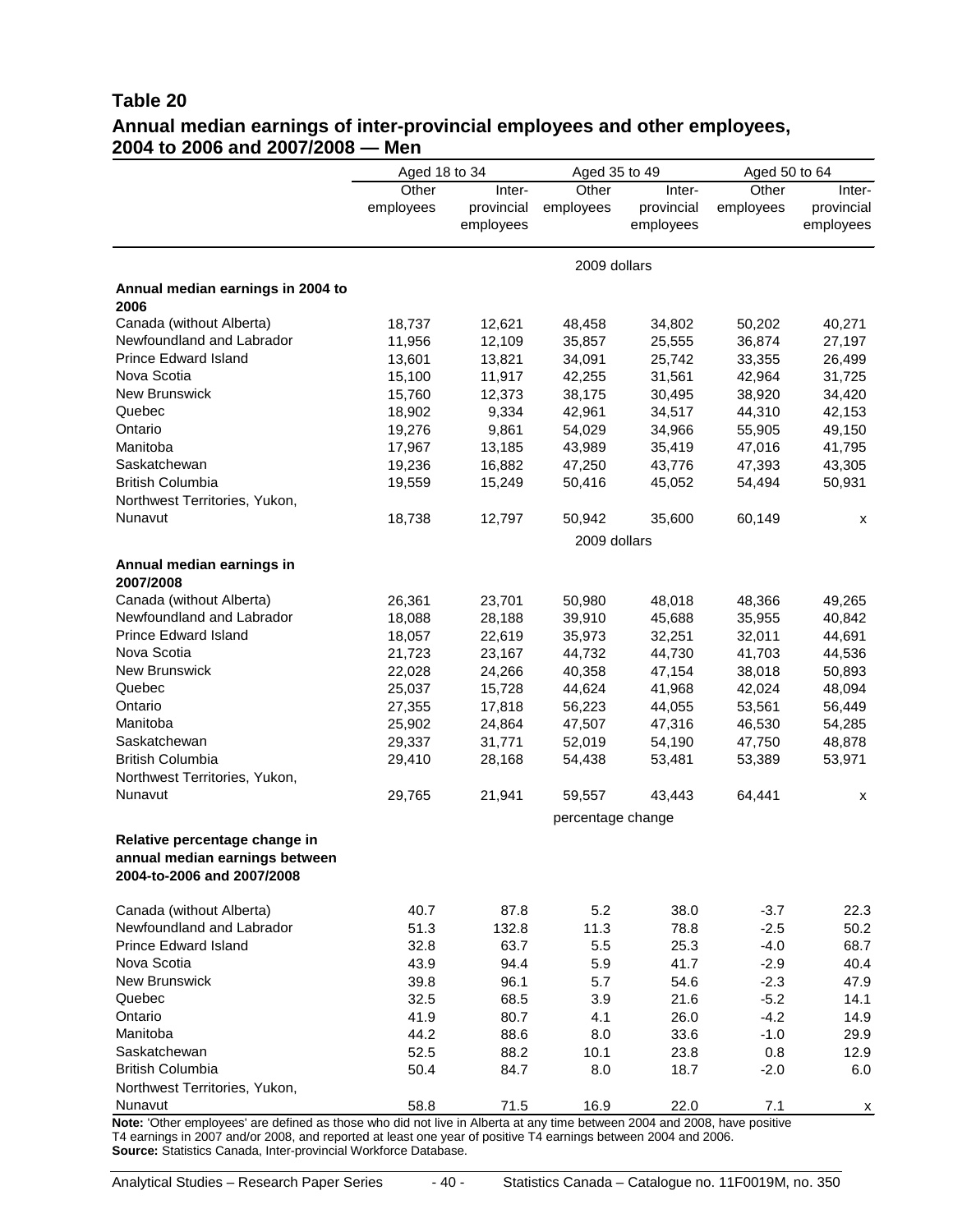#### **Table 20 Annual median earnings of inter-provincial employees and other employees, 2004 to 2006 and 2007/2008 — Men**

|                                                                                                                           | Aged 18 to 34 |              | Aged 35 to 49     |            | Aged 50 to 64 |            |  |  |
|---------------------------------------------------------------------------------------------------------------------------|---------------|--------------|-------------------|------------|---------------|------------|--|--|
|                                                                                                                           | Other         | Inter-       | Other             | Inter-     | Other         | Inter-     |  |  |
|                                                                                                                           | employees     | provincial   | employees         | provincial | employees     | provincial |  |  |
|                                                                                                                           |               | employees    |                   | employees  |               | employees  |  |  |
|                                                                                                                           |               |              | 2009 dollars      |            |               |            |  |  |
| Annual median earnings in 2004 to                                                                                         |               |              |                   |            |               |            |  |  |
| 2006                                                                                                                      |               |              |                   |            |               |            |  |  |
| Canada (without Alberta)                                                                                                  | 18,737        | 12,621       | 48,458            | 34,802     | 50,202        | 40,271     |  |  |
| Newfoundland and Labrador                                                                                                 | 11,956        | 12,109       | 35,857            | 25,555     | 36,874        | 27,197     |  |  |
| Prince Edward Island                                                                                                      | 13,601        | 13,821       | 34,091            | 25,742     | 33,355        | 26,499     |  |  |
| Nova Scotia                                                                                                               | 15,100        | 11,917       | 42,255            | 31,561     | 42,964        | 31,725     |  |  |
| New Brunswick                                                                                                             | 15,760        | 12,373       | 38,175            | 30,495     | 38,920        | 34,420     |  |  |
| Quebec                                                                                                                    | 18,902        | 9,334        | 42,961            | 34,517     | 44,310        | 42,153     |  |  |
| Ontario                                                                                                                   | 19,276        | 9,861        | 54,029            | 34,966     | 55,905        | 49,150     |  |  |
| Manitoba                                                                                                                  | 17,967        | 13,185       | 43,989            | 35,419     | 47,016        | 41,795     |  |  |
| Saskatchewan                                                                                                              | 19,236        | 16,882       | 47,250            | 43,776     | 47,393        | 43,305     |  |  |
| <b>British Columbia</b>                                                                                                   | 19,559        | 15,249       | 50,416            | 45,052     | 54,494        | 50,931     |  |  |
| Northwest Territories, Yukon,                                                                                             |               |              |                   |            |               |            |  |  |
| Nunavut                                                                                                                   | 18,738        | 12,797       | 50,942            | 35,600     | 60,149        | х          |  |  |
|                                                                                                                           |               | 2009 dollars |                   |            |               |            |  |  |
| Annual median earnings in                                                                                                 |               |              |                   |            |               |            |  |  |
| 2007/2008                                                                                                                 |               |              |                   |            |               |            |  |  |
| Canada (without Alberta)                                                                                                  | 26,361        | 23,701       | 50,980            | 48,018     | 48,366        | 49,265     |  |  |
| Newfoundland and Labrador                                                                                                 | 18,088        | 28,188       | 39,910            | 45,688     | 35,955        | 40,842     |  |  |
| <b>Prince Edward Island</b>                                                                                               | 18,057        | 22,619       | 35,973            | 32,251     | 32,011        | 44,691     |  |  |
| Nova Scotia                                                                                                               | 21,723        | 23,167       | 44,732            | 44,730     | 41,703        | 44,536     |  |  |
| New Brunswick                                                                                                             | 22,028        | 24,266       | 40,358            | 47,154     | 38,018        | 50,893     |  |  |
| Quebec                                                                                                                    | 25,037        | 15,728       | 44,624            | 41,968     | 42,024        | 48,094     |  |  |
| Ontario                                                                                                                   |               |              |                   |            |               |            |  |  |
|                                                                                                                           | 27,355        | 17,818       | 56,223            | 44,055     | 53,561        | 56,449     |  |  |
| Manitoba                                                                                                                  | 25,902        | 24,864       | 47,507            | 47,316     | 46,530        | 54,285     |  |  |
| Saskatchewan                                                                                                              | 29,337        | 31,771       | 52,019            | 54,190     | 47,750        | 48,878     |  |  |
| <b>British Columbia</b>                                                                                                   | 29,410        | 28,168       | 54,438            | 53,481     | 53,389        | 53,971     |  |  |
| Northwest Territories, Yukon,                                                                                             |               |              |                   |            |               |            |  |  |
| Nunavut                                                                                                                   | 29,765        | 21,941       | 59,557            | 43,443     | 64,441        | х          |  |  |
|                                                                                                                           |               |              | percentage change |            |               |            |  |  |
| Relative percentage change in                                                                                             |               |              |                   |            |               |            |  |  |
| annual median earnings between                                                                                            |               |              |                   |            |               |            |  |  |
| 2004-to-2006 and 2007/2008                                                                                                |               |              |                   |            |               |            |  |  |
| Canada (without Alberta)                                                                                                  | 40.7          | 87.8         | 5.2               | 38.0       | $-3.7$        | 22.3       |  |  |
| Newfoundland and Labrador                                                                                                 | 51.3          | 132.8        | 11.3              | 78.8       | $-2.5$        | 50.2       |  |  |
| <b>Prince Edward Island</b>                                                                                               | 32.8          | 63.7         | 5.5               | 25.3       | $-4.0$        | 68.7       |  |  |
| Nova Scotia                                                                                                               | 43.9          | 94.4         | 5.9               | 41.7       | $-2.9$        | 40.4       |  |  |
| <b>New Brunswick</b>                                                                                                      | 39.8          | 96.1         | 5.7               | 54.6       | $-2.3$        | 47.9       |  |  |
| Quebec                                                                                                                    | 32.5          | 68.5         | 3.9               | 21.6       | $-5.2$        | 14.1       |  |  |
| Ontario                                                                                                                   | 41.9          | 80.7         | 4.1               | 26.0       | $-4.2$        | 14.9       |  |  |
| Manitoba                                                                                                                  | 44.2          | 88.6         | 8.0               | 33.6       | $-1.0$        | 29.9       |  |  |
| Saskatchewan                                                                                                              | 52.5          | 88.2         | 10.1              | 23.8       | 0.8           | 12.9       |  |  |
| <b>British Columbia</b>                                                                                                   | 50.4          | 84.7         | 8.0               | 18.7       | $-2.0$        | 6.0        |  |  |
| Northwest Territories, Yukon,                                                                                             |               |              |                   |            |               |            |  |  |
| Nunavut                                                                                                                   | 58.8          | 71.5         | 16.9              | 22.0       | 7.1           |            |  |  |
| Note: 'Other employees' are defined as those who did not live in Alberta at any time between 2004 and 2008, have positive |               |              |                   |            |               | х          |  |  |

T4 earnings in 2007 and/or 2008, and reported at least one year of positive T4 earnings between 2004 and 2006. **Source:** Statistics Canada, Inter-provincial Workforce Database.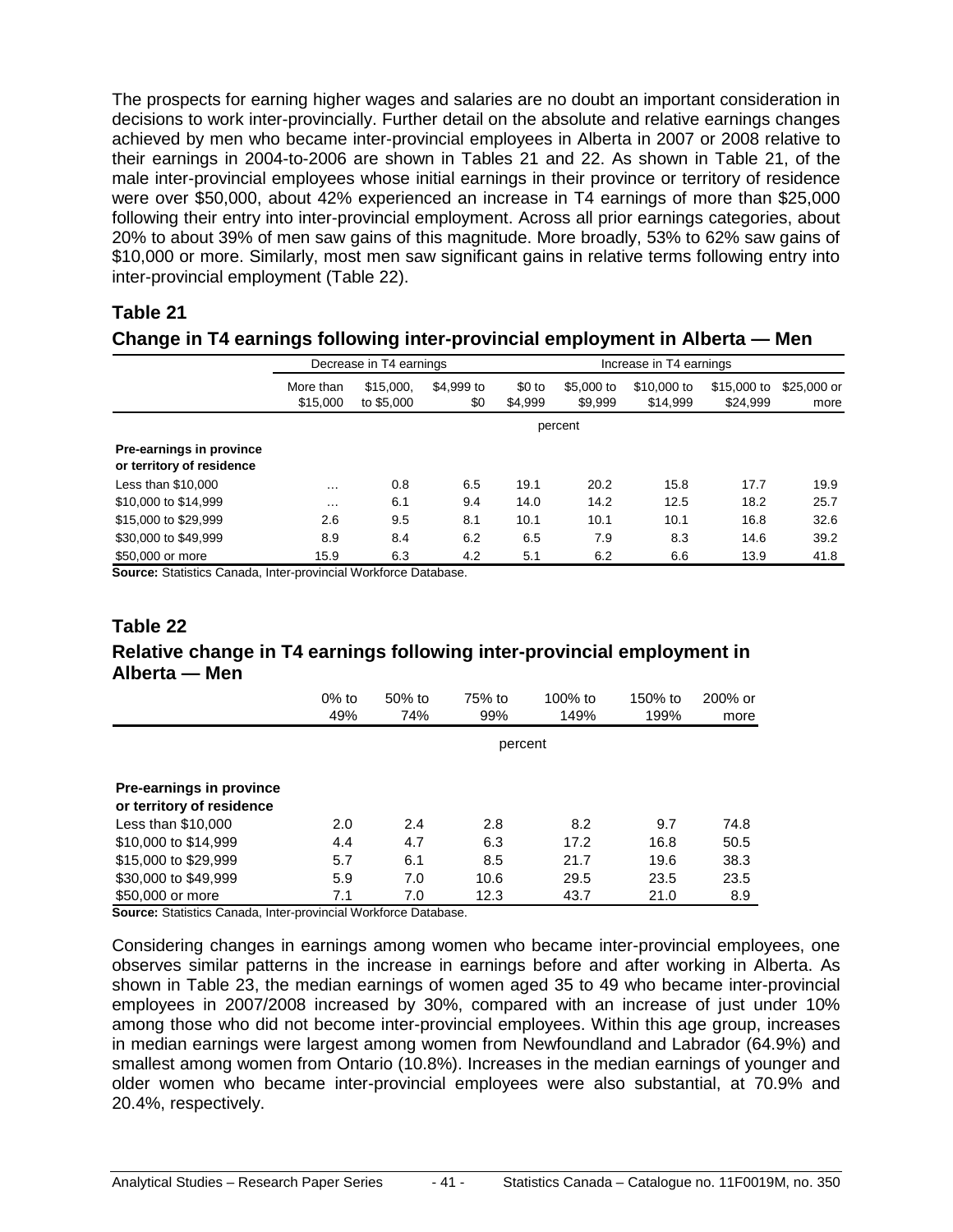The prospects for earning higher wages and salaries are no doubt an important consideration in decisions to work inter-provincially. Further detail on the absolute and relative earnings changes achieved by men who became inter-provincial employees in Alberta in 2007 or 2008 relative to their earnings in 2004-to-2006 are shown in Tables 21 and 22. As shown in Table 21, of the male inter-provincial employees whose initial earnings in their province or territory of residence were over \$50,000, about 42% experienced an increase in T4 earnings of more than \$25,000 following their entry into inter-provincial employment. Across all prior earnings categories, about 20% to about 39% of men saw gains of this magnitude. More broadly, 53% to 62% saw gains of \$10,000 or more. Similarly, most men saw significant gains in relative terms following entry into inter-provincial employment (Table 22).

#### **Table 21**

#### **Change in T4 earnings following inter-provincial employment in Alberta — Men**

|                                                       | Decrease in T4 earnings |                         |                   |                    | Increase in T4 earnings |                         |                         |                     |  |  |
|-------------------------------------------------------|-------------------------|-------------------------|-------------------|--------------------|-------------------------|-------------------------|-------------------------|---------------------|--|--|
|                                                       | More than<br>\$15,000   | \$15,000,<br>to \$5,000 | \$4,999 to<br>\$0 | $$0$ to<br>\$4.999 | \$5,000 to<br>\$9,999   | \$10,000 to<br>\$14,999 | \$15,000 to<br>\$24,999 | \$25,000 or<br>more |  |  |
|                                                       |                         | percent                 |                   |                    |                         |                         |                         |                     |  |  |
| Pre-earnings in province<br>or territory of residence |                         |                         |                   |                    |                         |                         |                         |                     |  |  |
| Less than \$10,000                                    | $\cdots$                | 0.8                     | 6.5               | 19.1               | 20.2                    | 15.8                    | 17.7                    | 19.9                |  |  |
| \$10,000 to \$14,999                                  | $\cdots$                | 6.1                     | 9.4               | 14.0               | 14.2                    | 12.5                    | 18.2                    | 25.7                |  |  |
| \$15,000 to \$29,999                                  | 2.6                     | 9.5                     | 8.1               | 10.1               | 10.1                    | 10.1                    | 16.8                    | 32.6                |  |  |
| \$30,000 to \$49,999                                  | 8.9                     | 8.4                     | 6.2               | 6.5                | 7.9                     | 8.3                     | 14.6                    | 39.2                |  |  |
| \$50,000 or more                                      | 15.9                    | 6.3                     | 4.2               | 5.1                | 6.2                     | 6.6                     | 13.9                    | 41.8                |  |  |

**Source:** Statistics Canada, Inter-provincial Workforce Database.

#### **Table 22**

#### **Relative change in T4 earnings following inter-provincial employment in Alberta — Men**

|                                                       | $0\%$ to<br>49% | 50% to<br>74% | 75% to<br>99% | $100\%$ to<br>149% | 150% to<br>199% | 200% or<br>more |
|-------------------------------------------------------|-----------------|---------------|---------------|--------------------|-----------------|-----------------|
|                                                       |                 |               | percent       |                    |                 |                 |
| Pre-earnings in province<br>or territory of residence |                 |               |               |                    |                 |                 |
| Less than \$10,000                                    | 2.0             | 2.4           | 2.8           | 8.2                | 9.7             | 74.8            |
| \$10,000 to \$14,999                                  | 4.4             | 4.7           | 6.3           | 17.2               | 16.8            | 50.5            |
| \$15,000 to \$29,999                                  | 5.7             | 6.1           | 8.5           | 21.7               | 19.6            | 38.3            |
| \$30,000 to \$49,999                                  | 5.9             | 7.0           | 10.6          | 29.5               | 23.5            | 23.5            |
| \$50,000 or more                                      | 7.1             | 7.0           | 12.3          | 43.7               | 21.0            | 8.9             |

**Source:** Statistics Canada, Inter-provincial Workforce Database.

Considering changes in earnings among women who became inter-provincial employees, one observes similar patterns in the increase in earnings before and after working in Alberta. As shown in Table 23, the median earnings of women aged 35 to 49 who became inter-provincial employees in 2007/2008 increased by 30%, compared with an increase of just under 10% among those who did not become inter-provincial employees. Within this age group, increases in median earnings were largest among women from Newfoundland and Labrador (64.9%) and smallest among women from Ontario (10.8%). Increases in the median earnings of younger and older women who became inter-provincial employees were also substantial, at 70.9% and 20.4%, respectively.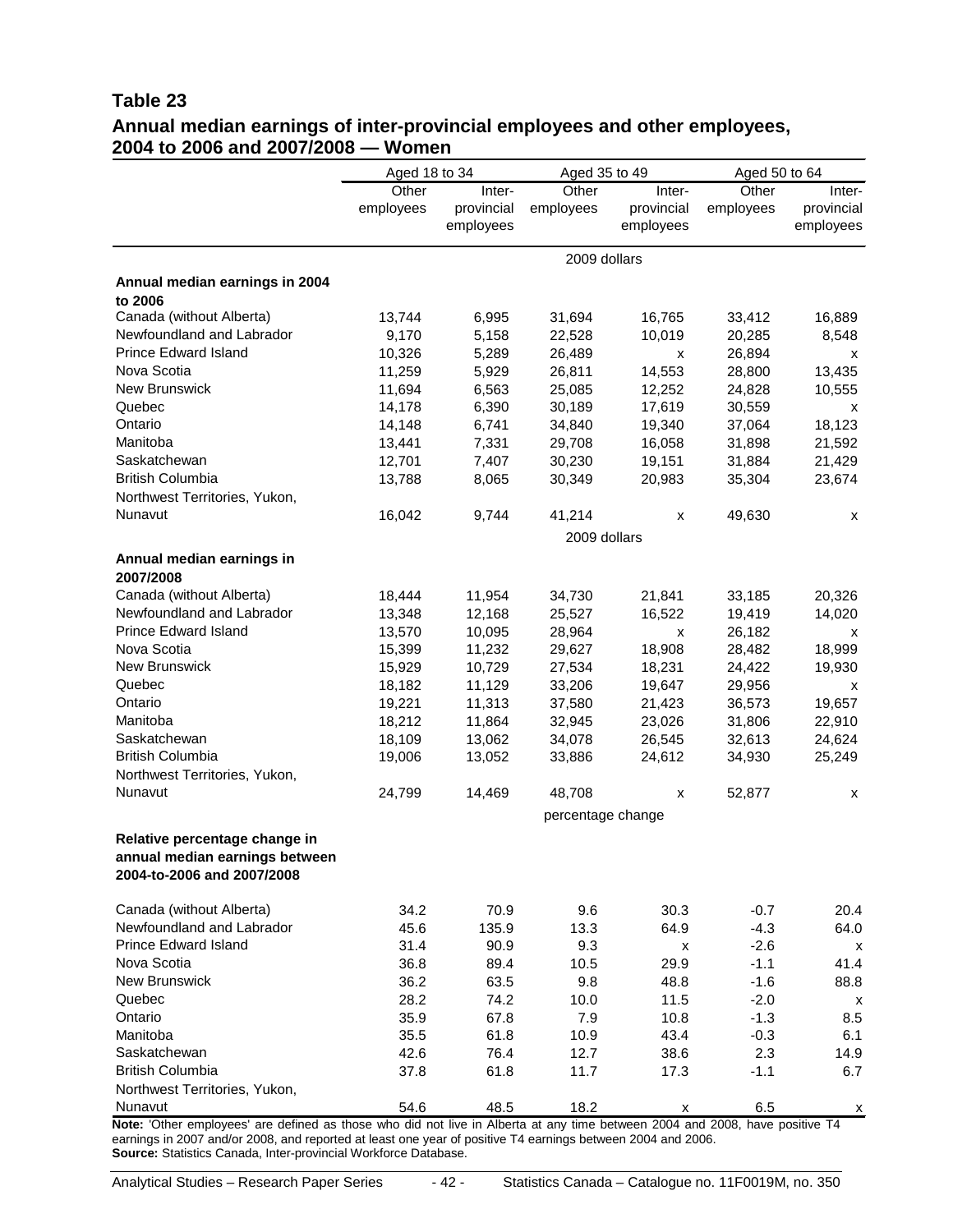#### **Table 23 Annual median earnings of inter-provincial employees and other employees, 2004 to 2006 and 2007/2008 — Women**

|                                                                                                                                         | Aged 18 to 34 |            | Aged 35 to 49     |                | Aged 50 to 64      |            |
|-----------------------------------------------------------------------------------------------------------------------------------------|---------------|------------|-------------------|----------------|--------------------|------------|
|                                                                                                                                         | Other         | Inter-     | Other             | Inter-         | $\overline{Other}$ | Inter-     |
|                                                                                                                                         | employees     | provincial | employees         | provincial     | employees          | provincial |
|                                                                                                                                         |               | employees  |                   | employees      |                    | employees  |
|                                                                                                                                         |               |            | 2009 dollars      |                |                    |            |
| Annual median earnings in 2004                                                                                                          |               |            |                   |                |                    |            |
| to 2006                                                                                                                                 |               |            |                   |                |                    |            |
| Canada (without Alberta)                                                                                                                | 13,744        | 6,995      | 31,694            | 16,765         | 33,412             | 16,889     |
| Newfoundland and Labrador                                                                                                               | 9,170         | 5,158      | 22,528            | 10,019         | 20,285             | 8,548      |
| Prince Edward Island                                                                                                                    | 10,326        | 5,289      | 26,489            | $\pmb{\times}$ | 26,894             | x          |
| Nova Scotia                                                                                                                             | 11,259        | 5,929      | 26,811            | 14,553         | 28,800             | 13,435     |
| New Brunswick                                                                                                                           | 11,694        | 6,563      | 25,085            | 12,252         | 24,828             | 10,555     |
| Quebec                                                                                                                                  | 14,178        | 6,390      | 30,189            | 17,619         | 30,559             | X          |
| Ontario                                                                                                                                 | 14,148        | 6,741      | 34,840            | 19,340         | 37,064             | 18,123     |
| Manitoba                                                                                                                                | 13,441        | 7,331      | 29,708            | 16,058         | 31,898             | 21,592     |
| Saskatchewan                                                                                                                            | 12,701        | 7,407      | 30,230            | 19,151         | 31,884             | 21,429     |
| <b>British Columbia</b>                                                                                                                 | 13,788        | 8,065      | 30,349            | 20,983         | 35,304             | 23,674     |
| Northwest Territories, Yukon,                                                                                                           |               |            |                   |                |                    |            |
| Nunavut                                                                                                                                 | 16,042        | 9,744      | 41,214            | х              | 49,630             | х          |
|                                                                                                                                         |               |            | 2009 dollars      |                |                    |            |
| Annual median earnings in                                                                                                               |               |            |                   |                |                    |            |
| 2007/2008                                                                                                                               |               |            |                   |                |                    |            |
| Canada (without Alberta)                                                                                                                | 18,444        | 11,954     | 34,730            | 21,841         | 33,185             | 20,326     |
| Newfoundland and Labrador                                                                                                               | 13,348        | 12,168     | 25,527            | 16,522         | 19,419             | 14,020     |
| <b>Prince Edward Island</b>                                                                                                             | 13,570        | 10,095     | 28,964            | X              | 26,182             | x          |
| Nova Scotia                                                                                                                             | 15,399        | 11,232     | 29,627            | 18,908         | 28,482             | 18,999     |
| New Brunswick                                                                                                                           | 15,929        | 10,729     | 27,534            | 18,231         | 24,422             | 19,930     |
| Quebec                                                                                                                                  | 18,182        | 11,129     | 33,206            | 19,647         | 29,956             | x          |
| Ontario                                                                                                                                 | 19,221        | 11,313     | 37,580            | 21,423         | 36,573             | 19,657     |
| Manitoba                                                                                                                                | 18,212        | 11,864     | 32,945            | 23,026         | 31,806             | 22,910     |
| Saskatchewan                                                                                                                            | 18,109        | 13,062     | 34,078            | 26,545         | 32,613             | 24,624     |
| <b>British Columbia</b>                                                                                                                 | 19,006        | 13,052     | 33,886            | 24,612         | 34,930             | 25,249     |
| Northwest Territories, Yukon,                                                                                                           |               |            |                   |                |                    |            |
| Nunavut                                                                                                                                 | 24,799        | 14,469     | 48,708            | X              | 52,877             | х          |
|                                                                                                                                         |               |            | percentage change |                |                    |            |
| Relative percentage change in                                                                                                           |               |            |                   |                |                    |            |
| annual median earnings between                                                                                                          |               |            |                   |                |                    |            |
| 2004-to-2006 and 2007/2008                                                                                                              |               |            |                   |                |                    |            |
| Canada (without Alberta)                                                                                                                |               |            |                   |                |                    |            |
| Newfoundland and Labrador                                                                                                               | 34.2<br>45.6  | 70.9       | 9.6               | 30.3<br>64.9   | $-0.7$             | 20.4       |
| <b>Prince Edward Island</b>                                                                                                             |               | 135.9      | 13.3              |                | $-4.3$             | 64.0       |
| Nova Scotia                                                                                                                             | 31.4          | 90.9       | 9.3               | х              | $-2.6$             | х          |
| <b>New Brunswick</b>                                                                                                                    | 36.8          | 89.4       | 10.5              | 29.9           | -1.1               | 41.4       |
|                                                                                                                                         | 36.2          | 63.5       | 9.8               | 48.8           | $-1.6$             | 88.8       |
| Quebec                                                                                                                                  | 28.2          | 74.2       | 10.0              | 11.5           | $-2.0$             | х          |
| Ontario                                                                                                                                 | 35.9          | 67.8       | 7.9               | 10.8           | $-1.3$             | 8.5        |
| Manitoba                                                                                                                                | 35.5          | 61.8       | 10.9              | 43.4           | $-0.3$             | 6.1        |
| Saskatchewan                                                                                                                            | 42.6          | 76.4       | 12.7              | 38.6           | 2.3                | 14.9       |
| <b>British Columbia</b>                                                                                                                 | 37.8          | 61.8       | 11.7              | 17.3           | $-1.1$             | 6.7        |
| Northwest Territories, Yukon,                                                                                                           |               |            |                   |                |                    |            |
| Nunavut<br>Note: 'Other employees' are defined as those who did not live in Alberta at any time between 2004 and 2008, have positive T4 | 54.6          | 48.5       | 18.2              | х              | 6.5                | х          |
| 2005 and/ex 2008, and reported at least ano vear of positive T1 carpings between 2004 and 2008                                          |               |            |                   |                |                    |            |

earnings in 2007 and/or 2008, and reported at least one year of positive T4 earnings between 2004 and 2006. **Source:** Statistics Canada, Inter-provincial Workforce Database.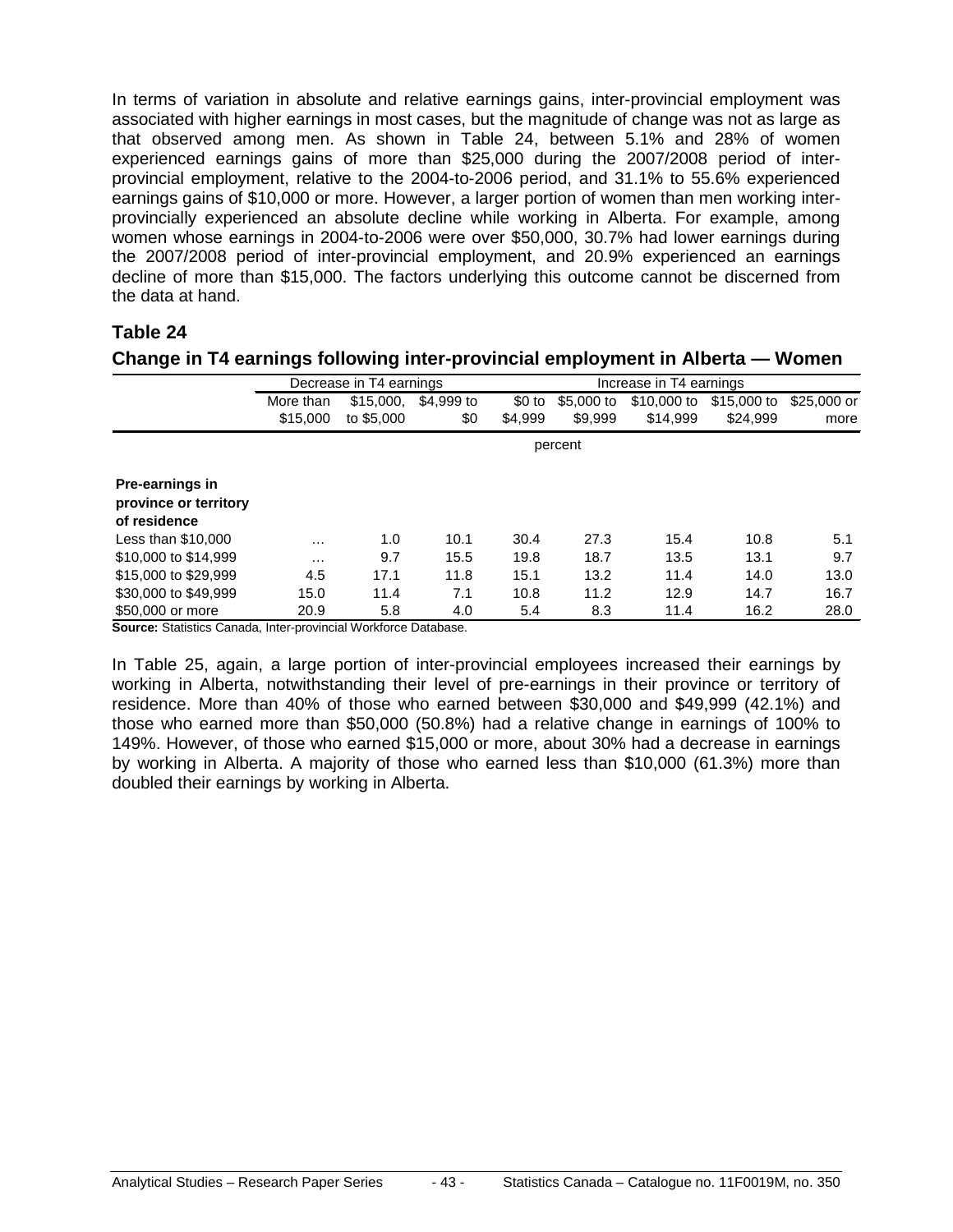In terms of variation in absolute and relative earnings gains, inter-provincial employment was associated with higher earnings in most cases, but the magnitude of change was not as large as that observed among men. As shown in Table 24, between 5.1% and 28% of women experienced earnings gains of more than \$25,000 during the 2007/2008 period of interprovincial employment, relative to the 2004-to-2006 period, and 31.1% to 55.6% experienced earnings gains of \$10,000 or more. However, a larger portion of women than men working interprovincially experienced an absolute decline while working in Alberta. For example, among women whose earnings in 2004-to-2006 were over \$50,000, 30.7% had lower earnings during the 2007/2008 period of inter-provincial employment, and 20.9% experienced an earnings decline of more than \$15,000. The factors underlying this outcome cannot be discerned from the data at hand.

#### **Table 24**

|                                                          |           | Decrease in T4 earnings |            | Increase in T4 earnings |            |             |             |              |
|----------------------------------------------------------|-----------|-------------------------|------------|-------------------------|------------|-------------|-------------|--------------|
|                                                          | More than | \$15,000.               | \$4,999 to | $$0$ to                 | \$5,000 to | \$10,000 to | \$15,000 to | $$25,000$ or |
|                                                          | \$15,000  | to \$5,000              | \$0        | \$4.999                 | \$9.999    | \$14.999    | \$24.999    | more         |
|                                                          | percent   |                         |            |                         |            |             |             |              |
| Pre-earnings in<br>province or territory<br>of residence |           |                         |            |                         |            |             |             |              |
| Less than \$10,000                                       | $\cdots$  | 1.0                     | 10.1       | 30.4                    | 27.3       | 15.4        | 10.8        | 5.1          |
| \$10,000 to \$14,999                                     | $\cdots$  | 9.7                     | 15.5       | 19.8                    | 18.7       | 13.5        | 13.1        | 9.7          |
| \$15,000 to \$29,999                                     | 4.5       | 17.1                    | 11.8       | 15.1                    | 13.2       | 11.4        | 14.0        | 13.0         |
| \$30,000 to \$49,999                                     | 15.0      | 11.4                    | 7.1        | 10.8                    | 11.2       | 12.9        | 14.7        | 16.7         |
| \$50,000 or more                                         | 20.9      | 5.8                     | 4.0        | 5.4                     | 8.3        | 11.4        | 16.2        | 28.0         |

**Change in T4 earnings following inter-provincial employment in Alberta — Women**

**Source:** Statistics Canada, Inter-provincial Workforce Database.

In Table 25, again, a large portion of inter-provincial employees increased their earnings by working in Alberta, notwithstanding their level of pre-earnings in their province or territory of residence. More than 40% of those who earned between \$30,000 and \$49,999 (42.1%) and those who earned more than \$50,000 (50.8%) had a relative change in earnings of 100% to 149%. However, of those who earned \$15,000 or more, about 30% had a decrease in earnings by working in Alberta. A majority of those who earned less than \$10,000 (61.3%) more than doubled their earnings by working in Alberta.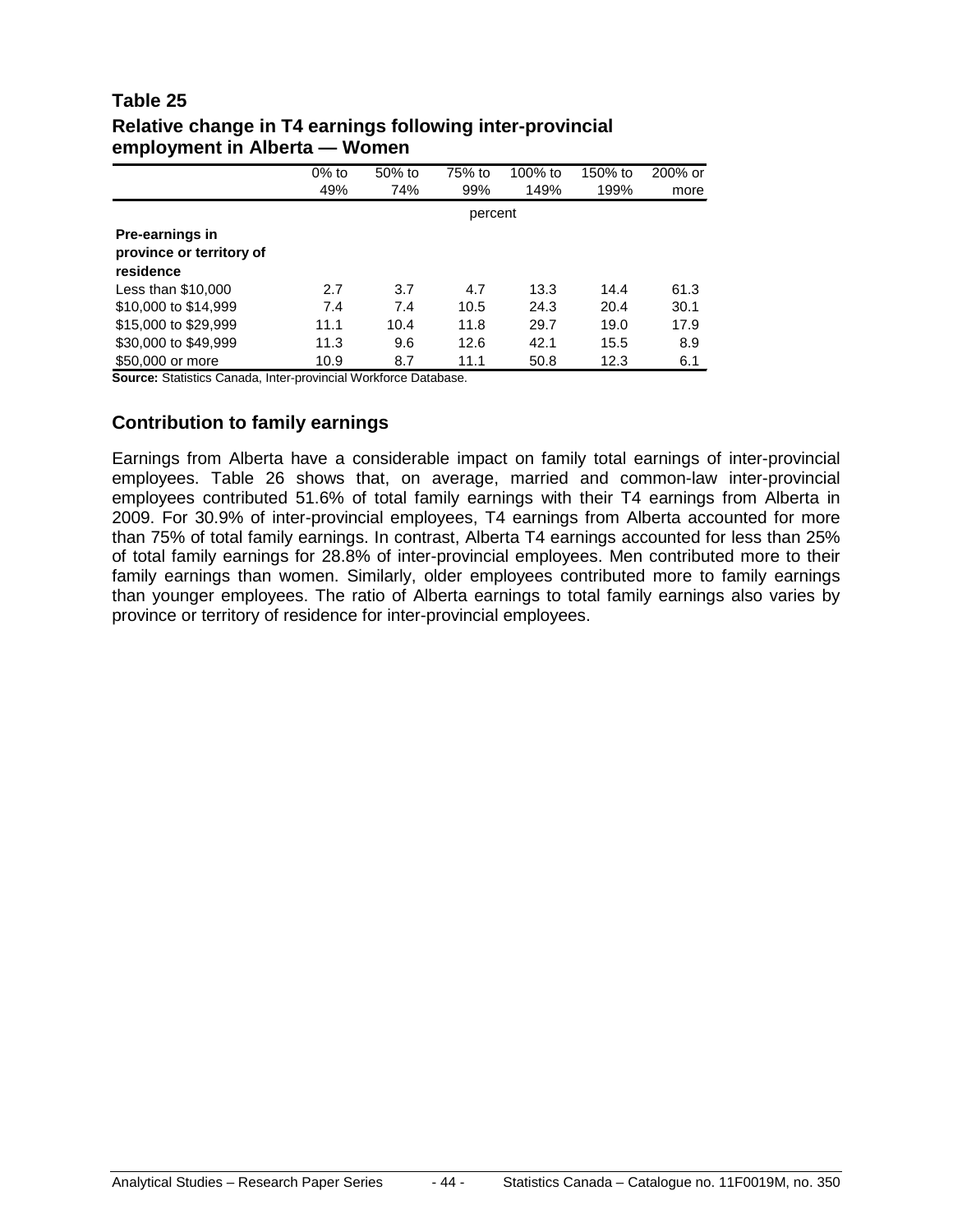#### **Table 25 Relative change in T4 earnings following inter-provincial employment in Alberta — Women**

|                                                          | $0\%$ to | 50% to | 75% to | 100% to | 150% to | 200% or |  |  |  |
|----------------------------------------------------------|----------|--------|--------|---------|---------|---------|--|--|--|
|                                                          | 49%      | 74%    | 99%    | 149%    | 199%    | more    |  |  |  |
|                                                          | percent  |        |        |         |         |         |  |  |  |
| Pre-earnings in<br>province or territory of<br>residence |          |        |        |         |         |         |  |  |  |
| Less than \$10,000                                       | 2.7      | 3.7    | 4.7    | 13.3    | 14.4    | 61.3    |  |  |  |
| \$10,000 to \$14,999                                     | 7.4      | 7.4    | 10.5   | 24.3    | 20.4    | 30.1    |  |  |  |
| \$15,000 to \$29,999                                     | 11.1     | 10.4   | 11.8   | 29.7    | 19.0    | 17.9    |  |  |  |
| \$30,000 to \$49,999                                     | 11.3     | 9.6    | 12.6   | 42.1    | 15.5    | 8.9     |  |  |  |
| \$50,000 or more                                         | 10.9     | 8.7    | 11.1   | 50.8    | 12.3    | 6.1     |  |  |  |

**Source:** Statistics Canada, Inter-provincial Workforce Database.

#### **Contribution to family earnings**

Earnings from Alberta have a considerable impact on family total earnings of inter-provincial employees. Table 26 shows that, on average, married and common-law inter-provincial employees contributed 51.6% of total family earnings with their T4 earnings from Alberta in 2009. For 30.9% of inter-provincial employees, T4 earnings from Alberta accounted for more than 75% of total family earnings. In contrast, Alberta T4 earnings accounted for less than 25% of total family earnings for 28.8% of inter-provincial employees. Men contributed more to their family earnings than women. Similarly, older employees contributed more to family earnings than younger employees. The ratio of Alberta earnings to total family earnings also varies by province or territory of residence for inter-provincial employees.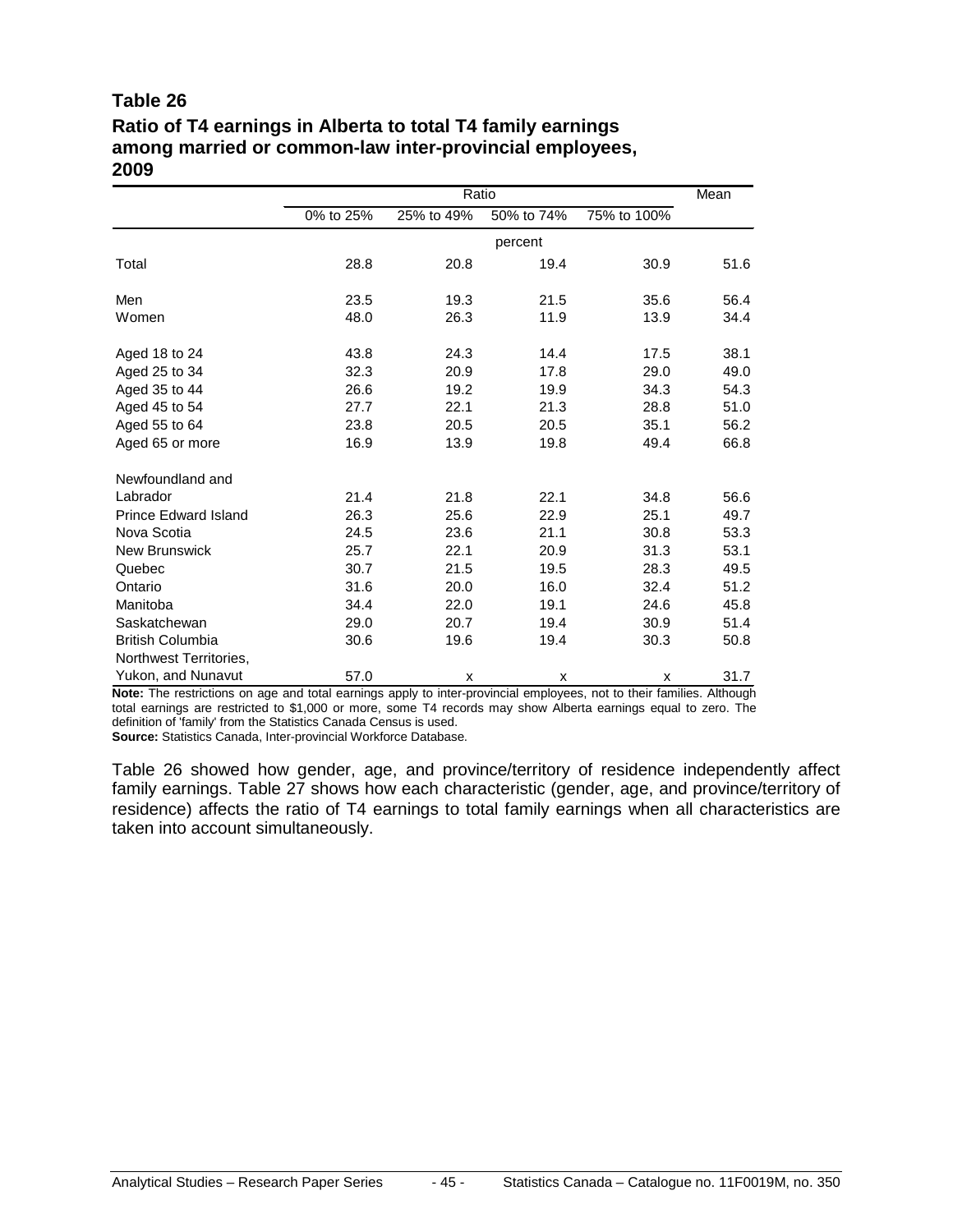#### **Table 26**

### **Ratio of T4 earnings in Alberta to total T4 family earnings among married or common-law inter-provincial employees, 2009**

|                             |           |            | Ratio      |             |      |  |  |
|-----------------------------|-----------|------------|------------|-------------|------|--|--|
|                             | 0% to 25% | 25% to 49% | 50% to 74% | 75% to 100% |      |  |  |
|                             |           | percent    |            |             |      |  |  |
| Total                       | 28.8      | 20.8       | 19.4       | 30.9        | 51.6 |  |  |
| Men                         | 23.5      | 19.3       | 21.5       | 35.6        | 56.4 |  |  |
| Women                       | 48.0      | 26.3       | 11.9       | 13.9        | 34.4 |  |  |
| Aged 18 to 24               | 43.8      | 24.3       | 14.4       | 17.5        | 38.1 |  |  |
| Aged 25 to 34               | 32.3      | 20.9       | 17.8       | 29.0        | 49.0 |  |  |
| Aged 35 to 44               | 26.6      | 19.2       | 19.9       | 34.3        | 54.3 |  |  |
| Aged 45 to 54               | 27.7      | 22.1       | 21.3       | 28.8        | 51.0 |  |  |
| Aged 55 to 64               | 23.8      | 20.5       | 20.5       | 35.1        | 56.2 |  |  |
| Aged 65 or more             | 16.9      | 13.9       | 19.8       | 49.4        | 66.8 |  |  |
| Newfoundland and            |           |            |            |             |      |  |  |
| Labrador                    | 21.4      | 21.8       | 22.1       | 34.8        | 56.6 |  |  |
| <b>Prince Edward Island</b> | 26.3      | 25.6       | 22.9       | 25.1        | 49.7 |  |  |
| Nova Scotia                 | 24.5      | 23.6       | 21.1       | 30.8        | 53.3 |  |  |
| New Brunswick               | 25.7      | 22.1       | 20.9       | 31.3        | 53.1 |  |  |
| Quebec                      | 30.7      | 21.5       | 19.5       | 28.3        | 49.5 |  |  |
| Ontario                     | 31.6      | 20.0       | 16.0       | 32.4        | 51.2 |  |  |
| Manitoba                    | 34.4      | 22.0       | 19.1       | 24.6        | 45.8 |  |  |
| Saskatchewan                | 29.0      | 20.7       | 19.4       | 30.9        | 51.4 |  |  |
| <b>British Columbia</b>     | 30.6      | 19.6       | 19.4       | 30.3        | 50.8 |  |  |
| Northwest Territories,      |           |            |            |             |      |  |  |
| Yukon, and Nunavut          | 57.0      | X          | X          | X           | 31.7 |  |  |

**Note:** The restrictions on age and total earnings apply to inter-provincial employees, not to their families. Although total earnings are restricted to \$1,000 or more, some T4 records may show Alberta earnings equal to zero. The definition of 'family' from the Statistics Canada Census is used.

**Source:** Statistics Canada, Inter-provincial Workforce Database.

Table 26 showed how gender, age, and province/territory of residence independently affect family earnings. Table 27 shows how each characteristic (gender, age, and province/territory of residence) affects the ratio of T4 earnings to total family earnings when all characteristics are taken into account simultaneously.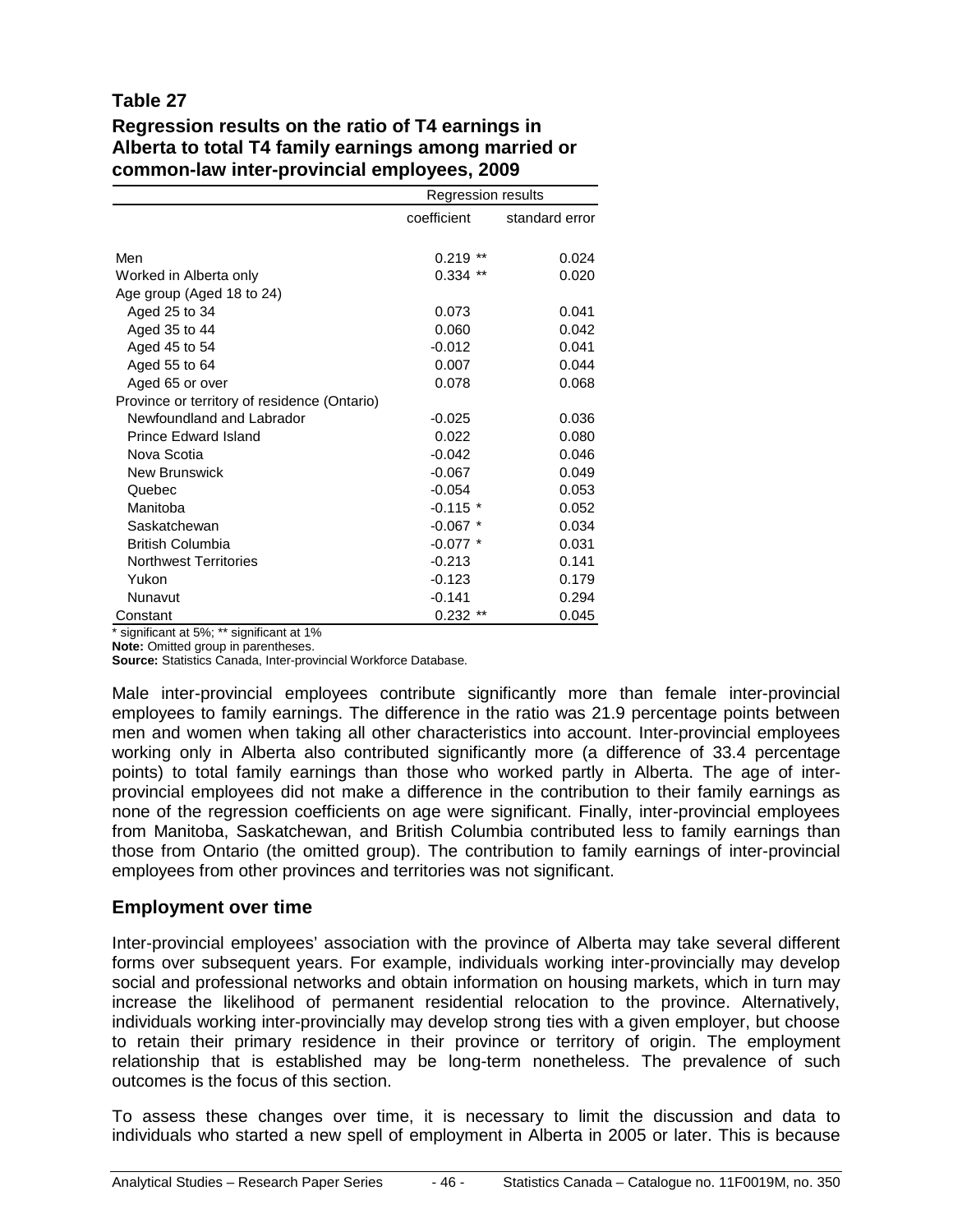#### **Table 27**

#### **Regression results on the ratio of T4 earnings in Alberta to total T4 family earnings among married or common-law inter-provincial employees, 2009**

|                                              | Regression results |                |  |  |  |
|----------------------------------------------|--------------------|----------------|--|--|--|
|                                              | coefficient        | standard error |  |  |  |
|                                              |                    |                |  |  |  |
| Men                                          | $***$<br>0.219     | 0.024          |  |  |  |
| Worked in Alberta only                       | $0.334$ **         | 0.020          |  |  |  |
| Age group (Aged 18 to 24)                    |                    |                |  |  |  |
| Aged 25 to 34                                | 0.073              | 0.041          |  |  |  |
| Aged 35 to 44                                | 0.060              | 0.042          |  |  |  |
| Aged 45 to 54                                | $-0.012$           | 0.041          |  |  |  |
| Aged 55 to 64                                | 0.007              | 0.044          |  |  |  |
| Aged 65 or over                              | 0.078              | 0.068          |  |  |  |
| Province or territory of residence (Ontario) |                    |                |  |  |  |
| Newfoundland and Labrador                    | $-0.025$           | 0.036          |  |  |  |
| <b>Prince Edward Island</b>                  | 0.022              | 0.080          |  |  |  |
| Nova Scotia                                  | $-0.042$           | 0.046          |  |  |  |
| <b>New Brunswick</b>                         | $-0.067$           | 0.049          |  |  |  |
| Quebec                                       | $-0.054$           | 0.053          |  |  |  |
| Manitoba                                     | $-0.115$ *         | 0.052          |  |  |  |
| Saskatchewan                                 | $-0.067$ *         | 0.034          |  |  |  |
| <b>British Columbia</b>                      | $-0.077$ *         | 0.031          |  |  |  |
| <b>Northwest Territories</b>                 | $-0.213$           | 0.141          |  |  |  |
| Yukon                                        | $-0.123$           | 0.179          |  |  |  |
| Nunavut                                      | $-0.141$           | 0.294          |  |  |  |
| Constant                                     | $0.232$ **         | 0.045          |  |  |  |

\* significant at 5%; \*\* significant at 1%

**Note:** Omitted group in parentheses.

**Source:** Statistics Canada, Inter-provincial Workforce Database.

Male inter-provincial employees contribute significantly more than female inter-provincial employees to family earnings. The difference in the ratio was 21.9 percentage points between men and women when taking all other characteristics into account. Inter-provincial employees working only in Alberta also contributed significantly more (a difference of 33.4 percentage points) to total family earnings than those who worked partly in Alberta. The age of interprovincial employees did not make a difference in the contribution to their family earnings as none of the regression coefficients on age were significant. Finally, inter-provincial employees from Manitoba, Saskatchewan, and British Columbia contributed less to family earnings than those from Ontario (the omitted group). The contribution to family earnings of inter-provincial employees from other provinces and territories was not significant.

#### **Employment over time**

Inter-provincial employees' association with the province of Alberta may take several different forms over subsequent years. For example, individuals working inter-provincially may develop social and professional networks and obtain information on housing markets, which in turn may increase the likelihood of permanent residential relocation to the province. Alternatively, individuals working inter-provincially may develop strong ties with a given employer, but choose to retain their primary residence in their province or territory of origin. The employment relationship that is established may be long-term nonetheless. The prevalence of such outcomes is the focus of this section.

To assess these changes over time, it is necessary to limit the discussion and data to individuals who started a new spell of employment in Alberta in 2005 or later. This is because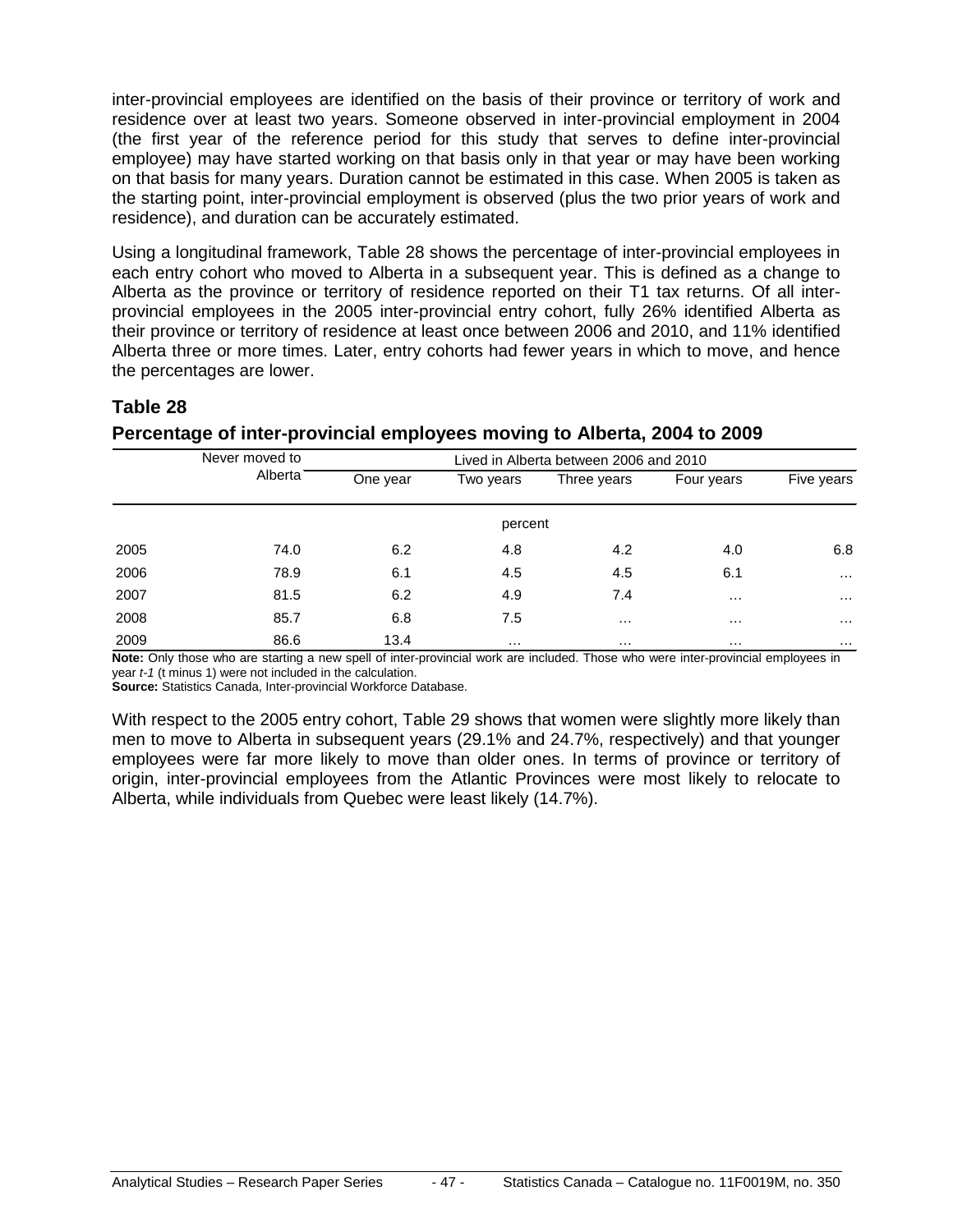inter-provincial employees are identified on the basis of their province or territory of work and residence over at least two years. Someone observed in inter-provincial employment in 2004 (the first year of the reference period for this study that serves to define inter-provincial employee) may have started working on that basis only in that year or may have been working on that basis for many years. Duration cannot be estimated in this case. When 2005 is taken as the starting point, inter-provincial employment is observed (plus the two prior years of work and residence), and duration can be accurately estimated.

Using a longitudinal framework, Table 28 shows the percentage of inter-provincial employees in each entry cohort who moved to Alberta in a subsequent year. This is defined as a change to Alberta as the province or territory of residence reported on their T1 tax returns. Of all interprovincial employees in the 2005 inter-provincial entry cohort, fully 26% identified Alberta as their province or territory of residence at least once between 2006 and 2010, and 11% identified Alberta three or more times. Later, entry cohorts had fewer years in which to move, and hence the percentages are lower.

#### **Table 28**

#### **Percentage of inter-provincial employees moving to Alberta, 2004 to 2009**

|      | Never moved to |          |           |             | Lived in Alberta between 2006 and 2010 |            |  |  |
|------|----------------|----------|-----------|-------------|----------------------------------------|------------|--|--|
|      | Alberta        | One year | Two years | Three years | Four years                             | Five years |  |  |
|      |                |          | percent   |             |                                        |            |  |  |
| 2005 | 74.0           | 6.2      | 4.8       | 4.2         | 4.0                                    | 6.8        |  |  |
| 2006 | 78.9           | 6.1      | 4.5       | 4.5         | 6.1                                    | $\cdots$   |  |  |
| 2007 | 81.5           | 6.2      | 4.9       | 7.4         | $\cdots$                               | $\cdots$   |  |  |
| 2008 | 85.7           | 6.8      | 7.5       | $\cdots$    | $\cdots$                               | $\cdots$   |  |  |
| 2009 | 86.6           | 13.4     | $\cdots$  | $\cdots$    | $\cdots$                               | $\cdots$   |  |  |

**Note:** Only those who are starting a new spell of inter-provincial work are included. Those who were inter-provincial employees in year *t-1* (t minus 1) were not included in the calculation.

**Source:** Statistics Canada, Inter-provincial Workforce Database.

With respect to the 2005 entry cohort, Table 29 shows that women were slightly more likely than men to move to Alberta in subsequent years (29.1% and 24.7%, respectively) and that younger employees were far more likely to move than older ones. In terms of province or territory of origin, inter-provincial employees from the Atlantic Provinces were most likely to relocate to Alberta, while individuals from Quebec were least likely (14.7%).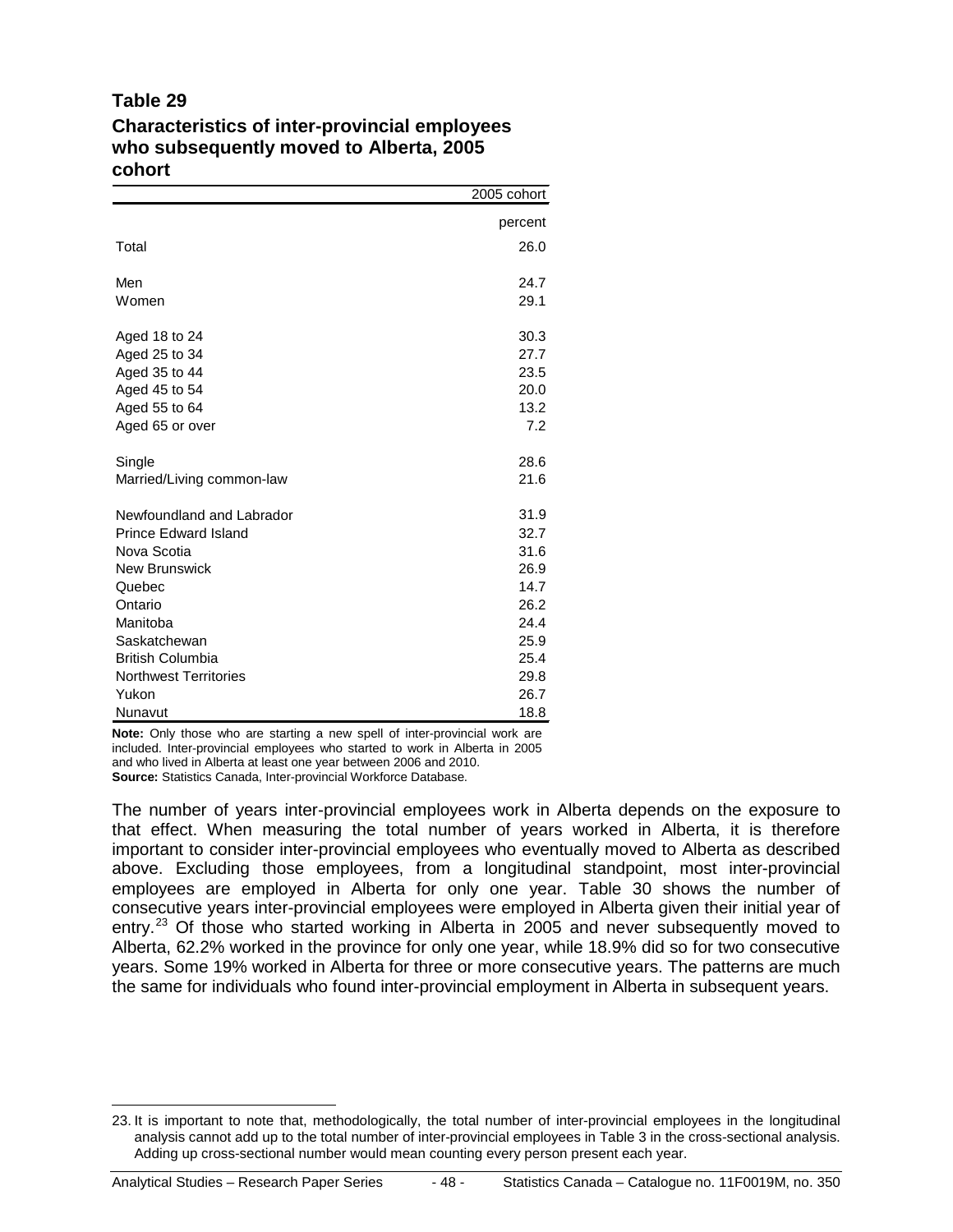#### **Table 29**

#### **Characteristics of inter-provincial employees who subsequently moved to Alberta, 2005 cohort**

|                              | 2005 cohort |
|------------------------------|-------------|
|                              | percent     |
| Total                        | 26.0        |
| Men                          | 24.7        |
| Women                        | 29.1        |
| Aged 18 to 24                | 30.3        |
| Aged 25 to 34                | 27.7        |
| Aged 35 to 44                | 23.5        |
| Aged 45 to 54                | 20.0        |
| Aged 55 to 64                | 13.2        |
| Aged 65 or over              | 7.2         |
| Single                       | 28.6        |
| Married/Living common-law    | 21.6        |
| Newfoundland and Labrador    | 31.9        |
| <b>Prince Edward Island</b>  | 32.7        |
| Nova Scotia                  | 31.6        |
| <b>New Brunswick</b>         | 26.9        |
| Quebec                       | 14.7        |
| Ontario                      | 26.2        |
| Manitoba                     | 24.4        |
| Saskatchewan                 | 25.9        |
| <b>British Columbia</b>      | 25.4        |
| <b>Northwest Territories</b> | 29.8        |
| Yukon                        | 26.7        |
| Nunavut                      | 18.8        |

**Note:** Only those who are starting a new spell of inter-provincial work are included. Inter-provincial employees who started to work in Alberta in 2005 and who lived in Alberta at least one year between 2006 and 2010. **Source:** Statistics Canada, Inter-provincial Workforce Database.

The number of years inter-provincial employees work in Alberta depends on the exposure to that effect. When measuring the total number of years worked in Alberta, it is therefore important to consider inter-provincial employees who eventually moved to Alberta as described above. Excluding those employees, from a longitudinal standpoint, most inter-provincial employees are employed in Alberta for only one year. Table 30 shows the number of consecutive years inter-provincial employees were employed in Alberta given their initial year of entry.<sup>[23](#page-47-0)</sup> Of those who started working in Alberta in 2005 and never subsequently moved to Alberta, 62.2% worked in the province for only one year, while 18.9% did so for two consecutive years. Some 19% worked in Alberta for three or more consecutive years. The patterns are much the same for individuals who found inter-provincial employment in Alberta in subsequent years.

<span id="page-47-0"></span> <sup>23.</sup> It is important to note that, methodologically, the total number of inter-provincial employees in the longitudinal analysis cannot add up to the total number of inter-provincial employees in Table 3 in the cross-sectional analysis. Adding up cross-sectional number would mean counting every person present each year.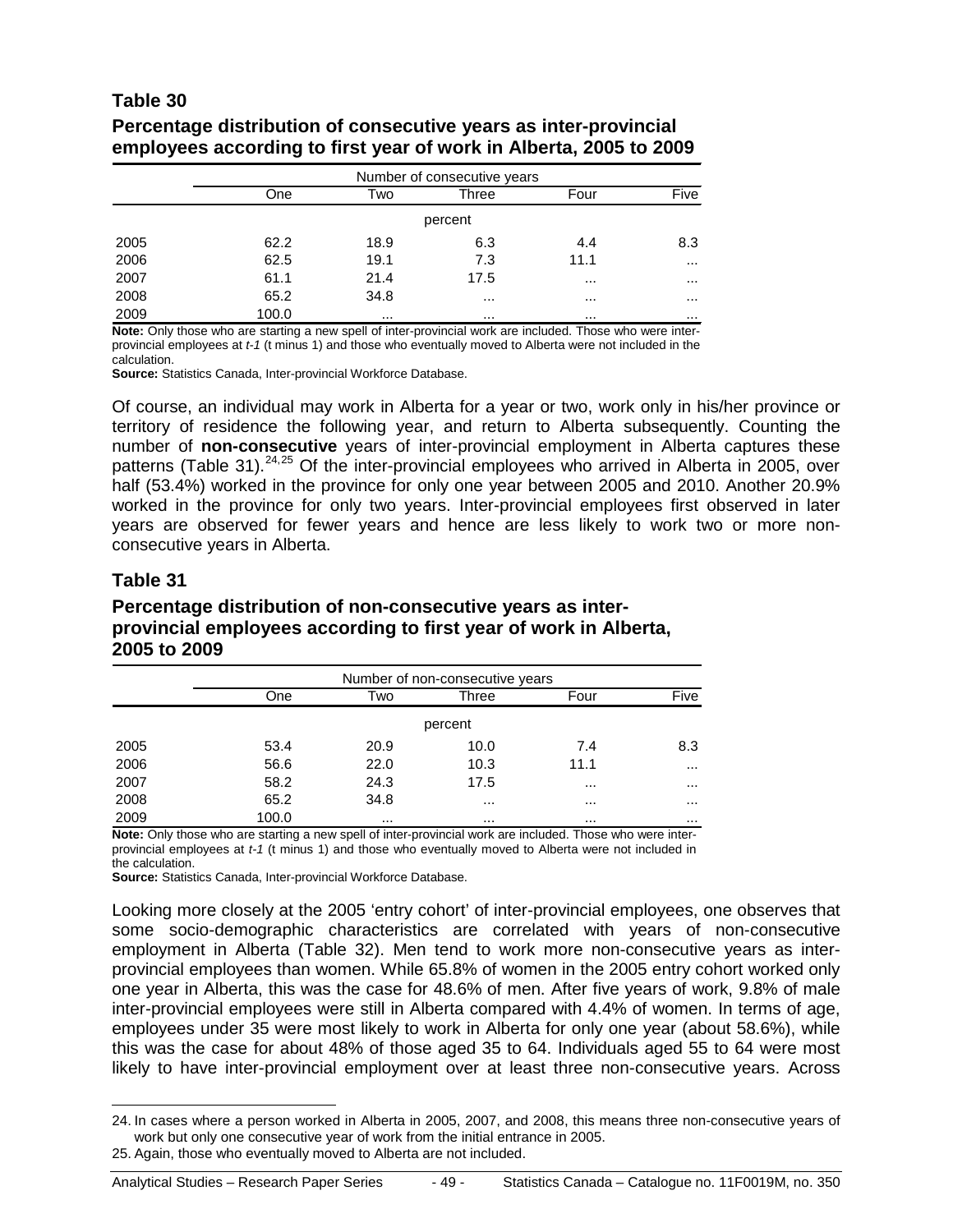#### **Table 30**

#### **Percentage distribution of consecutive years as inter-provincial employees according to first year of work in Alberta, 2005 to 2009**

|      | Number of consecutive years |          |          |          |          |  |
|------|-----------------------------|----------|----------|----------|----------|--|
|      | One                         | Two      | Three    | Four     | Five     |  |
|      |                             |          | percent  |          |          |  |
| 2005 | 62.2                        | 18.9     | 6.3      | 4.4      | 8.3      |  |
| 2006 | 62.5                        | 19.1     | 7.3      | 11.1     | $\cdots$ |  |
| 2007 | 61.1                        | 21.4     | 17.5     | $\cdots$ | $\cdots$ |  |
| 2008 | 65.2                        | 34.8     | $\cdots$ | $\cdots$ | $\cdots$ |  |
| 2009 | 100.0                       | $\cdots$ |          |          |          |  |

**Note:** Only those who are starting a new spell of inter-provincial work are included. Those who were interprovincial employees at *t-1* (t minus 1) and those who eventually moved to Alberta were not included in the calculation.

**Source:** Statistics Canada, Inter-provincial Workforce Database.

Of course, an individual may work in Alberta for a year or two, work only in his/her province or territory of residence the following year, and return to Alberta subsequently. Counting the number of **non-consecutive** years of inter-provincial employment in Alberta captures these patterns (Table 31).<sup>[24](#page-48-0),[25](#page-48-1)</sup> Of the inter-provincial employees who arrived in Alberta in 2005, over half (53.4%) worked in the province for only one year between 2005 and 2010. Another 20.9% worked in the province for only two years. Inter-provincial employees first observed in later years are observed for fewer years and hence are less likely to work two or more nonconsecutive years in Alberta.

#### **Table 31**

#### **Percentage distribution of non-consecutive years as interprovincial employees according to first year of work in Alberta, 2005 to 2009**

|      | Number of non-consecutive years |          |          |          |          |  |
|------|---------------------------------|----------|----------|----------|----------|--|
|      | One                             | Two      | Three    | Four     | Five     |  |
|      |                                 |          | percent  |          |          |  |
| 2005 | 53.4                            | 20.9     | 10.0     | 7.4      | 8.3      |  |
| 2006 | 56.6                            | 22.0     | 10.3     | 11.1     | $\cdots$ |  |
| 2007 | 58.2                            | 24.3     | 17.5     | $\cdots$ | $\cdots$ |  |
| 2008 | 65.2                            | 34.8     | $\cdots$ | $\cdots$ | $\cdots$ |  |
| 2009 | 100.0                           | $\cdots$ | $\cdots$ | $\cdots$ | $\cdots$ |  |

**Note:** Only those who are starting a new spell of inter-provincial work are included. Those who were interprovincial employees at *t-1* (t minus 1) and those who eventually moved to Alberta were not included in the calculation.

**Source:** Statistics Canada, Inter-provincial Workforce Database.

Looking more closely at the 2005 'entry cohort' of inter-provincial employees, one observes that some socio-demographic characteristics are correlated with years of non-consecutive employment in Alberta (Table 32). Men tend to work more non-consecutive years as interprovincial employees than women. While 65.8% of women in the 2005 entry cohort worked only one year in Alberta, this was the case for 48.6% of men. After five years of work, 9.8% of male inter-provincial employees were still in Alberta compared with 4.4% of women. In terms of age, employees under 35 were most likely to work in Alberta for only one year (about 58.6%), while this was the case for about 48% of those aged 35 to 64. Individuals aged 55 to 64 were most likely to have inter-provincial employment over at least three non-consecutive years. Across

<span id="page-48-1"></span><span id="page-48-0"></span> <sup>24.</sup> In cases where a person worked in Alberta in 2005, 2007, and 2008, this means three non-consecutive years of work but only one consecutive year of work from the initial entrance in 2005. 25. Again, those who eventually moved to Alberta are not included.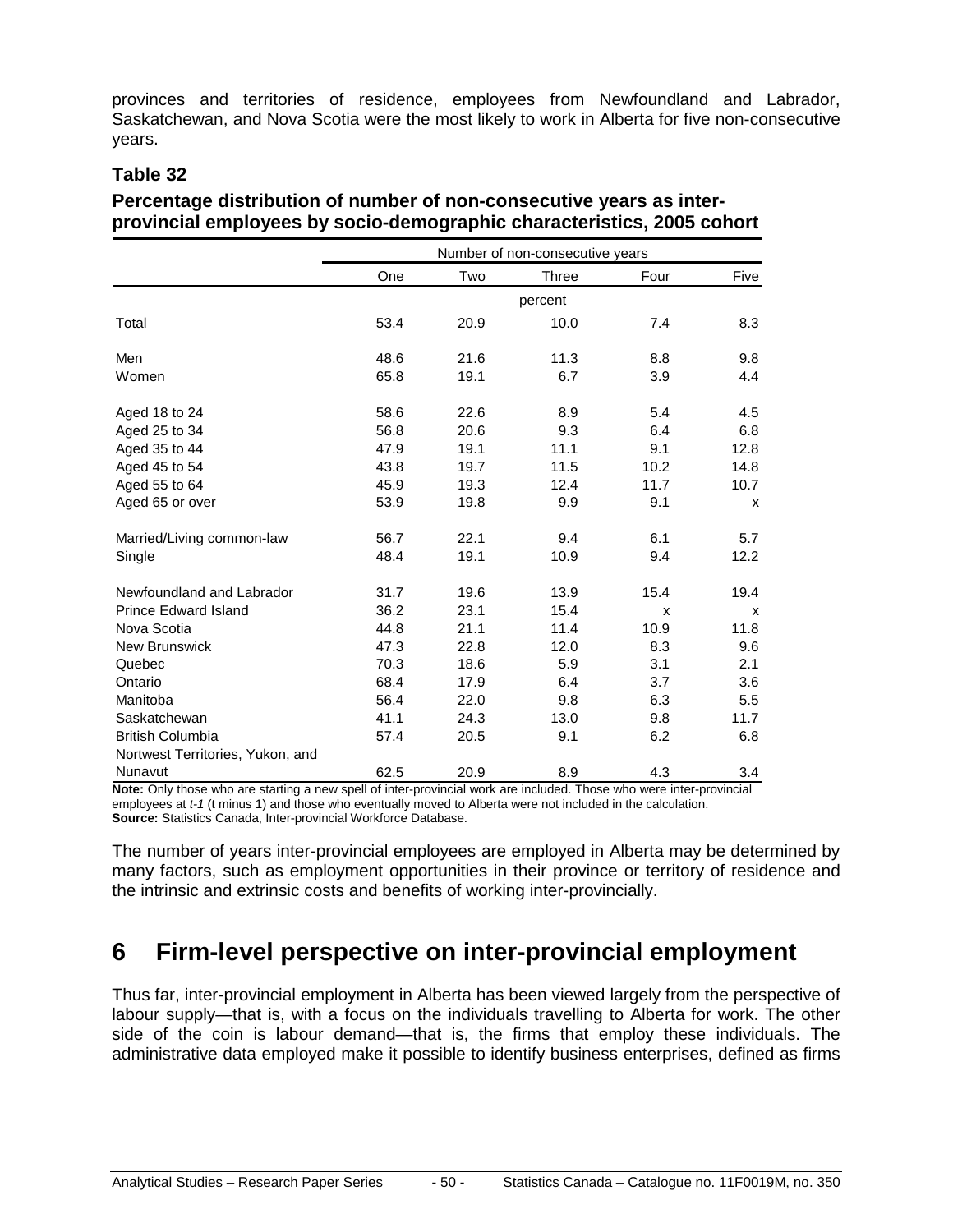provinces and territories of residence, employees from Newfoundland and Labrador, Saskatchewan, and Nova Scotia were the most likely to work in Alberta for five non-consecutive years.

#### **Table 32**

#### **Percentage distribution of number of non-consecutive years as interprovincial employees by socio-demographic characteristics, 2005 cohort**

|                                  | Number of non-consecutive years |      |         |      |              |
|----------------------------------|---------------------------------|------|---------|------|--------------|
|                                  | One                             | Two  | Three   | Four | Five         |
|                                  |                                 |      | percent |      |              |
| Total                            | 53.4                            | 20.9 | 10.0    | 7.4  | 8.3          |
| Men                              | 48.6                            | 21.6 | 11.3    | 8.8  | 9.8          |
| Women                            | 65.8                            | 19.1 | 6.7     | 3.9  | 4.4          |
| Aged 18 to 24                    | 58.6                            | 22.6 | 8.9     | 5.4  | 4.5          |
| Aged 25 to 34                    | 56.8                            | 20.6 | 9.3     | 6.4  | 6.8          |
| Aged 35 to 44                    | 47.9                            | 19.1 | 11.1    | 9.1  | 12.8         |
| Aged 45 to 54                    | 43.8                            | 19.7 | 11.5    | 10.2 | 14.8         |
| Aged 55 to 64                    | 45.9                            | 19.3 | 12.4    | 11.7 | 10.7         |
| Aged 65 or over                  | 53.9                            | 19.8 | 9.9     | 9.1  | $\mathsf{x}$ |
| Married/Living common-law        | 56.7                            | 22.1 | 9.4     | 6.1  | 5.7          |
| Single                           | 48.4                            | 19.1 | 10.9    | 9.4  | 12.2         |
| Newfoundland and Labrador        | 31.7                            | 19.6 | 13.9    | 15.4 | 19.4         |
| <b>Prince Edward Island</b>      | 36.2                            | 23.1 | 15.4    | X    | X            |
| Nova Scotia                      | 44.8                            | 21.1 | 11.4    | 10.9 | 11.8         |
| <b>New Brunswick</b>             | 47.3                            | 22.8 | 12.0    | 8.3  | 9.6          |
| Quebec                           | 70.3                            | 18.6 | 5.9     | 3.1  | 2.1          |
| Ontario                          | 68.4                            | 17.9 | 6.4     | 3.7  | 3.6          |
| Manitoba                         | 56.4                            | 22.0 | 9.8     | 6.3  | 5.5          |
| Saskatchewan                     | 41.1                            | 24.3 | 13.0    | 9.8  | 11.7         |
| <b>British Columbia</b>          | 57.4                            | 20.5 | 9.1     | 6.2  | 6.8          |
| Nortwest Territories, Yukon, and |                                 |      |         |      |              |
| Nunavut                          | 62.5                            | 20.9 | 8.9     | 4.3  | 3.4          |

**Note:** Only those who are starting a new spell of inter-provincial work are included. Those who were inter-provincial employees at *t-1* (t minus 1) and those who eventually moved to Alberta were not included in the calculation. **Source:** Statistics Canada, Inter-provincial Workforce Database.

The number of years inter-provincial employees are employed in Alberta may be determined by many factors, such as employment opportunities in their province or territory of residence and the intrinsic and extrinsic costs and benefits of working inter-provincially.

### <span id="page-49-0"></span>**6 Firm-level perspective on inter-provincial employment**

Thus far, inter-provincial employment in Alberta has been viewed largely from the perspective of labour supply—that is, with a focus on the individuals travelling to Alberta for work. The other side of the coin is labour demand—that is, the firms that employ these individuals. The administrative data employed make it possible to identify business enterprises, defined as firms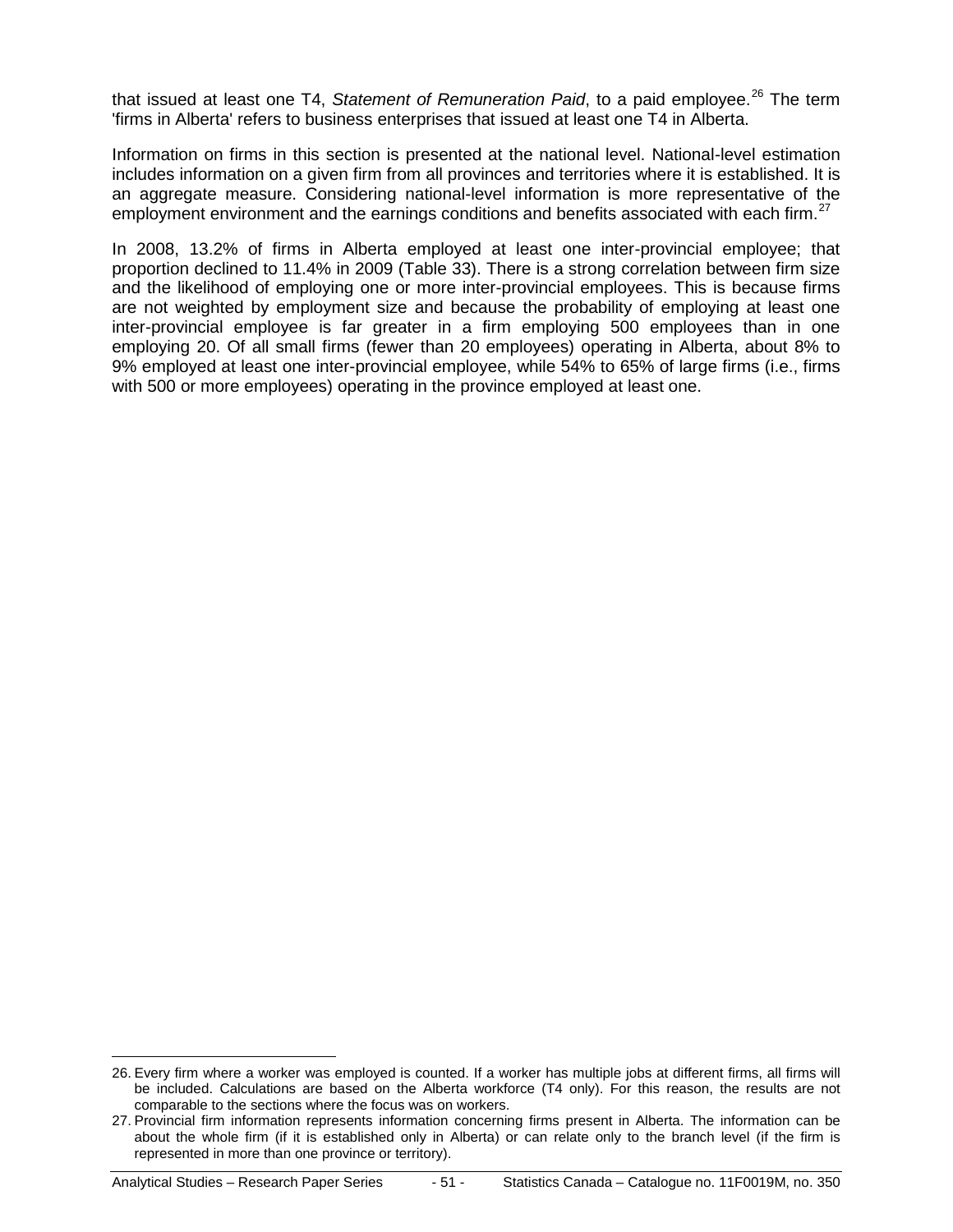that issued at least one T4, Statement of Remuneration Paid, to a paid employee.<sup>[26](#page-50-0)</sup> The term 'firms in Alberta' refers to business enterprises that issued at least one T4 in Alberta.

Information on firms in this section is presented at the national level. National-level estimation includes information on a given firm from all provinces and territories where it is established. It is an aggregate measure. Considering national-level information is more representative of the employment environment and the earnings conditions and benefits associated with each firm.<sup>[27](#page-50-1)</sup>

In 2008, 13.2% of firms in Alberta employed at least one inter-provincial employee; that proportion declined to 11.4% in 2009 (Table 33). There is a strong correlation between firm size and the likelihood of employing one or more inter-provincial employees. This is because firms are not weighted by employment size and because the probability of employing at least one inter-provincial employee is far greater in a firm employing 500 employees than in one employing 20. Of all small firms (fewer than 20 employees) operating in Alberta, about 8% to 9% employed at least one inter-provincial employee, while 54% to 65% of large firms (i.e., firms with 500 or more employees) operating in the province employed at least one.

<span id="page-50-0"></span> <sup>26.</sup> Every firm where a worker was employed is counted. If a worker has multiple jobs at different firms, all firms will be included. Calculations are based on the Alberta workforce (T4 only). For this reason, the results are not comparable to the sections where the focus was on workers.

<span id="page-50-1"></span><sup>27.</sup> Provincial firm information represents information concerning firms present in Alberta. The information can be about the whole firm (if it is established only in Alberta) or can relate only to the branch level (if the firm is represented in more than one province or territory).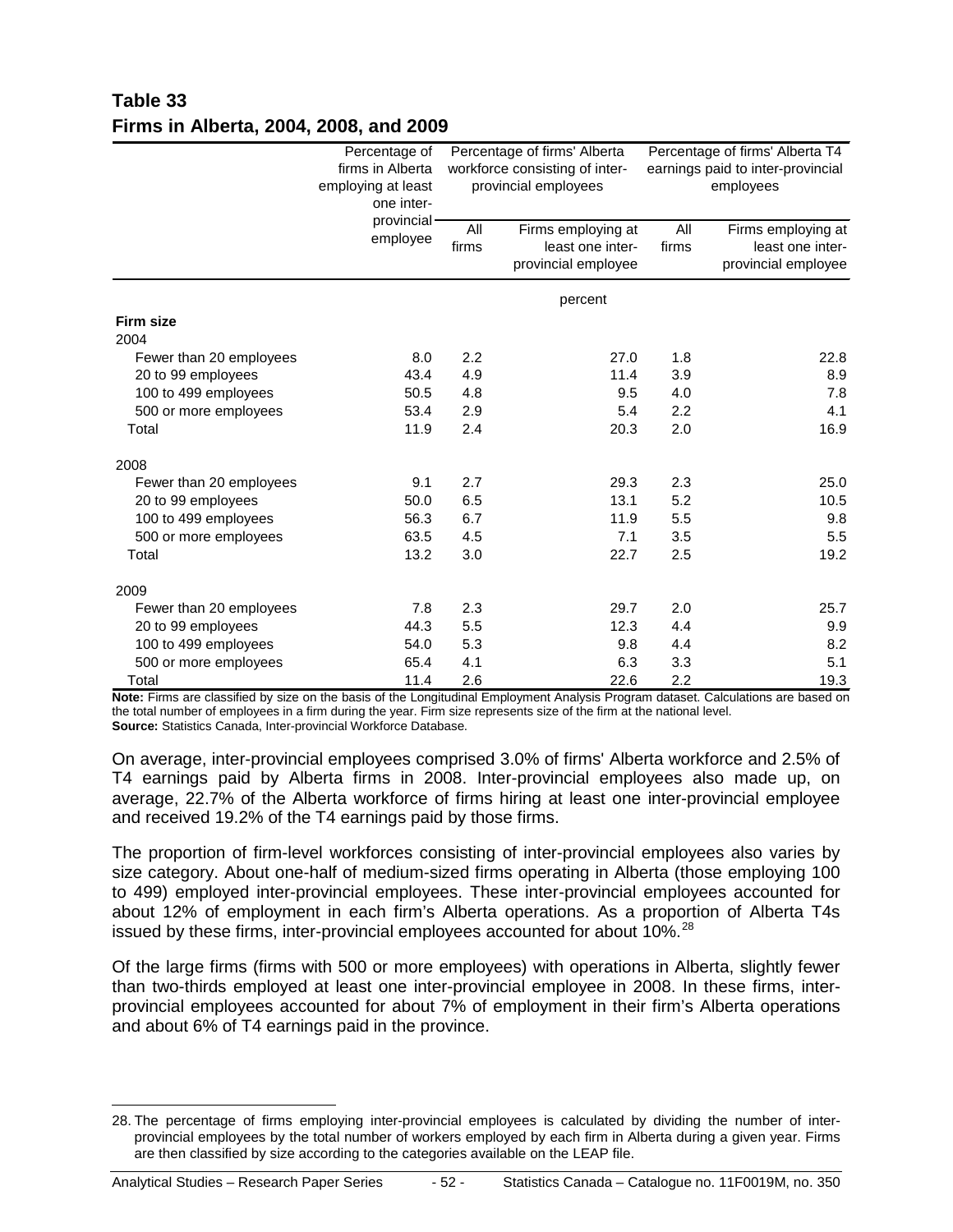### **Table 33 Firms in Alberta, 2004, 2008, and 2009**

|                          | Percentage of<br>firms in Alberta<br>employing at least<br>one inter-<br>provincial· | Percentage of firms' Alberta<br>workforce consisting of inter-<br>provincial employees |                                               | Percentage of firms' Alberta T4<br>earnings paid to inter-provincial<br>employees<br>All |                                        |
|--------------------------|--------------------------------------------------------------------------------------|----------------------------------------------------------------------------------------|-----------------------------------------------|------------------------------------------------------------------------------------------|----------------------------------------|
|                          | employee                                                                             | firms                                                                                  | All<br>Firms employing at<br>least one inter- |                                                                                          | Firms employing at<br>least one inter- |
|                          |                                                                                      |                                                                                        | provincial employee                           |                                                                                          | provincial employee                    |
|                          |                                                                                      |                                                                                        | percent                                       |                                                                                          |                                        |
| <b>Firm size</b><br>2004 |                                                                                      |                                                                                        |                                               |                                                                                          |                                        |
| Fewer than 20 employees  | 8.0                                                                                  | 2.2                                                                                    | 27.0                                          | 1.8                                                                                      | 22.8                                   |
| 20 to 99 employees       | 43.4                                                                                 | 4.9                                                                                    | 11.4                                          | 3.9                                                                                      | 8.9                                    |
| 100 to 499 employees     | 50.5                                                                                 | 4.8                                                                                    | 9.5                                           | 4.0                                                                                      | 7.8                                    |
| 500 or more employees    | 53.4                                                                                 | 2.9                                                                                    | 5.4                                           | 2.2                                                                                      | 4.1                                    |
| Total                    | 11.9                                                                                 | 2.4                                                                                    | 20.3                                          | 2.0                                                                                      | 16.9                                   |
| 2008                     |                                                                                      |                                                                                        |                                               |                                                                                          |                                        |
| Fewer than 20 employees  | 9.1                                                                                  | 2.7                                                                                    | 29.3                                          | 2.3                                                                                      | 25.0                                   |
| 20 to 99 employees       | 50.0                                                                                 | 6.5                                                                                    | 13.1                                          | 5.2                                                                                      | 10.5                                   |
| 100 to 499 employees     | 56.3                                                                                 | 6.7                                                                                    | 11.9                                          | 5.5                                                                                      | 9.8                                    |
| 500 or more employees    | 63.5                                                                                 | 4.5                                                                                    | 7.1                                           | 3.5                                                                                      | 5.5                                    |
| Total                    | 13.2                                                                                 | 3.0                                                                                    | 22.7                                          | 2.5                                                                                      | 19.2                                   |
| 2009                     |                                                                                      |                                                                                        |                                               |                                                                                          |                                        |
| Fewer than 20 employees  | 7.8                                                                                  | 2.3                                                                                    | 29.7                                          | 2.0                                                                                      | 25.7                                   |
| 20 to 99 employees       | 44.3                                                                                 | 5.5                                                                                    | 12.3                                          | 4.4                                                                                      | 9.9                                    |
| 100 to 499 employees     | 54.0                                                                                 | 5.3                                                                                    | 9.8                                           | 4.4                                                                                      | 8.2                                    |
| 500 or more employees    | 65.4                                                                                 | 4.1                                                                                    | 6.3                                           | 3.3                                                                                      | 5.1                                    |
| Total                    | 11.4                                                                                 | 2.6                                                                                    | 22.6                                          | 2.2                                                                                      | 19.3                                   |

**Note:** Firms are classified by size on the basis of the Longitudinal Employment Analysis Program dataset. Calculations are based on the total number of employees in a firm during the year. Firm size represents size of the firm at the national level. **Source:** Statistics Canada, Inter-provincial Workforce Database.

On average, inter-provincial employees comprised 3.0% of firms' Alberta workforce and 2.5% of T4 earnings paid by Alberta firms in 2008. Inter-provincial employees also made up, on average, 22.7% of the Alberta workforce of firms hiring at least one inter-provincial employee and received 19.2% of the T4 earnings paid by those firms.

The proportion of firm-level workforces consisting of inter-provincial employees also varies by size category. About one-half of medium-sized firms operating in Alberta (those employing 100 to 499) employed inter-provincial employees. These inter-provincial employees accounted for about 12% of employment in each firm's Alberta operations. As a proportion of Alberta T4s issued by these firms, inter-provincial employees accounted for about  $10\%$ <sup>[28](#page-51-0)</sup>

Of the large firms (firms with 500 or more employees) with operations in Alberta, slightly fewer than two-thirds employed at least one inter-provincial employee in 2008. In these firms, interprovincial employees accounted for about 7% of employment in their firm's Alberta operations and about 6% of T4 earnings paid in the province.

<span id="page-51-0"></span> <sup>28.</sup> The percentage of firms employing inter-provincial employees is calculated by dividing the number of interprovincial employees by the total number of workers employed by each firm in Alberta during a given year. Firms are then classified by size according to the categories available on the LEAP file.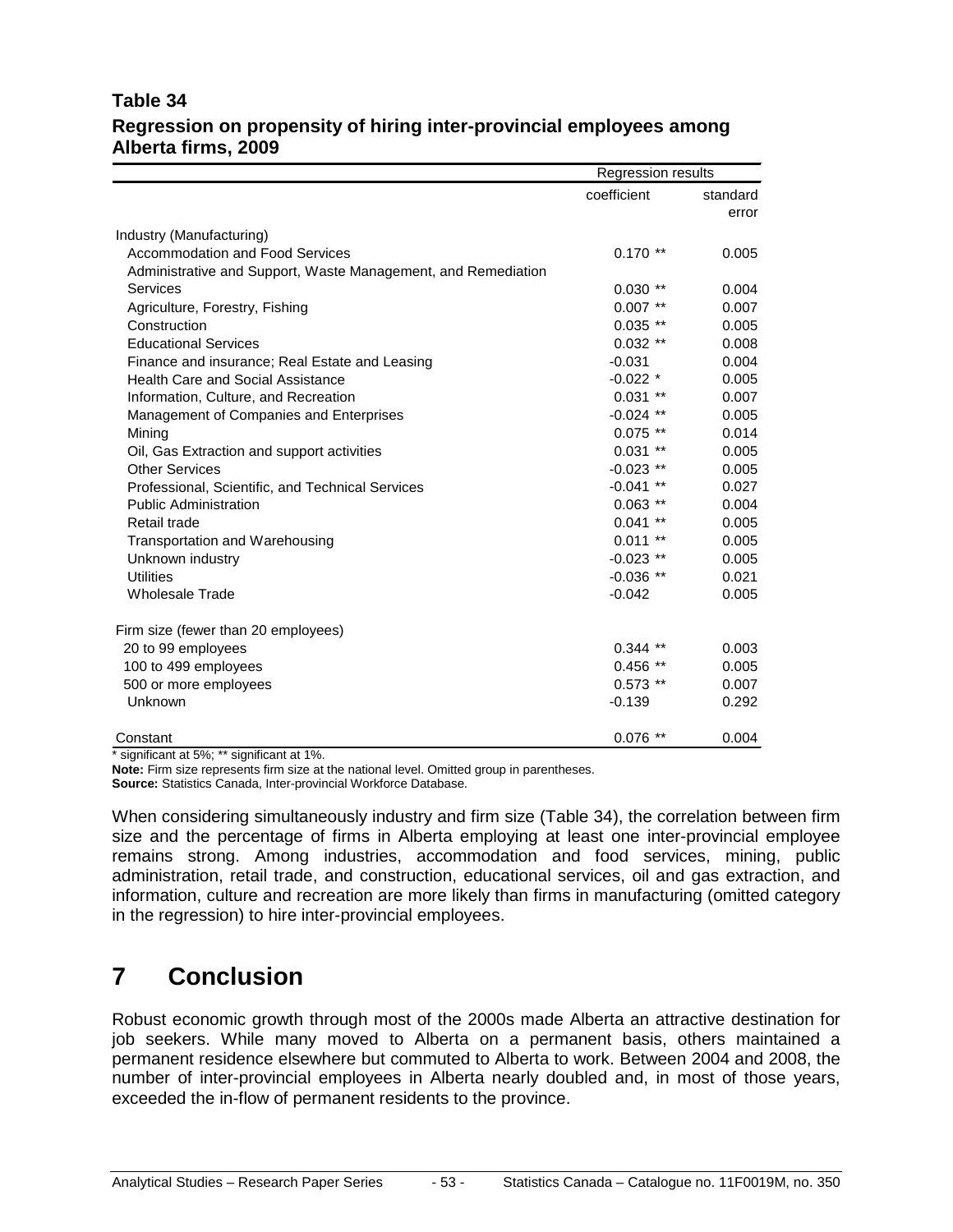#### **Table 34 Regression on propensity of hiring inter-provincial employees among Alberta firms, 2009**

|                                                               | Regression results       |          |
|---------------------------------------------------------------|--------------------------|----------|
|                                                               | coefficient              | standard |
|                                                               |                          | error    |
| Industry (Manufacturing)                                      |                          |          |
| <b>Accommodation and Food Services</b>                        | $0.170**$                | 0.005    |
| Administrative and Support, Waste Management, and Remediation |                          |          |
| Services                                                      | $0.030**$                | 0.004    |
| Agriculture, Forestry, Fishing                                | $0.007$ **               | 0.007    |
| Construction                                                  | $0.035$ **               | 0.005    |
| <b>Educational Services</b>                                   | $0.032$ **               | 0.008    |
| Finance and insurance; Real Estate and Leasing                | $-0.031$                 | 0.004    |
| <b>Health Care and Social Assistance</b>                      | $-0.022$ *               | 0.005    |
| Information, Culture, and Recreation                          | $0.031$ **               | 0.007    |
| Management of Companies and Enterprises                       | $-0.024$ **              | 0.005    |
| Mining                                                        | $0.075$ **               | 0.014    |
| Oil, Gas Extraction and support activities                    | 0.031<br>$***$           | 0.005    |
| <b>Other Services</b>                                         | $-0.023$ **              | 0.005    |
| Professional, Scientific, and Technical Services              | $-0.041$<br>$***$        | 0.027    |
| <b>Public Administration</b>                                  | $0.063$ **               | 0.004    |
| Retail trade                                                  | $0.041$ **               | 0.005    |
| Transportation and Warehousing                                | 0.011<br>$^{\star\star}$ | 0.005    |
| Unknown industry                                              | $-0.023$ **              | 0.005    |
| <b>Utilities</b>                                              | $-0.036$ **              | 0.021    |
| <b>Wholesale Trade</b>                                        | $-0.042$                 | 0.005    |
| Firm size (fewer than 20 employees)                           |                          |          |
| 20 to 99 employees                                            | $0.344$ **               | 0.003    |
| 100 to 499 employees                                          | $0.456$ **               | 0.005    |
| 500 or more employees                                         | $0.573$ **               | 0.007    |
| Unknown                                                       | $-0.139$                 | 0.292    |
| Constant                                                      | $0.076$ **               | 0.004    |

\* significant at 5%; \*\* significant at 1%.

**Note:** Firm size represents firm size at the national level. Omitted group in parentheses. **Source:** Statistics Canada, Inter-provincial Workforce Database.

When considering simultaneously industry and firm size (Table 34), the correlation between firm size and the percentage of firms in Alberta employing at least one inter-provincial employee remains strong. Among industries, accommodation and food services, mining, public administration, retail trade, and construction, educational services, oil and gas extraction, and information, culture and recreation are more likely than firms in manufacturing (omitted category in the regression) to hire inter-provincial employees.

### <span id="page-52-0"></span>**7 Conclusion**

Robust economic growth through most of the 2000s made Alberta an attractive destination for job seekers. While many moved to Alberta on a permanent basis, others maintained a permanent residence elsewhere but commuted to Alberta to work. Between 2004 and 2008, the number of inter-provincial employees in Alberta nearly doubled and, in most of those years, exceeded the in-flow of permanent residents to the province.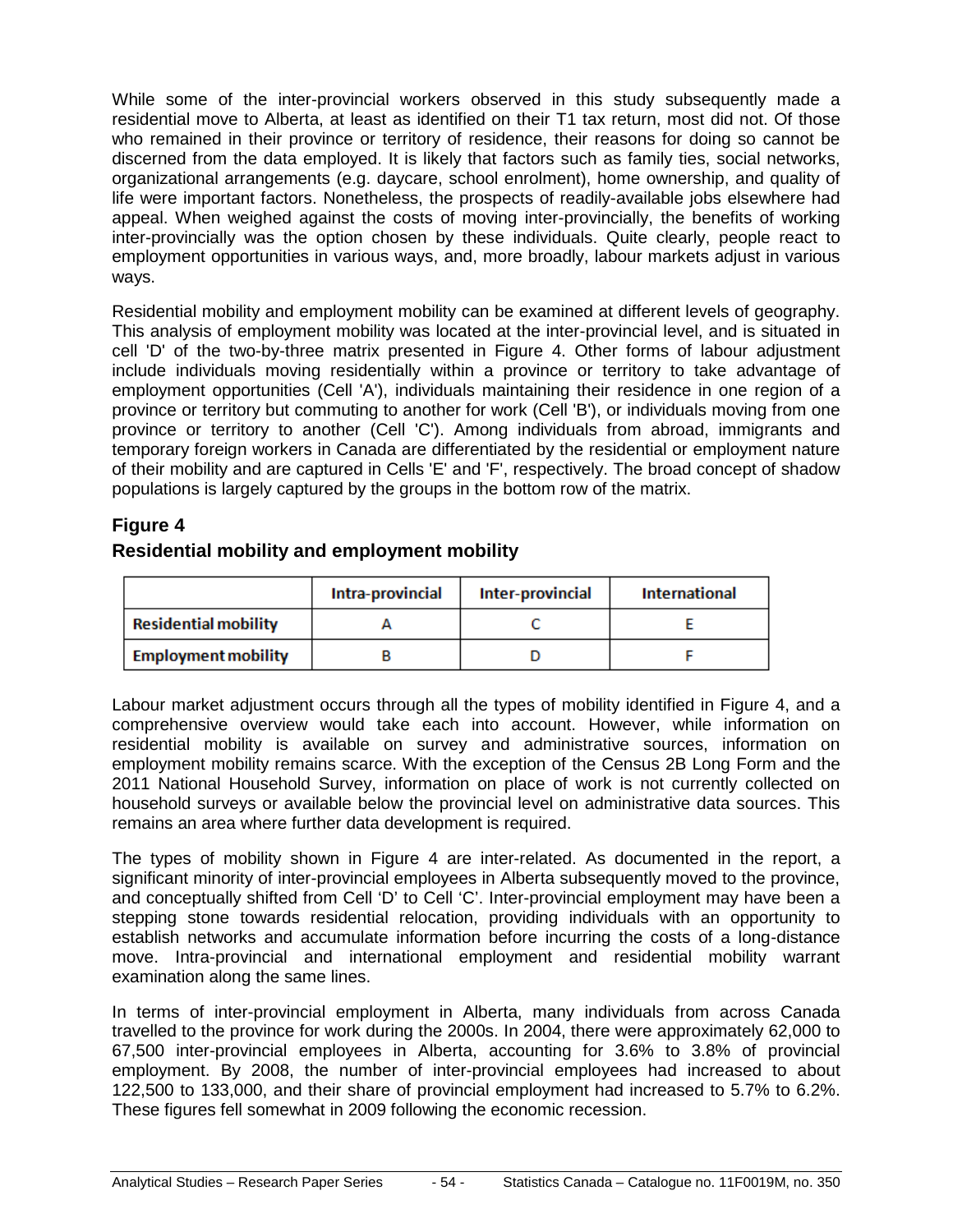While some of the inter-provincial workers observed in this study subsequently made a residential move to Alberta, at least as identified on their T1 tax return, most did not. Of those who remained in their province or territory of residence, their reasons for doing so cannot be discerned from the data employed. It is likely that factors such as family ties, social networks, organizational arrangements (e.g. daycare, school enrolment), home ownership, and quality of life were important factors. Nonetheless, the prospects of readily-available jobs elsewhere had appeal. When weighed against the costs of moving inter-provincially, the benefits of working inter-provincially was the option chosen by these individuals. Quite clearly, people react to employment opportunities in various ways, and, more broadly, labour markets adjust in various ways.

Residential mobility and employment mobility can be examined at different levels of geography. This analysis of employment mobility was located at the inter-provincial level, and is situated in cell 'D' of the two-by-three matrix presented in Figure 4. Other forms of labour adjustment include individuals moving residentially within a province or territory to take advantage of employment opportunities (Cell 'A'), individuals maintaining their residence in one region of a province or territory but commuting to another for work (Cell 'B'), or individuals moving from one province or territory to another (Cell 'C'). Among individuals from abroad, immigrants and temporary foreign workers in Canada are differentiated by the residential or employment nature of their mobility and are captured in Cells 'E' and 'F', respectively. The broad concept of shadow populations is largely captured by the groups in the bottom row of the matrix.

#### **Figure 4**

#### **Residential mobility and employment mobility**

|                             | Intra-provincial | Inter-provincial | <b>International</b> |
|-----------------------------|------------------|------------------|----------------------|
| <b>Residential mobility</b> |                  |                  |                      |
| <b>Employment mobility</b>  |                  |                  |                      |

Labour market adjustment occurs through all the types of mobility identified in Figure 4, and a comprehensive overview would take each into account. However, while information on residential mobility is available on survey and administrative sources, information on employment mobility remains scarce. With the exception of the Census 2B Long Form and the 2011 National Household Survey, information on place of work is not currently collected on household surveys or available below the provincial level on administrative data sources. This remains an area where further data development is required.

The types of mobility shown in Figure 4 are inter-related. As documented in the report, a significant minority of inter-provincial employees in Alberta subsequently moved to the province, and conceptually shifted from Cell 'D' to Cell 'C'. Inter-provincial employment may have been a stepping stone towards residential relocation, providing individuals with an opportunity to establish networks and accumulate information before incurring the costs of a long-distance move. Intra-provincial and international employment and residential mobility warrant examination along the same lines.

In terms of inter-provincial employment in Alberta, many individuals from across Canada travelled to the province for work during the 2000s. In 2004, there were approximately 62,000 to 67,500 inter-provincial employees in Alberta, accounting for 3.6% to 3.8% of provincial employment. By 2008, the number of inter-provincial employees had increased to about 122,500 to 133,000, and their share of provincial employment had increased to 5.7% to 6.2%. These figures fell somewhat in 2009 following the economic recession.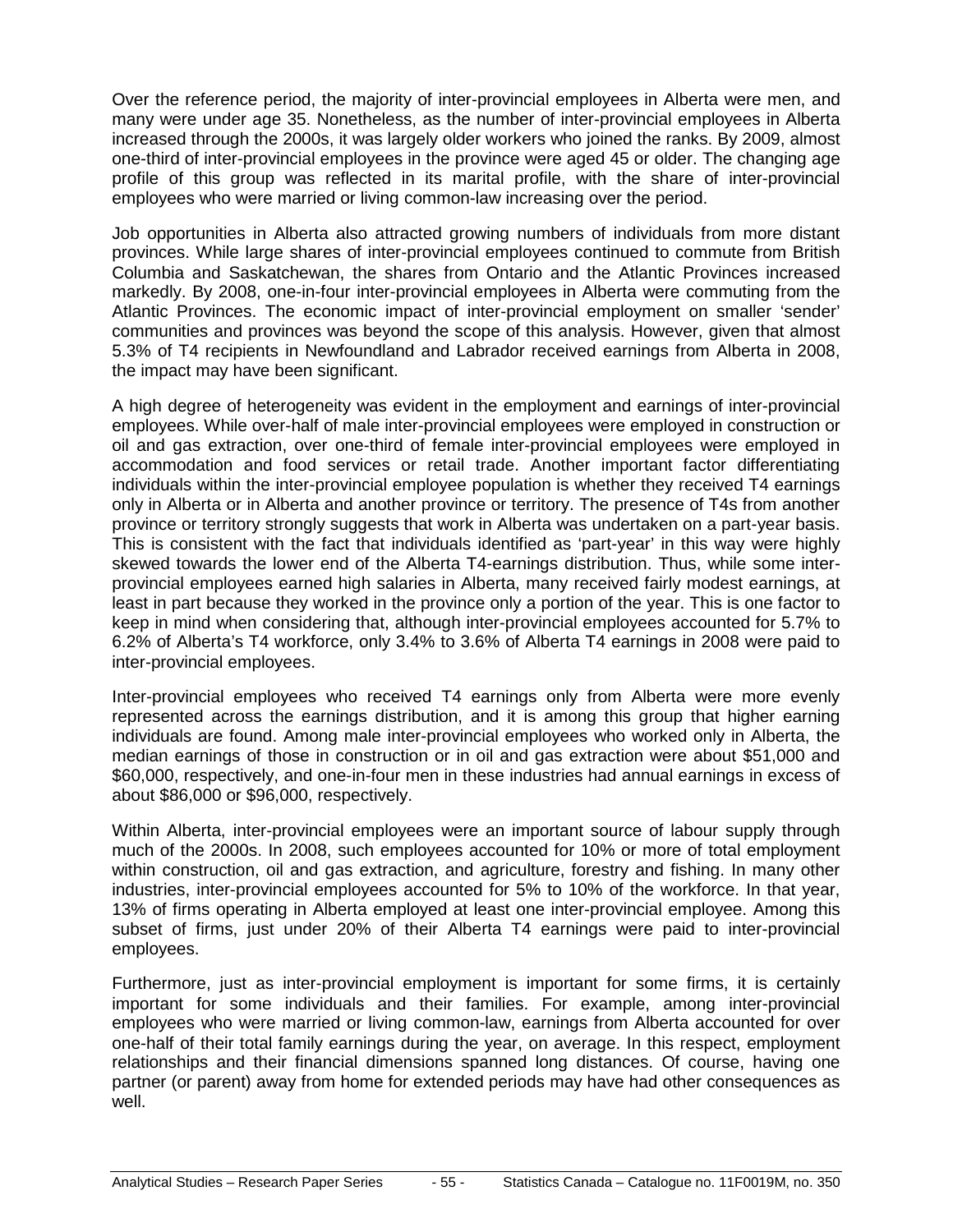Over the reference period, the majority of inter-provincial employees in Alberta were men, and many were under age 35. Nonetheless, as the number of inter-provincial employees in Alberta increased through the 2000s, it was largely older workers who joined the ranks. By 2009, almost one-third of inter-provincial employees in the province were aged 45 or older. The changing age profile of this group was reflected in its marital profile, with the share of inter-provincial employees who were married or living common-law increasing over the period.

Job opportunities in Alberta also attracted growing numbers of individuals from more distant provinces. While large shares of inter-provincial employees continued to commute from British Columbia and Saskatchewan, the shares from Ontario and the Atlantic Provinces increased markedly. By 2008, one-in-four inter-provincial employees in Alberta were commuting from the Atlantic Provinces. The economic impact of inter-provincial employment on smaller 'sender' communities and provinces was beyond the scope of this analysis. However, given that almost 5.3% of T4 recipients in Newfoundland and Labrador received earnings from Alberta in 2008, the impact may have been significant.

A high degree of heterogeneity was evident in the employment and earnings of inter-provincial employees. While over-half of male inter-provincial employees were employed in construction or oil and gas extraction, over one-third of female inter-provincial employees were employed in accommodation and food services or retail trade. Another important factor differentiating individuals within the inter-provincial employee population is whether they received T4 earnings only in Alberta or in Alberta and another province or territory. The presence of T4s from another province or territory strongly suggests that work in Alberta was undertaken on a part-year basis. This is consistent with the fact that individuals identified as 'part-year' in this way were highly skewed towards the lower end of the Alberta T4-earnings distribution. Thus, while some interprovincial employees earned high salaries in Alberta, many received fairly modest earnings, at least in part because they worked in the province only a portion of the year. This is one factor to keep in mind when considering that, although inter-provincial employees accounted for 5.7% to 6.2% of Alberta's T4 workforce, only 3.4% to 3.6% of Alberta T4 earnings in 2008 were paid to inter-provincial employees.

Inter-provincial employees who received T4 earnings only from Alberta were more evenly represented across the earnings distribution, and it is among this group that higher earning individuals are found. Among male inter-provincial employees who worked only in Alberta, the median earnings of those in construction or in oil and gas extraction were about \$51,000 and \$60,000, respectively, and one-in-four men in these industries had annual earnings in excess of about \$86,000 or \$96,000, respectively.

Within Alberta, inter-provincial employees were an important source of labour supply through much of the 2000s. In 2008, such employees accounted for 10% or more of total employment within construction, oil and gas extraction, and agriculture, forestry and fishing. In many other industries, inter-provincial employees accounted for 5% to 10% of the workforce. In that year, 13% of firms operating in Alberta employed at least one inter-provincial employee. Among this subset of firms, just under 20% of their Alberta T4 earnings were paid to inter-provincial employees.

Furthermore, just as inter-provincial employment is important for some firms, it is certainly important for some individuals and their families. For example, among inter-provincial employees who were married or living common-law, earnings from Alberta accounted for over one-half of their total family earnings during the year, on average. In this respect, employment relationships and their financial dimensions spanned long distances. Of course, having one partner (or parent) away from home for extended periods may have had other consequences as well.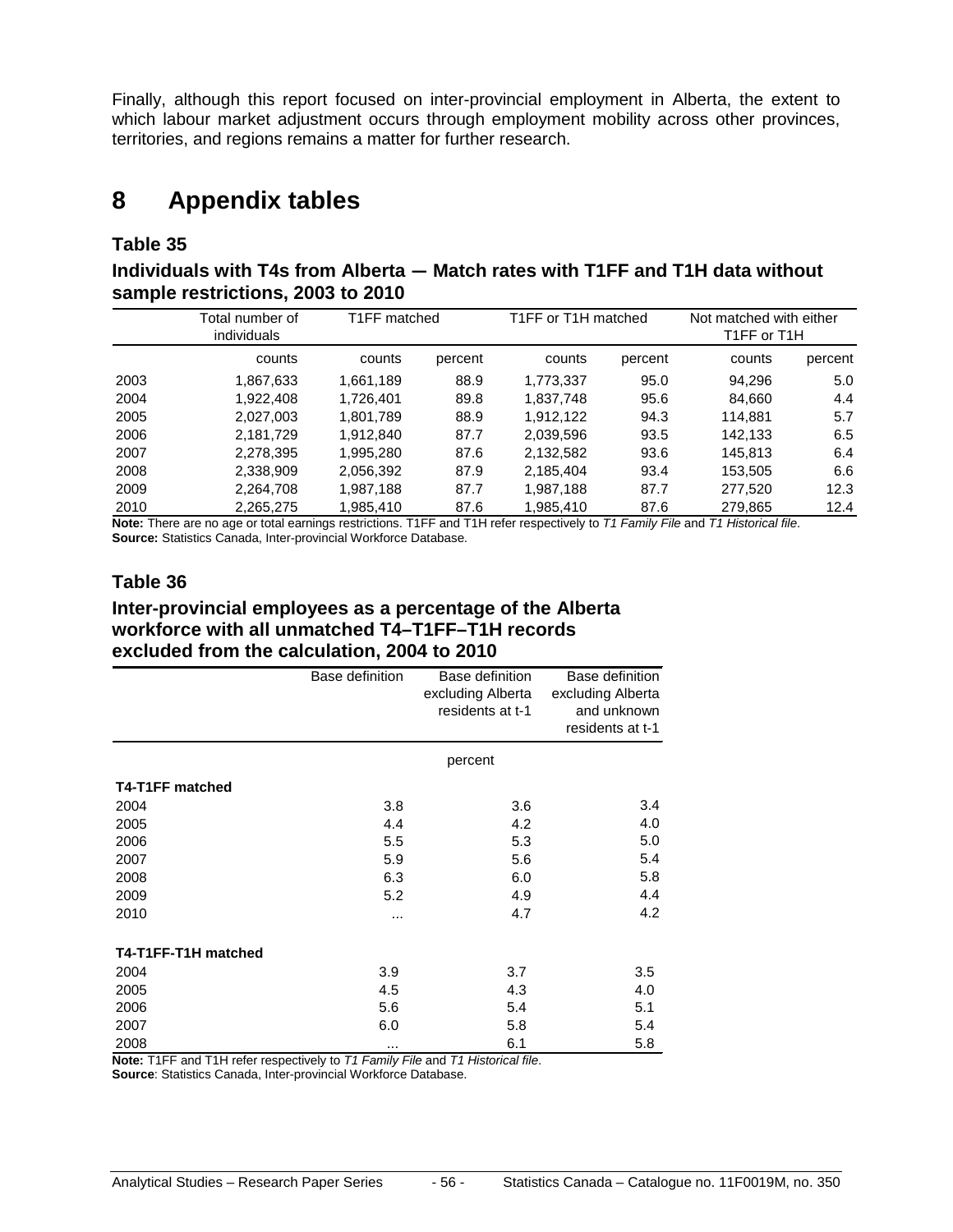Finally, although this report focused on inter-provincial employment in Alberta, the extent to which labour market adjustment occurs through employment mobility across other provinces, territories, and regions remains a matter for further research.

### <span id="page-55-0"></span>**8 Appendix tables**

#### **Table 35**

**Individuals with T4s from Alberta — Match rates with T1FF and T1H data without sample restrictions, 2003 to 2010**

|      | Total number of<br>individuals | T1FF matched |         | T1FF or T1H matched |         | Not matched with either<br>T1FF or T1H |         |
|------|--------------------------------|--------------|---------|---------------------|---------|----------------------------------------|---------|
|      | counts                         | counts       | percent | counts              | percent | counts                                 | percent |
| 2003 | 1,867,633                      | 1,661,189    | 88.9    | 1,773,337           | 95.0    | 94.296                                 | 5.0     |
| 2004 | 1,922,408                      | 1.726.401    | 89.8    | 1,837,748           | 95.6    | 84.660                                 | 4.4     |
| 2005 | 2.027.003                      | 1,801,789    | 88.9    | 1.912.122           | 94.3    | 114.881                                | 5.7     |
| 2006 | 2.181.729                      | 1,912,840    | 87.7    | 2,039,596           | 93.5    | 142,133                                | 6.5     |
| 2007 | 2.278.395                      | 1.995.280    | 87.6    | 2.132.582           | 93.6    | 145.813                                | 6.4     |
| 2008 | 2,338,909                      | 2,056,392    | 87.9    | 2,185,404           | 93.4    | 153,505                                | 6.6     |
| 2009 | 2,264,708                      | 1,987,188    | 87.7    | 1,987,188           | 87.7    | 277,520                                | 12.3    |
| 2010 | 2.265.275                      | 1.985.410    | 87.6    | 1.985.410           | 87.6    | 279.865                                | 12.4    |

**Note:** There are no age or total earnings restrictions. T1FF and T1H refer respectively to *T1 Family File* and *T1 Historical file*. **Source:** Statistics Canada, Inter-provincial Workforce Database.

#### **Table 36**

#### **Inter-provincial employees as a percentage of the Alberta workforce with all unmatched T4–T1FF–T1H records excluded from the calculation, 2004 to 2010**

|                     | Base definition | Base definition<br>excluding Alberta<br>residents at t-1 | Base definition<br>excluding Alberta<br>and unknown<br>residents at t-1 |
|---------------------|-----------------|----------------------------------------------------------|-------------------------------------------------------------------------|
|                     |                 | percent                                                  |                                                                         |
| T4-T1FF matched     |                 |                                                          |                                                                         |
| 2004                | 3.8             | 3.6                                                      | 3.4                                                                     |
| 2005                | 4.4             | 4.2                                                      | 4.0                                                                     |
| 2006                | 5.5             | 5.3                                                      | 5.0                                                                     |
| 2007                | 5.9             | 5.6                                                      | 5.4                                                                     |
| 2008                | 6.3             | 6.0                                                      | 5.8                                                                     |
| 2009                | 5.2             | 4.9                                                      | 4.4                                                                     |
| 2010                |                 | 4.7                                                      | 4.2                                                                     |
| T4-T1FF-T1H matched |                 |                                                          |                                                                         |
| 2004                | 3.9             | 3.7                                                      | 3.5                                                                     |
| 2005                | 4.5             | 4.3                                                      | 4.0                                                                     |
| 2006                | 5.6             | 5.4                                                      | 5.1                                                                     |
| 2007                | 6.0             | 5.8                                                      | 5.4                                                                     |
| 2008                | $\cdots$        | 6.1                                                      | 5.8                                                                     |

**Note:** T1FF and T1H refer respectively to *T1 Family File* and *T1 Historical file*.

**Source**: Statistics Canada, Inter-provincial Workforce Database.